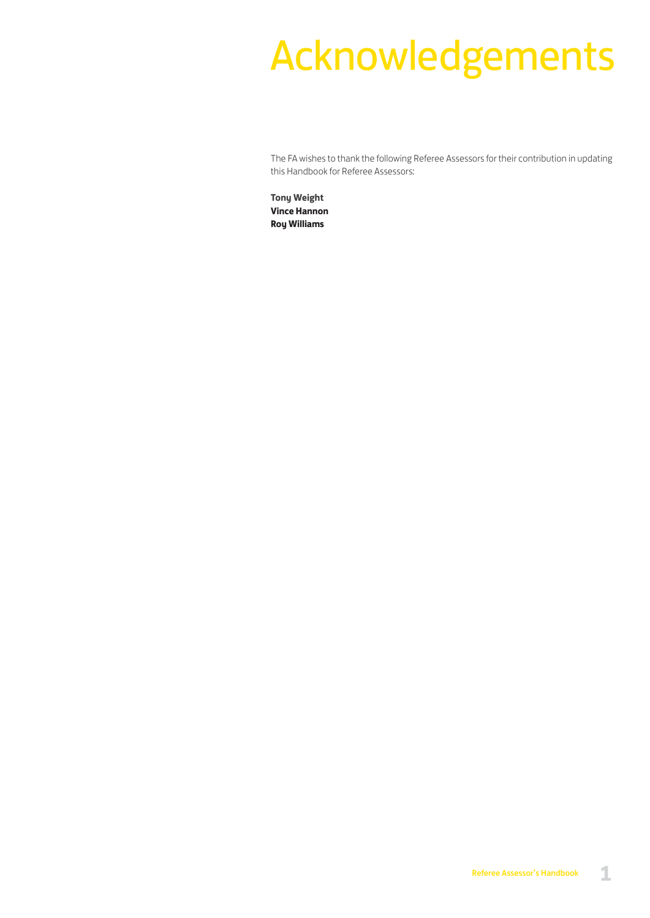# Acknowledgements

The FA wishes to thank the following Referee Assessors for their contribution in updating this Handbook for Referee Assessors:

**Tony Weight Vince Hannon Roy Williams**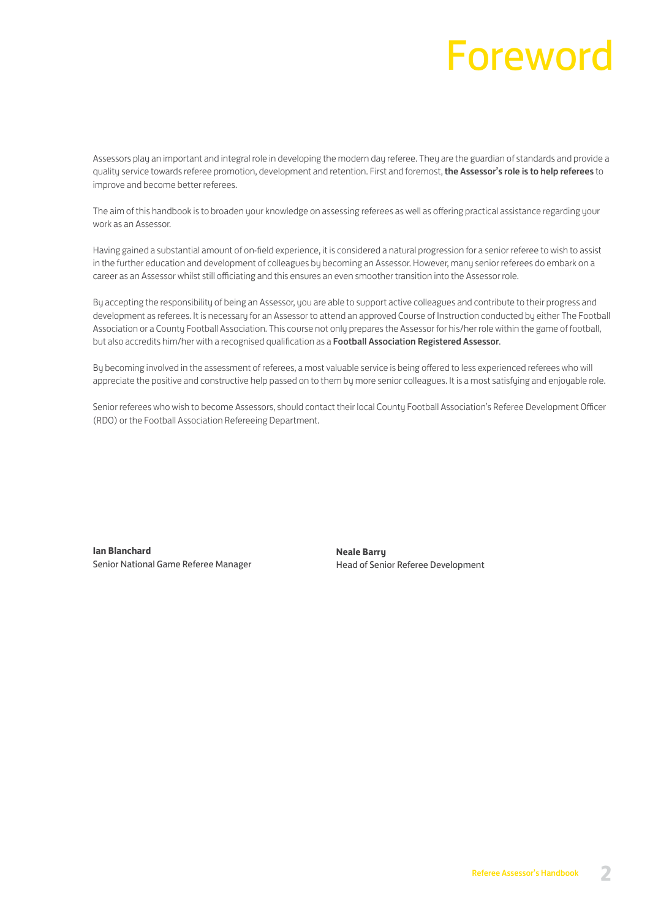# Foreword

Assessors play an important and integral role in developing the modern day referee. They are the guardian of standards and provide a quality service towards referee promotion, development and retention. First and foremost, the Assessor's role is to help referees to improve and become better referees.

The aim of this handbook is to broaden your knowledge on assessing referees as well as offering practical assistance regarding your work as an Assessor.

Having gained a substantial amount of on-field experience, it is considered a natural progression for a senior referee to wish to assist in the further education and development of colleagues by becoming an Assessor. However, many senior referees do embark on a career as an Assessor whilst still officiating and this ensures an even smoother transition into the Assessor role.

By accepting the responsibility of being an Assessor, you are able to support active colleagues and contribute to their progress and development as referees. It is necessary for an Assessor to attend an approved Course of Instruction conducted by either The Football Association or a County Football Association. This course not only prepares the Assessor for his/her role within the game of football, but also accredits him/her with a recognised qualification as a Football Association Registered Assessor.

By becoming involved in the assessment of referees, a most valuable service is being offered to less experienced referees who will appreciate the positive and constructive help passed on to them by more senior colleagues. It is a most satisfying and enjoyable role.

Senior referees who wish to become Assessors, should contact their local County Football Association's Referee Development Officer (RDO) or the Football Association Refereeing Department.

**Ian Blanchard** Senior National Game Referee Manager

**Neale Barry** Head of Senior Referee Development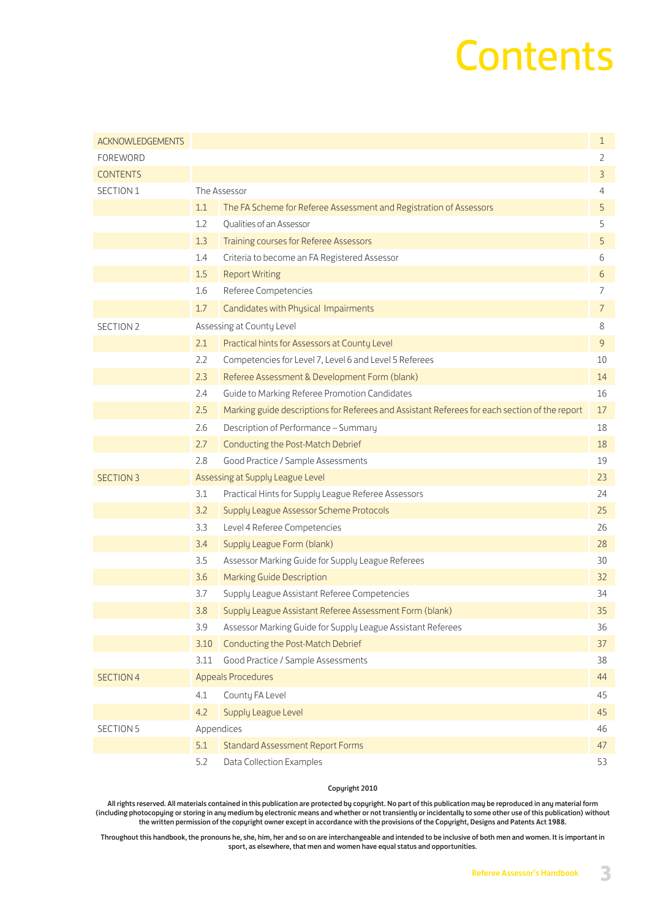# **Contents**

| <b>ACKNOWLEDGEMENTS</b> |      |                                                                                               | $\mathbf 1$ |
|-------------------------|------|-----------------------------------------------------------------------------------------------|-------------|
| FOREWORD                |      |                                                                                               | 2           |
| <b>CONTENTS</b>         |      |                                                                                               | 3           |
| SECTION 1               |      | The Assessor                                                                                  | 4           |
|                         | 1.1  | The FA Scheme for Referee Assessment and Registration of Assessors                            | 5           |
|                         | 1.2  | Qualities of an Assessor                                                                      | 5           |
|                         | 1.3  | Training courses for Referee Assessors                                                        | 5           |
|                         | 1.4  | Criteria to become an FA Registered Assessor                                                  | 6           |
|                         | 1.5  | <b>Report Writing</b>                                                                         | 6           |
|                         | 1.6  | Referee Competencies                                                                          | 7           |
|                         | 1.7  | Candidates with Physical Impairments                                                          | 7           |
| SECTION 2               |      | Assessing at County Level                                                                     | 8           |
|                         | 2.1  | Practical hints for Assessors at County Level                                                 | 9           |
|                         | 2.2  | Competencies for Level 7, Level 6 and Level 5 Referees                                        | 10          |
|                         | 2.3  | Referee Assessment & Development Form (blank)                                                 | 14          |
|                         | 2.4  | Guide to Marking Referee Promotion Candidates                                                 | 16          |
|                         | 2.5  | Marking guide descriptions for Referees and Assistant Referees for each section of the report | 17          |
|                         | 2.6  | Description of Performance - Summary                                                          | 18          |
|                         | 2.7  | Conducting the Post-Match Debrief                                                             | 18          |
|                         | 2.8  | Good Practice / Sample Assessments                                                            | 19          |
| <b>SECTION 3</b>        |      | Assessing at Supply League Level                                                              | 23          |
|                         | 3.1  | Practical Hints for Supply League Referee Assessors                                           | 24          |
|                         | 3.2  | Supply League Assessor Scheme Protocols                                                       | 25          |
|                         | 3.3  | Level 4 Referee Competencies                                                                  | 26          |
|                         | 3.4  | Supply League Form (blank)                                                                    | 28          |
|                         | 3.5  | Assessor Marking Guide for Supply League Referees                                             | 30          |
|                         | 3.6  | <b>Marking Guide Description</b>                                                              | 32          |
|                         | 3.7  | Supply League Assistant Referee Competencies                                                  | 34          |
|                         | 3.8  | Supply League Assistant Referee Assessment Form (blank)                                       | 35          |
|                         | 3.9  | Assessor Marking Guide for Supply League Assistant Referees                                   | 36          |
|                         | 3.10 | Conducting the Post-Match Debrief                                                             | 37          |
|                         | 3.11 | Good Practice / Sample Assessments                                                            | 38          |
| <b>SECTION 4</b>        |      | <b>Appeals Procedures</b>                                                                     | 44          |
|                         | 4.1  | County FA Level                                                                               | 45          |
|                         | 4.2  | Supply League Level                                                                           | 45          |
| <b>SECTION 5</b>        |      | Appendices                                                                                    | 46          |
|                         | 5.1  | <b>Standard Assessment Report Forms</b>                                                       | 47          |
|                         | 5.2  | Data Collection Examples                                                                      | 53          |

#### Copyright 2010

All rights reserved. All materials contained in this publication are protected by copyright. No part of this publication may be reproduced in any material form (including photocopying or storing in any medium by electronic means and whether or not transiently or incidentally to some other use of this publication) without the written permission of the copyright owner except in accordance with the provisions of the Copyright, Designs and Patents Act 1988.

Throughout this handbook, the pronouns he, she, him, her and so on are interchangeable and intended to be inclusive of both men and women. It is important in sport, as elsewhere, that men and women have equal status and opportunities.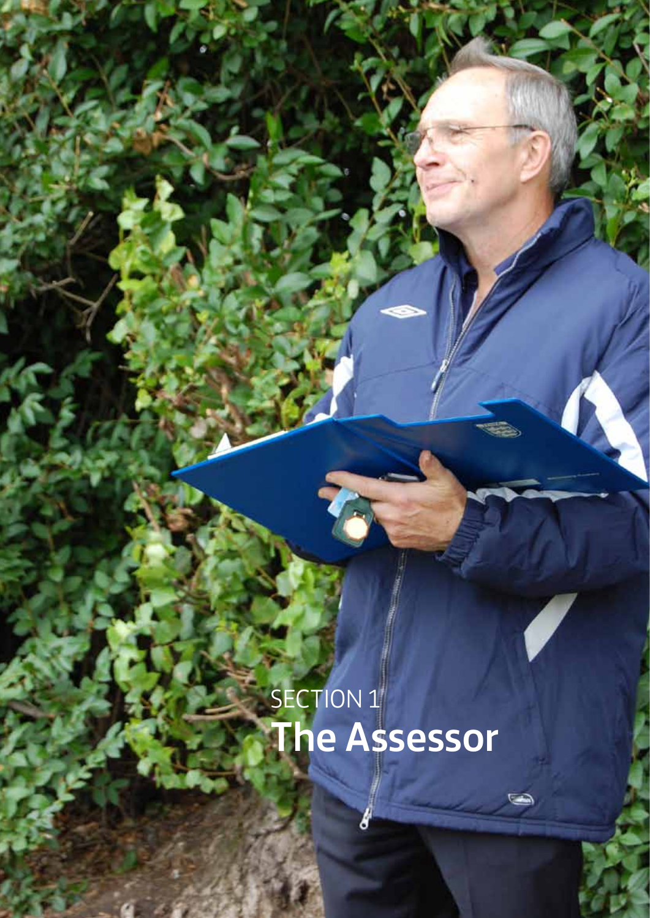# SECTION 1 The Assessor

Referee Assessor's Handbook **4**

 $\sum_{i=1}^{n}$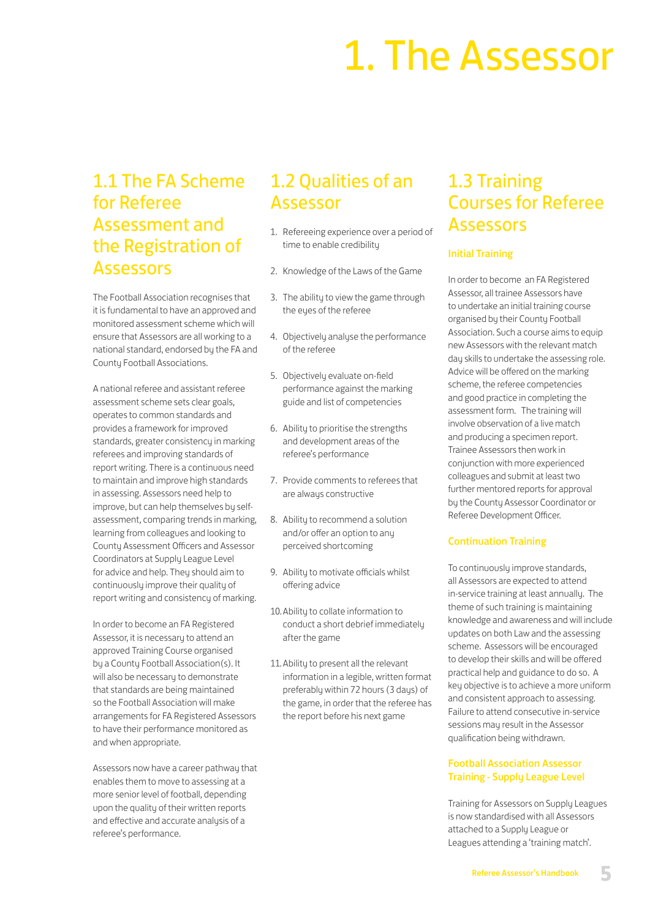# 1. The Assessor

## 1.1 The FA Scheme for Referee Assessment and the Registration of Assessors

The Football Association recognises that it is fundamental to have an approved and monitored assessment scheme which will ensure that Assessors are all working to a national standard, endorsed by the FA and County Football Associations.

A national referee and assistant referee assessment scheme sets clear goals, operates to common standards and provides a framework for improved standards, greater consistency in marking referees and improving standards of report writing. There is a continuous need to maintain and improve high standards in assessing. Assessors need help to improve, but can help themselves by selfassessment, comparing trends in marking, learning from colleagues and looking to County Assessment Officers and Assessor Coordinators at Supply League Level for advice and help. They should aim to continuously improve their quality of report writing and consistency of marking.

In order to become an FA Registered Assessor, it is necessary to attend an approved Training Course organised by a County Football Association(s). It will also be necessary to demonstrate that standards are being maintained so the Football Association will make arrangements for FA Registered Assessors to have their performance monitored as and when appropriate.

Assessors now have a career pathway that enables them to move to assessing at a more senior level of football, depending upon the quality of their written reports and effective and accurate analysis of a referee's performance.

# 1.2 Qualities of an Assessor

- 1. Refereeing experience over a period of time to enable credibility
- 2. Knowledge of the Laws of the Game
- 3. The ability to view the game through the eyes of the referee
- 4. Objectively analyse the performance of the referee
- 5. Objectively evaluate on-field performance against the marking guide and list of competencies
- 6. Ability to prioritise the strengths and development areas of the referee's performance
- 7. Provide comments to referees that are always constructive
- 8. Ability to recommend a solution and/or offer an option to any perceived shortcoming
- 9. Ability to motivate officials whilst offering advice
- 10.Ability to collate information to conduct a short debrief immediately after the game
- 11.Ability to present all the relevant information in a legible, written format preferably within 72 hours (3 days) of the game, in order that the referee has the report before his next game

# 1.3 Training Courses for Referee Assessors

### Initial Training

In order to become an FA Registered Assessor, all trainee Assessors have to undertake an initial training course organised by their County Football Association. Such a course aims to equip new Assessors with the relevant match day skills to undertake the assessing role. Advice will be offered on the marking scheme, the referee competencies and good practice in completing the assessment form. The training will involve observation of a live match and producing a specimen report. Trainee Assessors then work in conjunction with more experienced colleagues and submit at least two further mentored reports for approval by the County Assessor Coordinator or Referee Development Officer.

### Continuation Training

To continuously improve standards, all Assessors are expected to attend in-service training at least annually. The theme of such training is maintaining knowledge and awareness and will include updates on both Law and the assessing scheme. Assessors will be encouraged to develop their skills and will be offered practical help and guidance to do so. A key objective is to achieve a more uniform and consistent approach to assessing. Failure to attend consecutive in-service sessions may result in the Assessor qualification being withdrawn.

### Football Association Assessor Training - Supply League Level

Training for Assessors on Supply Leagues is now standardised with all Assessors attached to a Supply League or Leagues attending a 'training match'.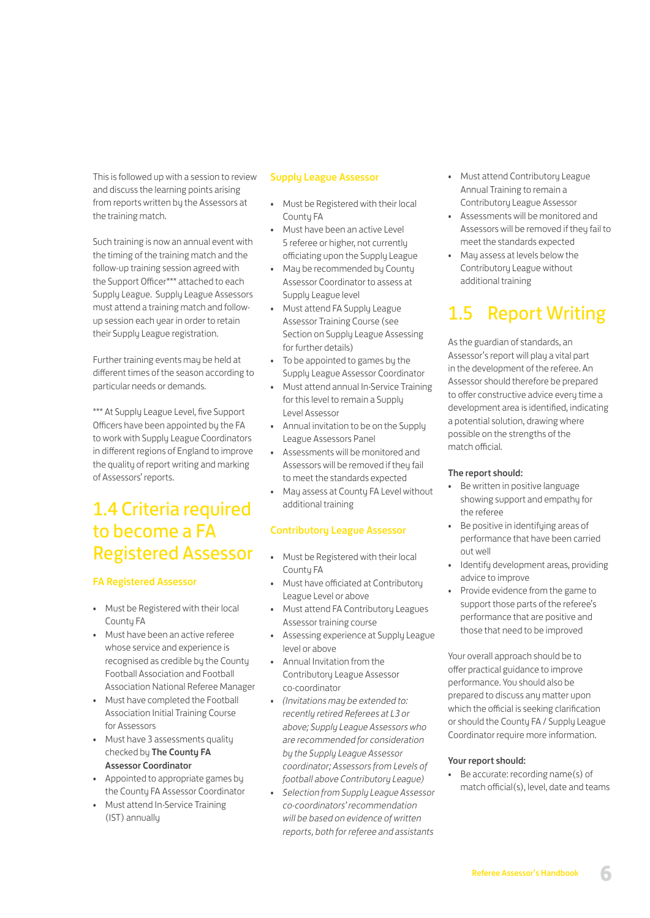This is followed up with a session to review and discuss the learning points arising from reports written by the Assessors at the training match.

Such training is now an annual event with the timing of the training match and the follow-up training session agreed with the Support Officer\*\*\* attached to each Supply League. Supply League Assessors must attend a training match and followup session each year in order to retain their Supply League registration.

Further training events may be held at different times of the season according to particular needs or demands.

\*\*\* At Supply League Level, five Support Officers have been appointed by the FA to work with Supply League Coordinators in different regions of England to improve the quality of report writing and marking of Assessors' reports.

# 1.4 Criteria required to become a FA Registered Assessor

### FA Registered Assessor

- Must be Registered with their local Countu FA
- Must have been an active referee whose service and experience is recognised as credible by the County Football Association and Football Association National Referee Manager
- Must have completed the Football Association Initial Training Course for Assessors
- Must have 3 assessments quality checked bu The Countu FA Assessor Coordinator
- Appointed to appropriate games by the County FA Assessor Coordinator
- Must attend In-Service Training (IST) annually

#### Supply League Assessor

- Must be Registered with their local County FA
- Must have been an active Level 5 referee or higher, not currently officiating upon the Supply League
- May be recommended by County Assessor Coordinator to assess at Supply League level
- Must attend FA Supply League Assessor Training Course (see Section on Supply League Assessing for further details)
- To be appointed to games by the Supply League Assessor Coordinator
- Must attend annual In-Service Training for this level to remain a Supply Level Assessor
- Annual invitation to be on the Supply League Assessors Panel
- Assessments will be monitored and Assessors will be removed if they fail to meet the standards expected
- May assess at County FA Level without additional training

### Contributory League Assessor

- Must be Registered with their local Countu FA
- Must have officiated at Contributory League Level or above
- Must attend FA Contributory Leagues Assessor training course
- Assessing experience at Supply League level or above
- Annual Invitation from the Contributory League Assessor co-coordinator
- *(Invitations may be extended to: recently retired Referees at L3 or above; Supply League Assessors who are recommended for consideration by the Supply League Assessor coordinator; Assessors from Levels of football above Contributory League)*
- *Selection from Supply League Assessor co-coordinators' recommendation will be based on evidence of written reports, both for referee and assistants*
- Must attend Contributory League Annual Training to remain a Contributory League Assessor
- Assessments will be monitored and Assessors will be removed if they fail to meet the standards expected
- May assess at levels below the Contributory League without additional training

# 1.5 Report Writing

As the guardian of standards, an Assessor's report will play a vital part in the development of the referee. An Assessor should therefore be prepared to offer constructive advice every time a development area is identified, indicating a potential solution, drawing where possible on the strengths of the match official.

### The report should:

- Be written in positive language showing support and empathy for the referee
- Be positive in identifying areas of performance that have been carried out well
- Identify development areas, providing advice to improve
- Provide evidence from the game to support those parts of the referee's performance that are positive and those that need to be improved

Your overall approach should be to offer practical guidance to improve performance. You should also be prepared to discuss any matter upon which the official is seeking clarification or should the County FA / Supply League Coordinator require more information.

#### Your report should:

• Be accurate: recording name(s) of match official(s), level, date and teams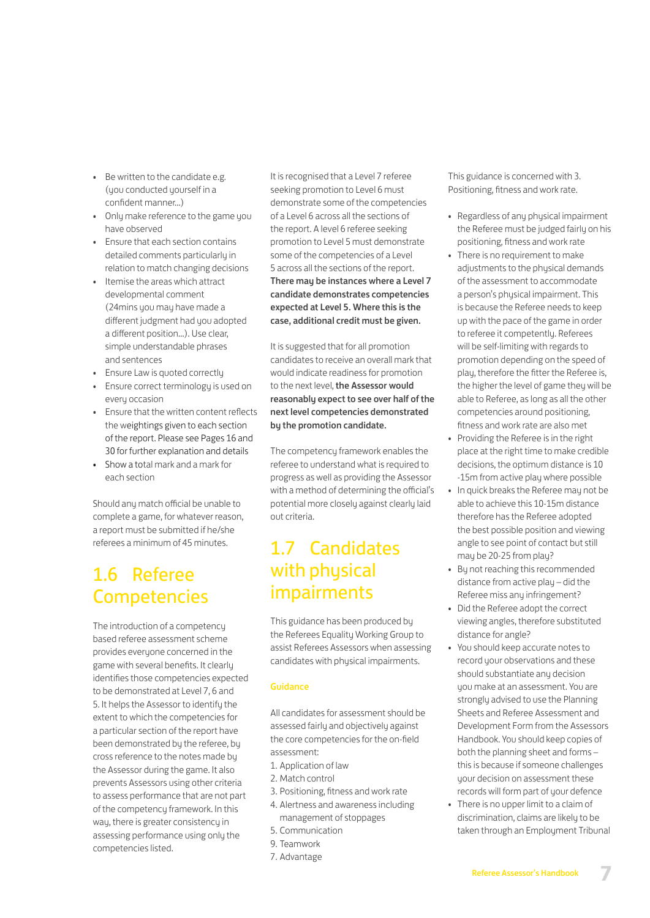- Be written to the candidate e.g. (you conducted yourself in a confident manner...)
- Only make reference to the game you have observed
- Ensure that each section contains detailed comments particularly in relation to match changing decisions
- Itemise the areas which attract developmental comment (24mins you may have made a different judgment had you adopted a different position...). Use clear, simple understandable phrases and sentences
- Ensure Law is quoted correctly
- Ensure correct terminology is used on every occasion
- Ensure that the written content reflects the weightings given to each section of the report. Please see Pages 16 and 30 for further explanation and details
- Show a total mark and a mark for each section

Should any match official be unable to complete a game, for whatever reason, a report must be submitted if he/she referees a minimum of 45 minutes.

# 1.6 Referee **Competencies**

The introduction of a competency based referee assessment scheme provides everyone concerned in the game with several benefits. It clearly identifies those competencies expected to be demonstrated at Level 7, 6 and 5. It helps the Assessor to identify the extent to which the competencies for a particular section of the report have been demonstrated by the referee, by cross reference to the notes made by the Assessor during the game. It also prevents Assessors using other criteria to assess performance that are not part of the competency framework. In this way, there is greater consistency in assessing performance using only the competencies listed.

It is recognised that a Level 7 referee seeking promotion to Level 6 must demonstrate some of the competencies of a Level 6 across all the sections of the report. A level 6 referee seeking promotion to Level 5 must demonstrate some of the competencies of a Level 5 across all the sections of the report. There may be instances where a Level 7 candidate demonstrates competencies expected at Level 5. Where this is the case, additional credit must be given.

It is suggested that for all promotion candidates to receive an overall mark that would indicate readiness for promotion to the next level, the Assessor would reasonably expect to see over half of the next level competencies demonstrated by the promotion candidate.

The competency framework enables the referee to understand what is required to progress as well as providing the Assessor with a method of determining the official's potential more closely against clearly laid out criteria.

## 1.7 Candidates with physical impairments

This guidance has been produced by the Referees Equality Working Group to assist Referees Assessors when assessing candidates with physical impairments.

### Guidance

All candidates for assessment should be assessed fairly and objectively against the core competencies for the on-field assessment:

- 1. Application of law
- 2. Match control
- 3. Positioning, fitness and work rate
- 4. Alertness and awareness including management of stoppages
- 5. Communication
- 9. Teamwork
- 7. Advantage

This guidance is concerned with 3. Positioning, fitness and work rate.

- Regardless of any physical impairment the Referee must be judged fairly on his positioning, fitness and work rate
- There is no requirement to make adjustments to the physical demands of the assessment to accommodate a person's physical impairment. This is because the Referee needs to keep up with the pace of the game in order to referee it competently. Referees will be self-limiting with regards to promotion depending on the speed of play, therefore the fitter the Referee is, the higher the level of game they will be able to Referee, as long as all the other competencies around positioning, fitness and work rate are also met
- Providing the Referee is in the right place at the right time to make credible decisions, the optimum distance is 10 -15m from active play where possible
- In quick breaks the Referee may not be able to achieve this 10-15m distance therefore has the Referee adopted the best possible position and viewing angle to see point of contact but still may be 20-25 from play?
- By not reaching this recommended distance from active play – did the Referee miss any infringement?
- Did the Referee adopt the correct viewing angles, therefore substituted distance for angle?
- You should keep accurate notes to record your observations and these should substantiate any decision you make at an assessment. You are strongly advised to use the Planning Sheets and Referee Assessment and Development Form from the Assessors Handbook. You should keep copies of both the planning sheet and forms – this is because if someone challenges your decision on assessment these records will form part of your defence
- There is no upper limit to a claim of discrimination, claims are likely to be taken through an Employment Tribunal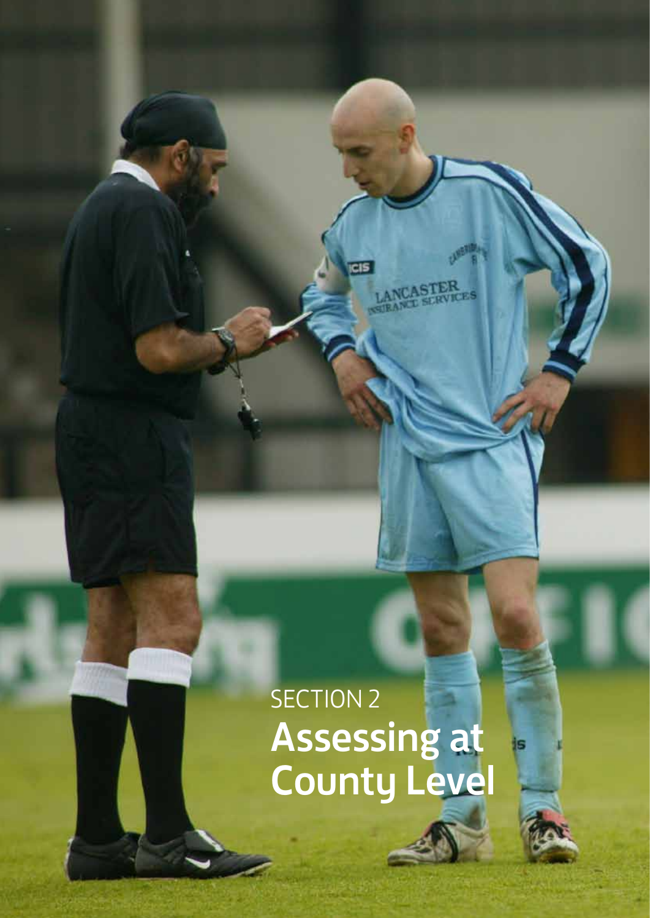# SECTION 2 Assessing at County Level

Referee Assessor's Handbook **8**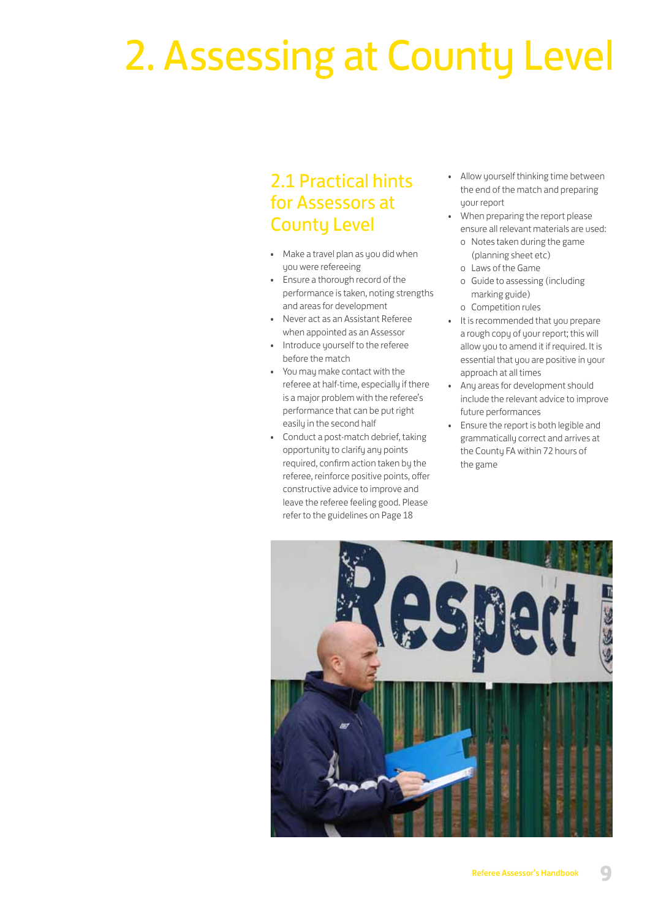# 2. Assessing at County Level

## 2.1 Practical hints for Assessors at County Level

- Make a travel plan as you did when uou were refereeing
- Ensure a thorough record of the performance is taken, noting strengths and areas for development
- Never act as an Assistant Referee when appointed as an Assessor
- Introduce yourself to the referee before the match
- You may make contact with the referee at half-time, especially if there is a major problem with the referee's performance that can be put right easily in the second half
- Conduct a post-match debrief, taking opportunity to clarify any points required, confirm action taken by the referee, reinforce positive points, offer constructive advice to improve and leave the referee feeling good. Please refer to the guidelines on Page 18
- Allow yourself thinking time between the end of the match and preparing your report
- When preparing the report please ensure all relevant materials are used:
	- o Notes taken during the game (planning sheet etc)
	- o Laws of the Game
	- o Guide to assessing (including marking guide)
	- o Competition rules
- It is recommended that you prepare a rough copy of your report; this will allow you to amend it if required. It is essential that you are positive in your approach at all times
- Any areas for development should include the relevant advice to improve future performances
- Ensure the report is both legible and grammatically correct and arrives at the County FA within 72 hours of the game

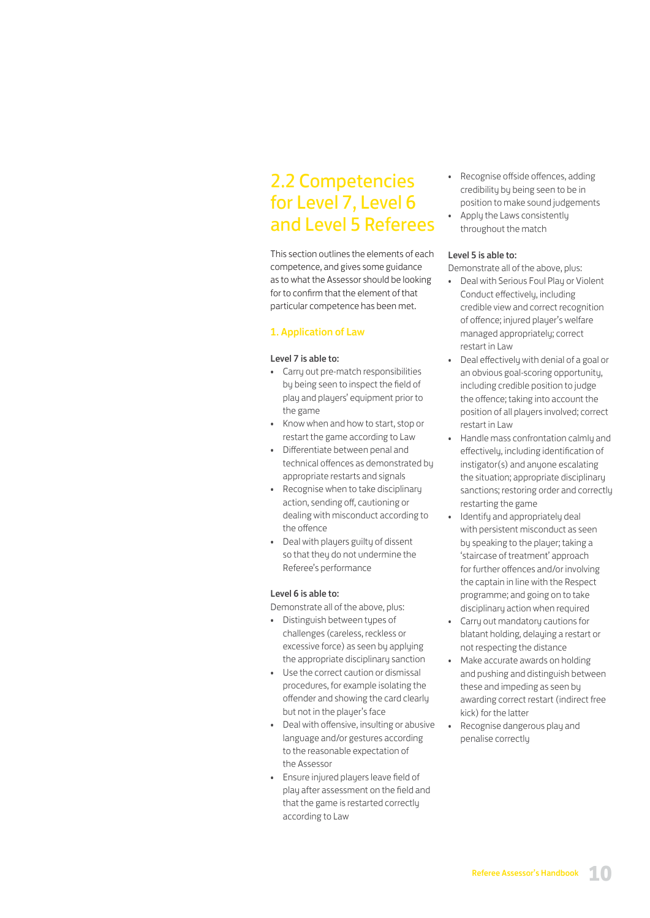## 2.2 Competencies for Level 7, Level 6 and Level 5 Referees

This section outlines the elements of each competence, and gives some guidance as to what the Assessor should be looking for to confirm that the element of that particular competence has been met.

### 1. Application of Law

#### Level 7 is able to:

- Carry out pre-match responsibilities by being seen to inspect the field of play and players' equipment prior to the game
- Know when and how to start, stop or restart the game according to Law
- Differentiate between penal and technical offences as demonstrated by appropriate restarts and signals
- Recognise when to take disciplinary action, sending off, cautioning or dealing with misconduct according to the offence
- Deal with players guilty of dissent so that they do not undermine the Referee's performance

#### Level 6 is able to:

Demonstrate all of the above, plus:

- Distinguish between types of challenges (careless, reckless or excessive force) as seen by applying the appropriate disciplinary sanction
- Use the correct caution or dismissal procedures, for example isolating the offender and showing the card clearly but not in the player's face
- Deal with offensive, insulting or abusive language and/or gestures according to the reasonable expectation of the Assessor
- Ensure injured players leave field of play after assessment on the field and that the game is restarted correctly according to Law
- Recognise offside offences, adding credibility by being seen to be in position to make sound judgements
- Apply the Laws consistently throughout the match

#### Level 5 is able to:

Demonstrate all of the above, plus:

- Deal with Serious Foul Play or Violent Conduct effectively, including credible view and correct recognition of offence; injured player's welfare managed appropriately; correct restart in Law
- Deal effectively with denial of a goal or an obvious goal-scoring opportunity, including credible position to judge the offence; taking into account the position of all players involved; correct restart in Law
- Handle mass confrontation calmly and effectively, including identification of instigator(s) and anyone escalating the situation; appropriate disciplinary sanctions; restoring order and correctly restarting the game
- Identify and appropriately deal with persistent misconduct as seen by speaking to the player; taking a 'staircase of treatment' approach for further offences and/or involving the captain in line with the Respect programme; and going on to take disciplinary action when required
- Carry out mandatory cautions for blatant holding, delaying a restart or not respecting the distance
- Make accurate awards on holding and pushing and distinguish between these and impeding as seen by awarding correct restart (indirect free kick) for the latter
- Recognise dangerous play and penalise correctly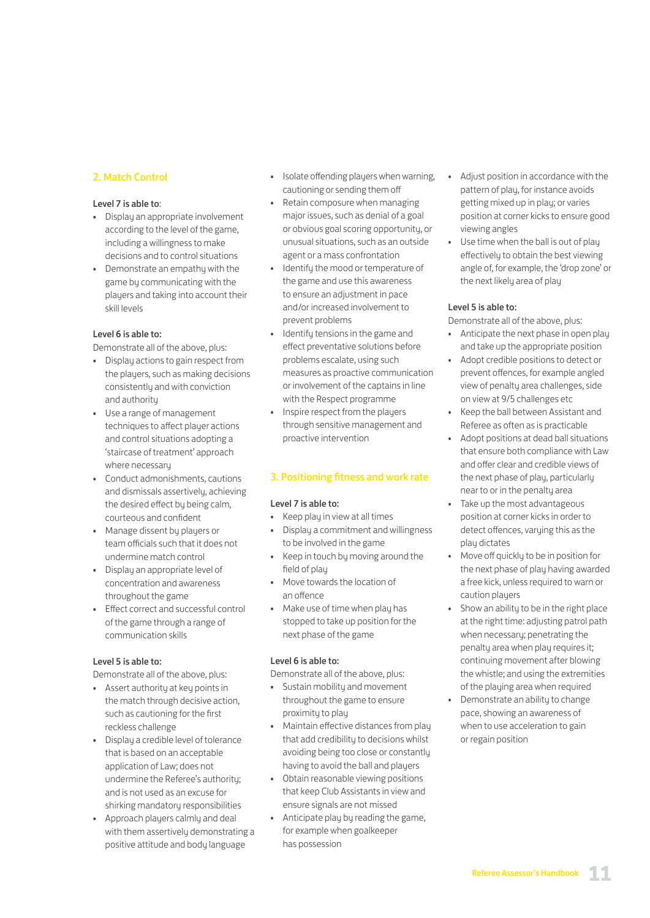### 2. Match Control

### Level 7 is able to:

- Display an appropriate involvement according to the level of the game, including a willingness to make decisions and to control situations
- Demonstrate an empathy with the game by communicating with the players and taking into account their skill levels

### Level 6 is able to:

Demonstrate all of the above, plus:

- Display actions to gain respect from the players, such as making decisions consistently and with conviction and authority
- Use a range of management techniques to affect player actions and control situations adopting a 'staircase of treatment' approach where necessary
- Conduct admonishments, cautions and dismissals assertively, achieving the desired effect by being calm, courteous and confident
- Manage dissent by players or team officials such that it does not undermine match control
- Display an appropriate level of concentration and awareness throughout the game
- Effect correct and successful control of the game through a range of communication skills

### Level 5 is able to:

Demonstrate all of the above, plus:

- Assert authoritu at key points in the match through decisive action, such as cautioning for the first reckless challenge
- Display a credible level of tolerance that is based on an acceptable application of Law; does not undermine the Referee's authority; and is not used as an excuse for shirking mandatory responsibilities
- Approach players calmly and deal with them assertively demonstrating a positive attitude and body language
- Isolate offending players when warning, cautioning or sending them off
- Retain composure when managing major issues, such as denial of a goal or obvious goal scoring opportunity, or unusual situations, such as an outside agent or a mass confrontation
- Identify the mood or temperature of the game and use this awareness to ensure an adjustment in pace and/or increased involvement to prevent problems
- Identify tensions in the game and effect preventative solutions before problems escalate, using such measures as proactive communication or involvement of the captains in line with the Respect programme
- Inspire respect from the players through sensitive management and proactive intervention

### 3. Positioning fitness and work rate

### Level 7 is able to:

- Keep play in view at all times
- Display a commitment and willingness to be involved in the game
- Keep in touch by moving around the field of play
- Move towards the location of an offence
- Make use of time when play has stopped to take up position for the next phase of the game

### Level 6 is able to:

Demonstrate all of the above, plus:

- Sustain mobility and movement throughout the game to ensure proximity to play
- Maintain effective distances from play that add credibility to decisions whilst avoiding being too close or constantly having to avoid the ball and players
- Obtain reasonable viewing positions that keep Club Assistants in view and ensure signals are not missed
- Anticipate play by reading the game, for example when goalkeeper has possession
- Adjust position in accordance with the pattern of play, for instance avoids getting mixed up in play; or varies position at corner kicks to ensure good viewing angles
- Use time when the ball is out of play effectively to obtain the best viewing angle of, for example, the 'drop zone' or the next likely area of play

### Level 5 is able to:

Demonstrate all of the above, plus:

- Anticipate the next phase in open play and take up the appropriate position
- Adopt credible positions to detect or prevent offences, for example angled view of penalty area challenges, side on view at 9/5 challenges etc
- Keep the ball between Assistant and Referee as often as is practicable
- Adopt positions at dead ball situations that ensure both compliance with Law and offer clear and credible views of the next phase of play, particularly near to or in the penalty area
- Take up the most advantageous position at corner kicks in order to detect offences, varying this as the play dictates
- Move off quickly to be in position for the next phase of play having awarded a free kick, unless required to warn or caution players
- Show an ability to be in the right place at the right time: adjusting patrol path when necessary; penetrating the penalty area when play requires it; continuing movement after blowing the whistle; and using the extremities of the playing area when required
- Demonstrate an ability to change pace, showing an awareness of when to use acceleration to gain or regain position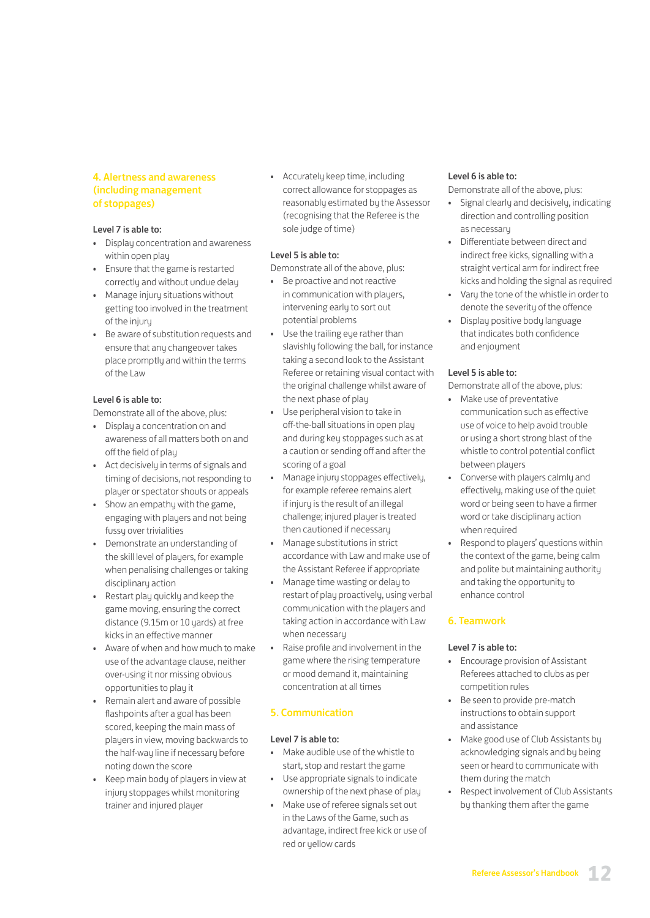### 4. Alertness and awareness (including management of stoppages)

#### Level 7 is able to:

- Display concentration and awareness within open play
- Ensure that the game is restarted correctly and without undue delay
- Manage injury situations without getting too involved in the treatment of the injury
- Be aware of substitution requests and ensure that any changeover takes place promptly and within the terms of the Law

### Level 6 is able to:

Demonstrate all of the above, plus:

- Display a concentration on and awareness of all matters both on and off the field of play
- Act decisively in terms of signals and timing of decisions, not responding to player or spectator shouts or appeals
- Show an empathy with the game, engaging with players and not being fussy over trivialities
- Demonstrate an understanding of the skill level of players, for example when penalising challenges or taking disciplinary action
- Restart play quickly and keep the game moving, ensuring the correct distance (9.15m or 10 yards) at free kicks in an effective manner
- Aware of when and how much to make use of the advantage clause, neither over-using it nor missing obvious opportunities to play it
- Remain alert and aware of possible flashpoints after a goal has been scored, keeping the main mass of players in view, moving backwards to the half-way line if necessary before noting down the score
- Keep main body of players in view at injury stoppages whilst monitoring trainer and injured player

• Accurately keep time, including correct allowance for stoppages as reasonably estimated by the Assessor (recognising that the Referee is the sole judge of time)

#### Level 5 is able to:

Demonstrate all of the above, plus:

- Be proactive and not reactive in communication with players, intervening early to sort out potential problems
- Use the trailing eye rather than slavishly following the ball, for instance taking a second look to the Assistant Referee or retaining visual contact with the original challenge whilst aware of the next phase of play
- Use peripheral vision to take in off-the-ball situations in open play and during key stoppages such as at a caution or sending off and after the scoring of a goal
- Manage injury stoppages effectively, for example referee remains alert if injury is the result of an illegal challenge; injured player is treated then cautioned if necessary
- Manage substitutions in strict accordance with Law and make use of the Assistant Referee if appropriate
- Manage time wasting or delay to restart of play proactively, using verbal communication with the players and taking action in accordance with Law when necessary
- Raise profile and involvement in the game where the rising temperature or mood demand it, maintaining concentration at all times

### 5. Communication

### Level 7 is able to:

- Make audible use of the whistle to start, stop and restart the game
- Use appropriate signals to indicate ownership of the next phase of play
- Make use of referee signals set out in the Laws of the Game, such as advantage, indirect free kick or use of red or yellow cards

#### Level 6 is able to:

Demonstrate all of the above, plus:

- Signal clearly and decisively, indicating direction and controlling position as necessary
- Differentiate between direct and indirect free kicks, signalling with a straight vertical arm for indirect free kicks and holding the signal as required
- Varu the tone of the whistle in order to denote the severity of the offence
- Display positive body language that indicates both confidence and enjoyment

#### Level 5 is able to:

Demonstrate all of the above, plus:

- Make use of preventative communication such as effective use of voice to help avoid trouble or using a short strong blast of the whistle to control potential conflict between players
- Converse with players calmly and effectively, making use of the quiet word or being seen to have a firmer word or take disciplinary action when required
- Respond to players' questions within the context of the game, being calm and polite but maintaining authority and taking the opportunity to enhance control

# 6. Teamwork

### Level 7 is able to:

- Encourage provision of Assistant Referees attached to clubs as per competition rules
- Be seen to provide pre-match instructions to obtain support and assistance
- Make good use of Club Assistants by acknowledging signals and by being seen or heard to communicate with them during the match
- Respect involvement of Club Assistants by thanking them after the game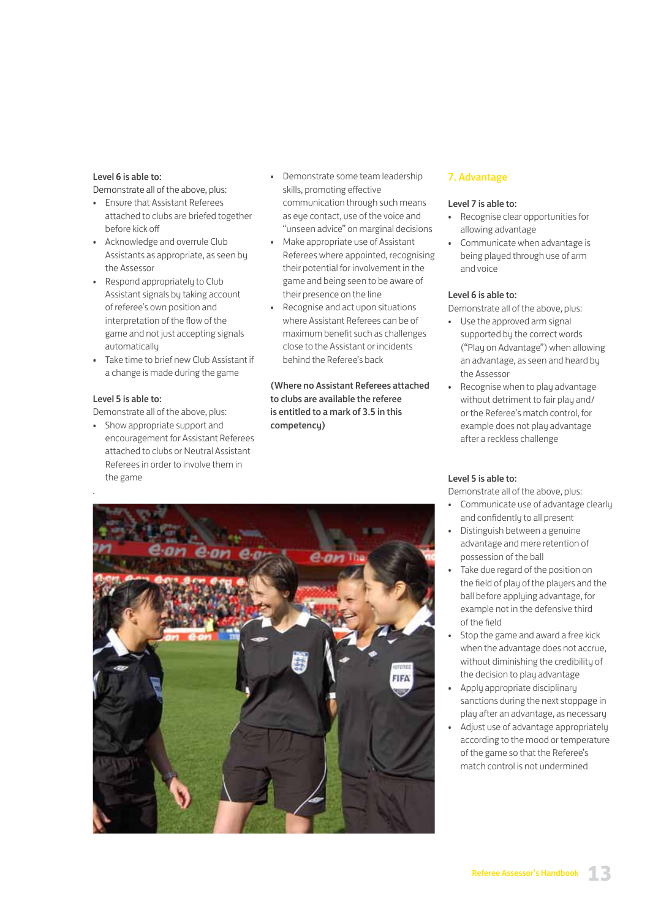#### Level 6 is able to:

Demonstrate all of the above, plus:

- Ensure that Assistant Referees attached to clubs are briefed together before kick off
- Acknowledge and overrule Club Assistants as appropriate, as seen by the Assessor
- Respond appropriately to Club Assistant signals by taking account of referee's own position and interpretation of the flow of the game and not just accepting signals automatically
- Take time to brief new Club Assistant if a change is made during the game

### Level 5 is able to:

Demonstrate all of the above, plus:

• Show appropriate support and encouragement for Assistant Referees attached to clubs or Neutral Assistant Referees in order to involve them in the game

- Demonstrate some team leadership skills, promoting effective communication through such means as eye contact, use of the voice and "unseen advice" on marginal decisions
- Make appropriate use of Assistant Referees where appointed, recognising their potential for involvement in the game and being seen to be aware of their presence on the line
- Recognise and act upon situations where Assistant Referees can be of maximum benefit such as challenges close to the Assistant or incidents behind the Referee's back

(Where no Assistant Referees attached to clubs are available the referee is entitled to a mark of 3.5 in this competency)



### 7. Advantage

#### Level 7 is able to:

- Recognise clear opportunities for allowing advantage
- Communicate when advantage is being played through use of arm and voice

#### Level 6 is able to:

Demonstrate all of the above, plus:

- Use the approved arm signal supported by the correct words ("Play on Advantage") when allowing an advantage, as seen and heard by the Assessor
- Recognise when to play advantage without detriment to fair play and/ or the Referee's match control, for example does not play advantage after a reckless challenge

#### Level 5 is able to:

Demonstrate all of the above, plus:

- Communicate use of advantage clearly and confidently to all present
- Distinguish between a genuine advantage and mere retention of possession of the ball
- Take due regard of the position on the field of play of the players and the ball before applying advantage, for example not in the defensive third of the field
- Stop the game and award a free kick when the advantage does not accrue, without diminishing the credibility of the decision to play advantage
- Apply appropriate disciplinary sanctions during the next stoppage in play after an advantage, as necessary
- Adjust use of advantage appropriately according to the mood or temperature of the game so that the Referee's match control is not undermined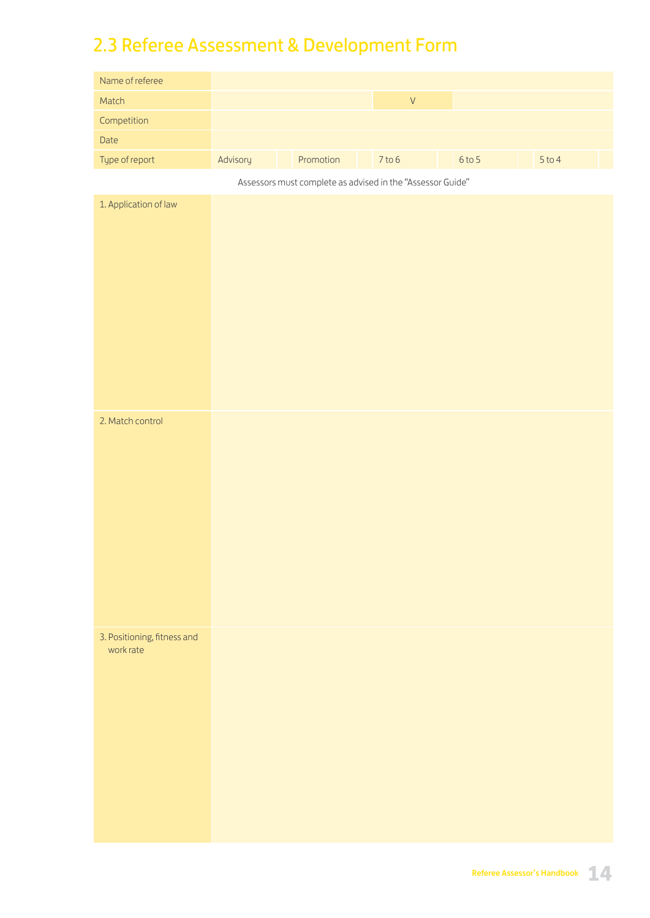# 2.3 Referee Assessment & Development Form

| Name of referee                          |          |                                                            |                    |          |        |
|------------------------------------------|----------|------------------------------------------------------------|--------------------|----------|--------|
| Match                                    |          |                                                            | $\bar{\mathsf{V}}$ |          |        |
| Competition                              |          |                                                            |                    |          |        |
| Date                                     |          |                                                            |                    |          |        |
| Type of report                           | Advisory | Promotion                                                  | $7$ to $6$         | $6$ to 5 | 5 to 4 |
|                                          |          | Assessors must complete as advised in the "Assessor Guide" |                    |          |        |
| 1. Application of law                    |          |                                                            |                    |          |        |
|                                          |          |                                                            |                    |          |        |
| 2. Match control                         |          |                                                            |                    |          |        |
| 3. Positioning, fitness and<br>work rate |          |                                                            |                    |          |        |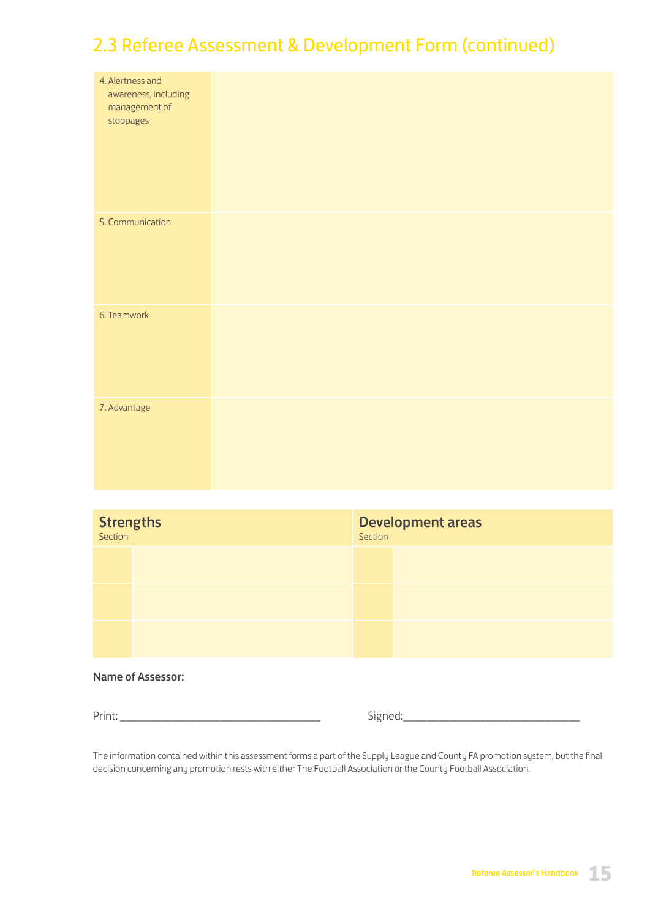# 2.3 Referee Assessment & Development Form (continued)

| 4. Alertness and<br>awareness, including<br>management of<br>stoppages |  |
|------------------------------------------------------------------------|--|
| 5. Communication                                                       |  |
| 6. Teamwork                                                            |  |
| 7. Advantage                                                           |  |

| <b>Strengths</b><br>Section | <b>Development areas</b><br>Section |  |  |
|-----------------------------|-------------------------------------|--|--|
|                             |                                     |  |  |
|                             |                                     |  |  |
|                             |                                     |  |  |

### Name of Assessor:

Print: \_\_\_\_\_\_\_\_\_\_\_\_\_\_\_\_\_\_\_\_\_\_\_\_\_\_\_\_\_\_\_\_\_\_ Signed:\_\_\_\_\_\_\_\_\_\_\_\_\_\_\_\_\_\_\_\_\_\_\_\_\_\_\_\_\_\_

The information contained within this assessment forms a part of the Supply League and County FA promotion system, but the final decision concerning any promotion rests with either The Football Association or the County Football Association.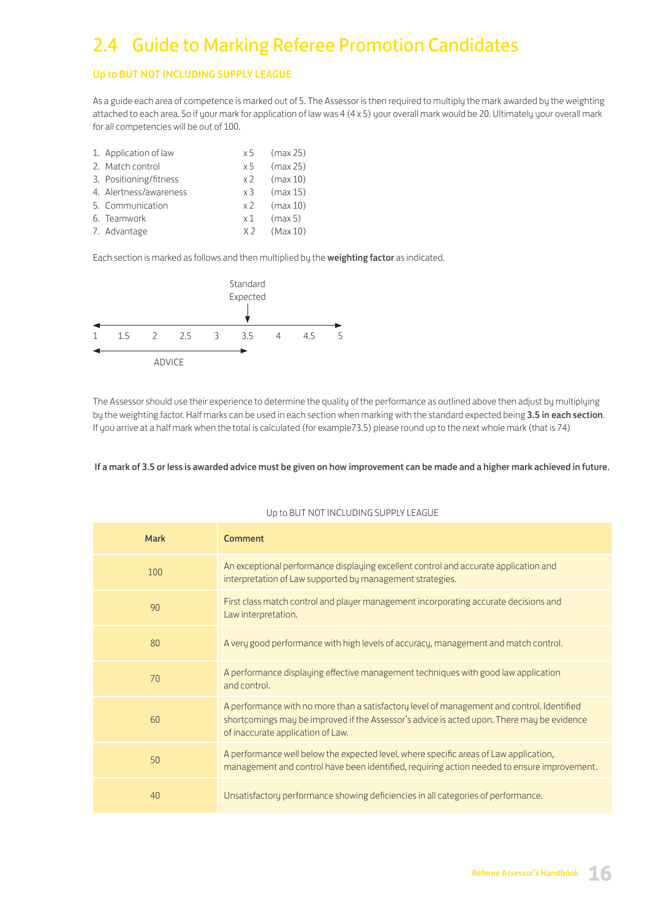# 2.4 Guide to Marking Referee Promotion Candidates

### Up to BUT NOT INCLUDING SUPPLY LEAGUE

As a guide each area of competence is marked out of 5. The Assessor is then required to multiply the mark awarded by the weighting attached to each area. So if your mark for application of law was 4 (4 x 5) your overall mark would be 20. Ultimately your overall mark for all competencies will be out of 100.

| 1. Application of law  | x 5            | (max 25) |
|------------------------|----------------|----------|
| 2. Match control       | x 5            | (max 25) |
| 3. Positioning/fitness | x 2            | (max 10) |
| 4. Alertness/awareness | x3             | (max 15) |
| 5. Communication       | x <sub>2</sub> | (max 10) |
| 6. Teamwork            | x 1            | (max 5)  |
| 7. Advantage           | X <sub>2</sub> | (Max 10) |

Each section is marked as follows and then multiplied by the weighting factor as indicated.



The Assessor should use their experience to determine the quality of the performance as outlined above then adjust by multiplying by the weighting factor. Half marks can be used in each section when marking with the standard expected being 3.5 in each section. If you arrive at a half mark when the total is calculated (for example73.5) please round up to the next whole mark (that is 74)

#### If a mark of 3.5 or less is awarded advice must be given on how improvement can be made and a higher mark achieved in future.

| <b>Mark</b> | Comment                                                                                                                                                                                                                       |
|-------------|-------------------------------------------------------------------------------------------------------------------------------------------------------------------------------------------------------------------------------|
| 100         | An exceptional performance displaying excellent control and accurate application and<br>interpretation of Law supported by management strategies.                                                                             |
| 90          | First class match control and player management incorporating accurate decisions and<br>Law interpretation.                                                                                                                   |
| 80          | A very good performance with high levels of accuracy, management and match control.                                                                                                                                           |
| 70          | A performance displaying effective management techniques with good law application<br>and control.                                                                                                                            |
| 60          | A performance with no more than a satisfactory level of management and control. Identified<br>shortcomings may be improved if the Assessor's advice is acted upon. There may be evidence<br>of inaccurate application of Law. |
| 50          | A performance well below the expected level, where specific areas of Law application,<br>management and control have been identified, requiring action needed to ensure improvement.                                          |
| 40          | Unsatisfactory performance showing deficiencies in all categories of performance.                                                                                                                                             |

#### Up to BUT NOT INCLUDING SUPPLY LEAGUE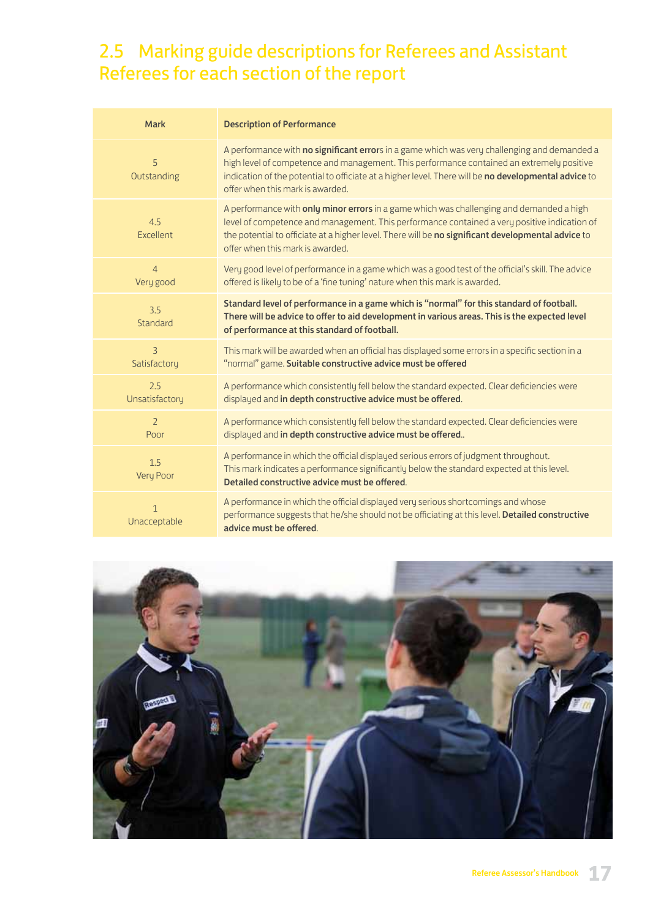# 2.5 Marking guide descriptions for Referees and Assistant Referees for each section of the report

| <b>Mark</b>                  | <b>Description of Performance</b>                                                                                                                                                                                                                                                                                                     |
|------------------------------|---------------------------------------------------------------------------------------------------------------------------------------------------------------------------------------------------------------------------------------------------------------------------------------------------------------------------------------|
| 5<br>Outstanding             | A performance with no significant errors in a game which was very challenging and demanded a<br>high level of competence and management. This performance contained an extremely positive<br>indication of the potential to officiate at a higher level. There will be no developmental advice to<br>offer when this mark is awarded. |
| 4.5<br>Excellent             | A performance with only minor errors in a game which was challenging and demanded a high<br>level of competence and management. This performance contained a very positive indication of<br>the potential to officiate at a higher level. There will be no significant developmental advice to<br>offer when this mark is awarded.    |
| $\overline{4}$<br>Very good  | Very good level of performance in a game which was a good test of the official's skill. The advice<br>offered is likely to be of a 'fine tuning' nature when this mark is awarded.                                                                                                                                                    |
| 3.5<br>Standard              | Standard level of performance in a game which is "normal" for this standard of football.<br>There will be advice to offer to aid development in various areas. This is the expected level<br>of performance at this standard of football.                                                                                             |
| 3<br>Satisfactory            | This mark will be awarded when an official has displayed some errors in a specific section in a<br>"normal" game. Suitable constructive advice must be offered                                                                                                                                                                        |
| 2.5<br>Unsatisfactory        | A performance which consistently fell below the standard expected. Clear deficiencies were<br>displayed and in depth constructive advice must be offered.                                                                                                                                                                             |
| $\overline{2}$<br>Poor       | A performance which consistently fell below the standard expected. Clear deficiencies were<br>displayed and in depth constructive advice must be offered                                                                                                                                                                              |
| 1.5<br>Very Poor             | A performance in which the official displayed serious errors of judgment throughout.<br>This mark indicates a performance significantly below the standard expected at this level.<br>Detailed constructive advice must be offered.                                                                                                   |
| $\mathbf{1}$<br>Unacceptable | A performance in which the official displayed very serious shortcomings and whose<br>performance suggests that he/she should not be officiating at this level. Detailed constructive<br>advice must be offered.                                                                                                                       |

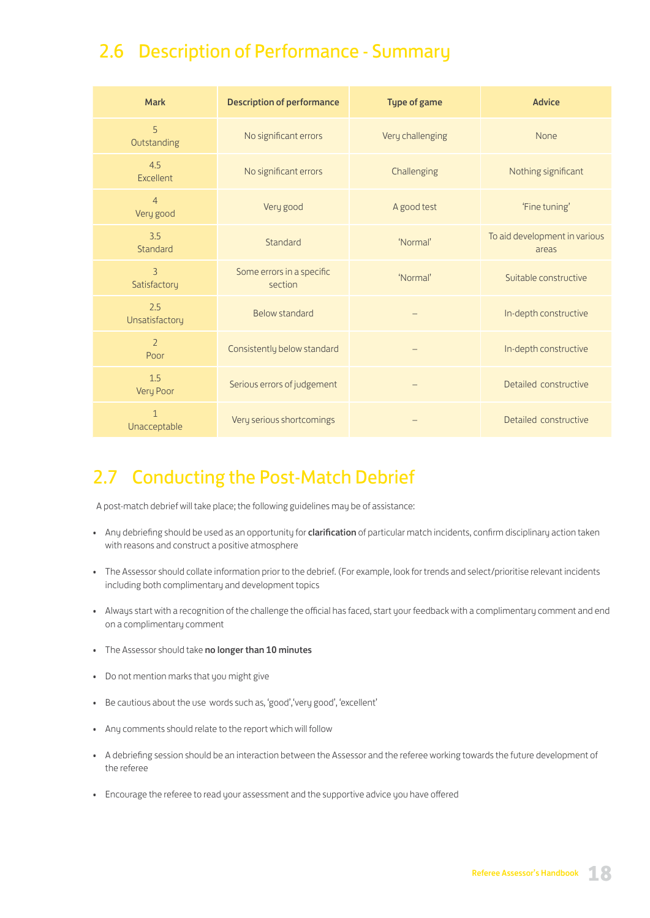# 2.6 Description of Performance - Summary

| <b>Mark</b>                    | <b>Description of performance</b>    | <b>Type of game</b> | <b>Advice</b>                          |
|--------------------------------|--------------------------------------|---------------------|----------------------------------------|
| 5<br>Outstanding               | No significant errors                | Very challenging    | None                                   |
| 4.5<br>Excellent               | No significant errors                | Challenging         | Nothing significant                    |
| $\overline{4}$<br>Very good    | Very good                            | A good test         | 'Fine tuning'                          |
| 3.5<br>Standard                | Standard                             | 'Normal'            | To aid development in various<br>areas |
| $\overline{3}$<br>Satisfactory | Some errors in a specific<br>section | 'Normal'            | Suitable constructive                  |
| 2.5<br>Unsatisfactory          | Below standard                       |                     | In-depth constructive                  |
| $\overline{2}$<br>Poor         | Consistently below standard          |                     | In-depth constructive                  |
| 1.5<br>Very Poor               | Serious errors of judgement          |                     | Detailed constructive                  |
| $\mathbf{1}$<br>Unacceptable   | Very serious shortcomings            |                     | Detailed constructive                  |

# 2.7 Conducting the Post-Match Debrief

A post-match debrief will take place; the following guidelines may be of assistance:

- Any debriefing should be used as an opportunity for clarification of particular match incidents, confirm disciplinary action taken with reasons and construct a positive atmosphere
- The Assessor should collate information prior to the debrief. (For example, look for trends and select/prioritise relevant incidents including both complimentary and development topics
- Always start with a recognition of the challenge the official has faced, start your feedback with a complimentary comment and end on a complimentary comment
- The Assessor should take no longer than 10 minutes
- Do not mention marks that you might give
- Be cautious about the use words such as, 'good','very good', 'excellent'
- Any comments should relate to the report which will follow
- A debriefing session should be an interaction between the Assessor and the referee working towards the future development of the referee
- Encourage the referee to read your assessment and the supportive advice you have offered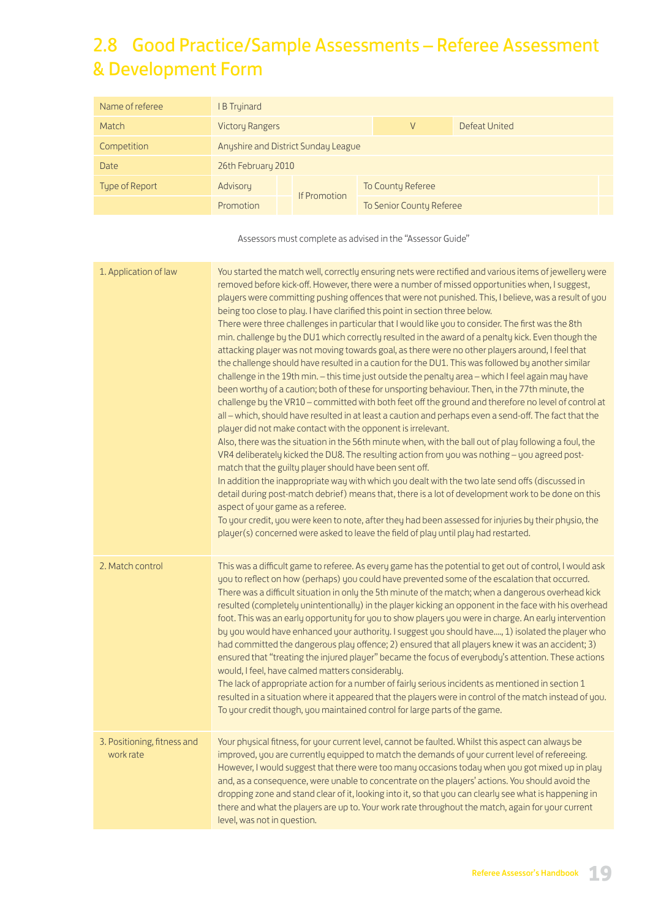# 2.8 Good Practice/Sample Assessments – Referee Assessment & Development Form

| Name of referee | <b>B</b> Tryinard                   |  |              |                          |               |
|-----------------|-------------------------------------|--|--------------|--------------------------|---------------|
| Match           | <b>Victory Rangers</b>              |  |              | V                        | Defeat United |
| Competition     | Anyshire and District Sunday League |  |              |                          |               |
| Date            | 26th February 2010                  |  |              |                          |               |
| Type of Report  | Advisory                            |  |              | To County Referee        |               |
|                 | Promotion                           |  | If Promotion | To Senior County Referee |               |

Assessors must complete as advised in the "Assessor Guide"

| 1. Application of law                    | You started the match well, correctly ensuring nets were rectified and various items of jewellery were<br>removed before kick-off. However, there were a number of missed opportunities when, I suggest,<br>players were committing pushing offences that were not punished. This, I believe, was a result of you<br>being too close to play. I have clarified this point in section three below.<br>There were three challenges in particular that I would like you to consider. The first was the 8th<br>min. challenge by the DU1 which correctly resulted in the award of a penalty kick. Even though the<br>attacking player was not moving towards goal, as there were no other players around, I feel that<br>the challenge should have resulted in a caution for the DU1. This was followed by another similar<br>challenge in the 19th min. - this time just outside the penalty area - which I feel again may have<br>been worthy of a caution; both of these for unsporting behaviour. Then, in the 77th minute, the<br>challenge by the VR10 - committed with both feet off the ground and therefore no level of control at<br>all - which, should have resulted in at least a caution and perhaps even a send-off. The fact that the<br>player did not make contact with the opponent is irrelevant.<br>Also, there was the situation in the 56th minute when, with the ball out of play following a foul, the<br>VR4 deliberately kicked the DU8. The resulting action from you was nothing - you agreed post-<br>match that the guilty player should have been sent off.<br>In addition the inappropriate way with which you dealt with the two late send offs (discussed in<br>detail during post-match debrief) means that, there is a lot of development work to be done on this<br>aspect of your game as a referee.<br>To your credit, you were keen to note, after they had been assessed for injuries by their physio, the<br>player(s) concerned were asked to leave the field of play until play had restarted. |
|------------------------------------------|-----------------------------------------------------------------------------------------------------------------------------------------------------------------------------------------------------------------------------------------------------------------------------------------------------------------------------------------------------------------------------------------------------------------------------------------------------------------------------------------------------------------------------------------------------------------------------------------------------------------------------------------------------------------------------------------------------------------------------------------------------------------------------------------------------------------------------------------------------------------------------------------------------------------------------------------------------------------------------------------------------------------------------------------------------------------------------------------------------------------------------------------------------------------------------------------------------------------------------------------------------------------------------------------------------------------------------------------------------------------------------------------------------------------------------------------------------------------------------------------------------------------------------------------------------------------------------------------------------------------------------------------------------------------------------------------------------------------------------------------------------------------------------------------------------------------------------------------------------------------------------------------------------------------------------------------------------------------------------------------------------------------------------------------|
| 2. Match control                         | This was a difficult game to referee. As every game has the potential to get out of control, I would ask<br>you to reflect on how (perhaps) you could have prevented some of the escalation that occurred.<br>There was a difficult situation in only the 5th minute of the match; when a dangerous overhead kick<br>resulted (completely unintentionally) in the player kicking an opponent in the face with his overhead<br>foot. This was an early opportunity for you to show players you were in charge. An early intervention<br>by you would have enhanced your authority. I suggest you should have, 1) isolated the player who<br>had committed the dangerous play offence; 2) ensured that all players knew it was an accident; 3)<br>ensured that "treating the injured player" became the focus of everybody's attention. These actions<br>would, I feel, have calmed matters considerably.<br>The lack of appropriate action for a number of fairly serious incidents as mentioned in section 1<br>resulted in a situation where it appeared that the players were in control of the match instead of you.<br>To your credit though, you maintained control for large parts of the game.                                                                                                                                                                                                                                                                                                                                                                                                                                                                                                                                                                                                                                                                                                                                                                                                                                   |
| 3. Positioning, fitness and<br>work rate | Your physical fitness, for your current level, cannot be faulted. Whilst this aspect can always be<br>improved, you are currently equipped to match the demands of your current level of refereeing.<br>However, I would suggest that there were too many occasions today when you got mixed up in play<br>and, as a consequence, were unable to concentrate on the players' actions. You should avoid the<br>dropping zone and stand clear of it, looking into it, so that you can clearly see what is happening in<br>there and what the players are up to. Your work rate throughout the match, again for your current<br>level, was not in question.                                                                                                                                                                                                                                                                                                                                                                                                                                                                                                                                                                                                                                                                                                                                                                                                                                                                                                                                                                                                                                                                                                                                                                                                                                                                                                                                                                                |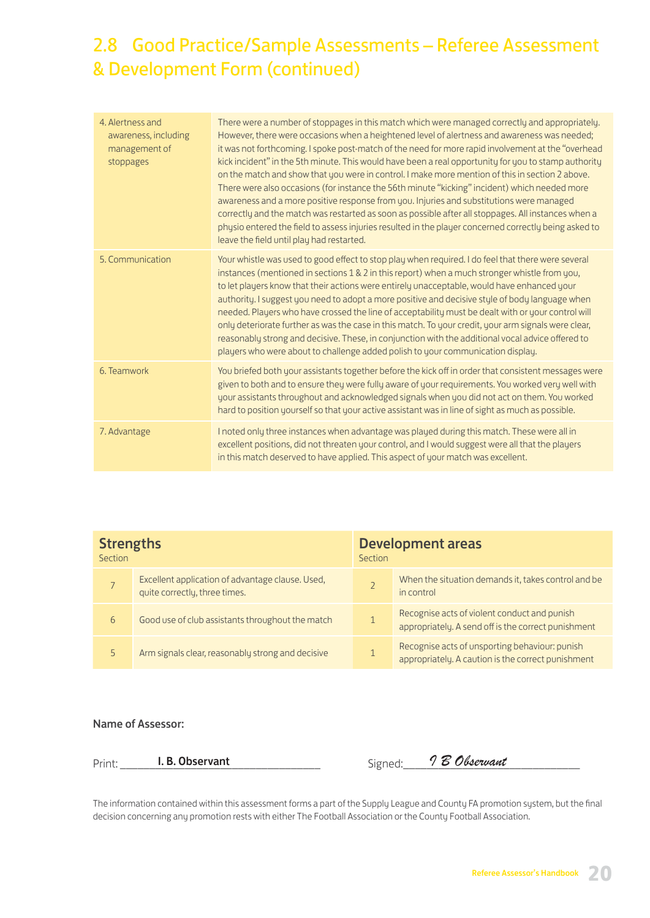# 2.8 Good Practice/Sample Assessments – Referee Assessment & Development Form (continued)

| 4. Alertness and<br>awareness, including<br>management of<br>stoppages | There were a number of stoppages in this match which were managed correctly and appropriately.<br>However, there were occasions when a heightened level of alertness and awareness was needed;<br>it was not forthcoming. I spoke post-match of the need for more rapid involvement at the "overhead<br>kick incident" in the 5th minute. This would have been a real opportunity for you to stamp authority<br>on the match and show that you were in control. I make more mention of this in section 2 above.<br>There were also occasions (for instance the 56th minute "kicking" incident) which needed more<br>awareness and a more positive response from you. Injuries and substitutions were managed<br>correctly and the match was restarted as soon as possible after all stoppages. All instances when a<br>physio entered the field to assess injuries resulted in the player concerned correctly being asked to<br>leave the field until play had restarted. |
|------------------------------------------------------------------------|---------------------------------------------------------------------------------------------------------------------------------------------------------------------------------------------------------------------------------------------------------------------------------------------------------------------------------------------------------------------------------------------------------------------------------------------------------------------------------------------------------------------------------------------------------------------------------------------------------------------------------------------------------------------------------------------------------------------------------------------------------------------------------------------------------------------------------------------------------------------------------------------------------------------------------------------------------------------------|
| 5. Communication                                                       | Your whistle was used to good effect to stop play when required. I do feel that there were several<br>instances (mentioned in sections 1 & 2 in this report) when a much stronger whistle from you,<br>to let players know that their actions were entirely unacceptable, would have enhanced your<br>authority. I suggest you need to adopt a more positive and decisive style of body language when<br>needed. Players who have crossed the line of acceptability must be dealt with or your control will<br>only deteriorate further as was the case in this match. To your credit, your arm signals were clear,<br>reasonably strong and decisive. These, in conjunction with the additional vocal advice offered to<br>players who were about to challenge added polish to your communication display.                                                                                                                                                               |
| 6. Teamwork                                                            | You briefed both your assistants together before the kick off in order that consistent messages were<br>given to both and to ensure they were fully aware of your requirements. You worked very well with<br>your assistants throughout and acknowledged signals when you did not act on them. You worked<br>hard to position yourself so that your active assistant was in line of sight as much as possible.                                                                                                                                                                                                                                                                                                                                                                                                                                                                                                                                                            |
| 7. Advantage                                                           | I noted only three instances when advantage was played during this match. These were all in<br>excellent positions, did not threaten your control, and I would suggest were all that the players<br>in this match deserved to have applied. This aspect of your match was excellent.                                                                                                                                                                                                                                                                                                                                                                                                                                                                                                                                                                                                                                                                                      |

| <b>Strengths</b><br>Section |                                                                                   | <b>Development areas</b><br>Section |                                                                                                      |  |
|-----------------------------|-----------------------------------------------------------------------------------|-------------------------------------|------------------------------------------------------------------------------------------------------|--|
|                             | Excellent application of advantage clause. Used,<br>quite correctly, three times. |                                     | When the situation demands it, takes control and be<br>in control                                    |  |
| 6                           | Good use of club assistants throughout the match                                  |                                     | Recognise acts of violent conduct and punish<br>appropriately. A send off is the correct punishment  |  |
| 5.                          | Arm signals clear, reasonably strong and decisive                                 | 1                                   | Recognise acts of unsporting behaviour: punish<br>appropriately. A caution is the correct punishment |  |

### Name of Assessor:

| $\sim$<br>Urir<br>. | .<br>. . | $\overline{\nu}$<br>rvant<br>$\overline{\phantom{a}}$<br>. . |
|---------------------|----------|--------------------------------------------------------------|
|                     |          |                                                              |

The information contained within this assessment forms a part of the Supply League and County FA promotion system, but the final decision concerning any promotion rests with either The Football Association or the County Football Association.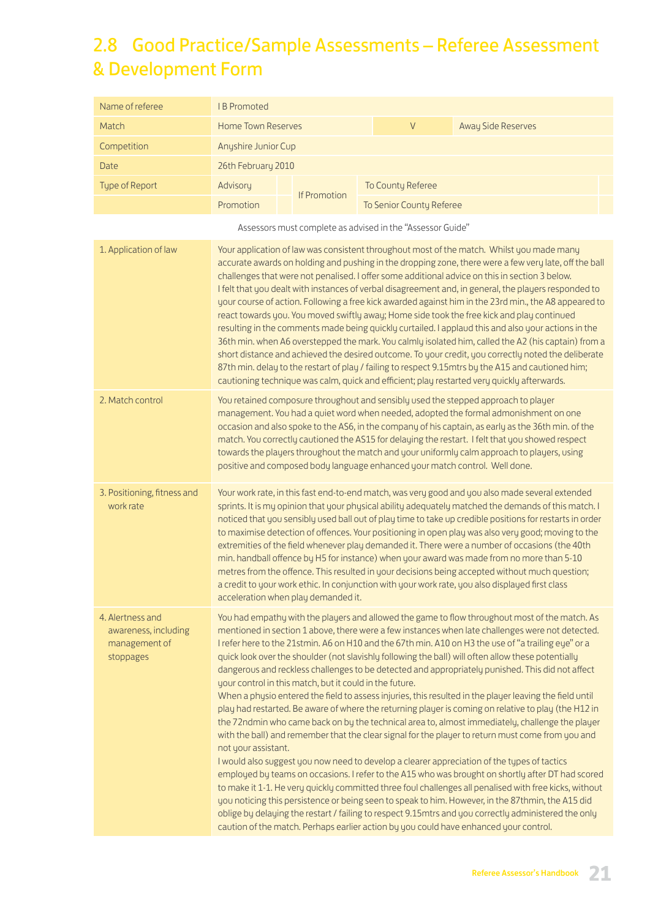# 2.8 Good Practice/Sample Assessments – Referee Assessment & Development Form

| Name of referee                                                        | <b>IB Promoted</b>                                                                                                                                                                                                                                                                                                                                                                                                                                                                                                                                                                                                                                                                                                                                                                                                                                                                                                                                                                                                                                                                                                                             |                     |                                                            |                                                                                                                                                                                                                                                                                                                                                                                                                                                                                                                                                                                                                                                                                                                                                                                                                                                                                                                                                                                                                                                                                                                                                                                                                                                                                                                                                                                                                                                                                                                                                                    |  |  |
|------------------------------------------------------------------------|------------------------------------------------------------------------------------------------------------------------------------------------------------------------------------------------------------------------------------------------------------------------------------------------------------------------------------------------------------------------------------------------------------------------------------------------------------------------------------------------------------------------------------------------------------------------------------------------------------------------------------------------------------------------------------------------------------------------------------------------------------------------------------------------------------------------------------------------------------------------------------------------------------------------------------------------------------------------------------------------------------------------------------------------------------------------------------------------------------------------------------------------|---------------------|------------------------------------------------------------|--------------------------------------------------------------------------------------------------------------------------------------------------------------------------------------------------------------------------------------------------------------------------------------------------------------------------------------------------------------------------------------------------------------------------------------------------------------------------------------------------------------------------------------------------------------------------------------------------------------------------------------------------------------------------------------------------------------------------------------------------------------------------------------------------------------------------------------------------------------------------------------------------------------------------------------------------------------------------------------------------------------------------------------------------------------------------------------------------------------------------------------------------------------------------------------------------------------------------------------------------------------------------------------------------------------------------------------------------------------------------------------------------------------------------------------------------------------------------------------------------------------------------------------------------------------------|--|--|
| Match                                                                  | <b>Home Town Reserves</b>                                                                                                                                                                                                                                                                                                                                                                                                                                                                                                                                                                                                                                                                                                                                                                                                                                                                                                                                                                                                                                                                                                                      |                     | $\vee$                                                     | <b>Away Side Reserves</b>                                                                                                                                                                                                                                                                                                                                                                                                                                                                                                                                                                                                                                                                                                                                                                                                                                                                                                                                                                                                                                                                                                                                                                                                                                                                                                                                                                                                                                                                                                                                          |  |  |
| Competition                                                            | Anyshire Junior Cup                                                                                                                                                                                                                                                                                                                                                                                                                                                                                                                                                                                                                                                                                                                                                                                                                                                                                                                                                                                                                                                                                                                            |                     |                                                            |                                                                                                                                                                                                                                                                                                                                                                                                                                                                                                                                                                                                                                                                                                                                                                                                                                                                                                                                                                                                                                                                                                                                                                                                                                                                                                                                                                                                                                                                                                                                                                    |  |  |
| Date                                                                   | 26th February 2010                                                                                                                                                                                                                                                                                                                                                                                                                                                                                                                                                                                                                                                                                                                                                                                                                                                                                                                                                                                                                                                                                                                             |                     |                                                            |                                                                                                                                                                                                                                                                                                                                                                                                                                                                                                                                                                                                                                                                                                                                                                                                                                                                                                                                                                                                                                                                                                                                                                                                                                                                                                                                                                                                                                                                                                                                                                    |  |  |
| Type of Report                                                         | Advisory                                                                                                                                                                                                                                                                                                                                                                                                                                                                                                                                                                                                                                                                                                                                                                                                                                                                                                                                                                                                                                                                                                                                       | <b>If Promotion</b> | To County Referee                                          |                                                                                                                                                                                                                                                                                                                                                                                                                                                                                                                                                                                                                                                                                                                                                                                                                                                                                                                                                                                                                                                                                                                                                                                                                                                                                                                                                                                                                                                                                                                                                                    |  |  |
|                                                                        | Promotion                                                                                                                                                                                                                                                                                                                                                                                                                                                                                                                                                                                                                                                                                                                                                                                                                                                                                                                                                                                                                                                                                                                                      |                     | To Senior County Referee                                   |                                                                                                                                                                                                                                                                                                                                                                                                                                                                                                                                                                                                                                                                                                                                                                                                                                                                                                                                                                                                                                                                                                                                                                                                                                                                                                                                                                                                                                                                                                                                                                    |  |  |
|                                                                        |                                                                                                                                                                                                                                                                                                                                                                                                                                                                                                                                                                                                                                                                                                                                                                                                                                                                                                                                                                                                                                                                                                                                                |                     | Assessors must complete as advised in the "Assessor Guide" |                                                                                                                                                                                                                                                                                                                                                                                                                                                                                                                                                                                                                                                                                                                                                                                                                                                                                                                                                                                                                                                                                                                                                                                                                                                                                                                                                                                                                                                                                                                                                                    |  |  |
| 1. Application of law                                                  | Your application of law was consistent throughout most of the match. Whilst you made many<br>accurate awards on holding and pushing in the dropping zone, there were a few very late, off the ball<br>challenges that were not penalised. I offer some additional advice on this in section 3 below.<br>I felt that you dealt with instances of verbal disagreement and, in general, the players responded to<br>your course of action. Following a free kick awarded against him in the 23rd min., the A8 appeared to<br>react towards you. You moved swiftly away; Home side took the free kick and play continued<br>resulting in the comments made being quickly curtailed. I applaud this and also your actions in the<br>36th min. when A6 overstepped the mark. You calmly isolated him, called the A2 (his captain) from a<br>short distance and achieved the desired outcome. To your credit, you correctly noted the deliberate<br>87th min. delay to the restart of play / failing to respect 9.15mtrs by the A15 and cautioned him;<br>cautioning technique was calm, quick and efficient; play restarted very quickly afterwards. |                     |                                                            |                                                                                                                                                                                                                                                                                                                                                                                                                                                                                                                                                                                                                                                                                                                                                                                                                                                                                                                                                                                                                                                                                                                                                                                                                                                                                                                                                                                                                                                                                                                                                                    |  |  |
| 2. Match control                                                       | You retained composure throughout and sensibly used the stepped approach to player<br>management. You had a quiet word when needed, adopted the formal admonishment on one<br>occasion and also spoke to the AS6, in the company of his captain, as early as the 36th min. of the<br>match. You correctly cautioned the AS15 for delaying the restart. I felt that you showed respect<br>towards the players throughout the match and your uniformly calm approach to players, using<br>positive and composed body language enhanced your match control. Well done.                                                                                                                                                                                                                                                                                                                                                                                                                                                                                                                                                                            |                     |                                                            |                                                                                                                                                                                                                                                                                                                                                                                                                                                                                                                                                                                                                                                                                                                                                                                                                                                                                                                                                                                                                                                                                                                                                                                                                                                                                                                                                                                                                                                                                                                                                                    |  |  |
| 3. Positioning, fitness and<br>work rate                               | Your work rate, in this fast end-to-end match, was very good and you also made several extended<br>sprints. It is my opinion that your physical ability adequately matched the demands of this match. I<br>noticed that you sensibly used ball out of play time to take up credible positions for restarts in order<br>to maximise detection of offences. Your positioning in open play was also very good; moving to the<br>extremities of the field whenever play demanded it. There were a number of occasions (the 40th<br>min. handball offence by H5 for instance) when your award was made from no more than 5-10<br>metres from the offence. This resulted in your decisions being accepted without much question;<br>a credit to your work ethic. In conjunction with your work rate, you also displayed first class<br>acceleration when play demanded it.                                                                                                                                                                                                                                                                           |                     |                                                            |                                                                                                                                                                                                                                                                                                                                                                                                                                                                                                                                                                                                                                                                                                                                                                                                                                                                                                                                                                                                                                                                                                                                                                                                                                                                                                                                                                                                                                                                                                                                                                    |  |  |
| 4. Alertness and<br>awareness, including<br>management of<br>stoppages | your control in this match, but it could in the future.<br>not your assistant.                                                                                                                                                                                                                                                                                                                                                                                                                                                                                                                                                                                                                                                                                                                                                                                                                                                                                                                                                                                                                                                                 |                     |                                                            | You had empathy with the players and allowed the game to flow throughout most of the match. As<br>mentioned in section 1 above, there were a few instances when late challenges were not detected.<br>I refer here to the 21stmin. A6 on H10 and the 67th min. A10 on H3 the use of "a trailing eye" or a<br>quick look over the shoulder (not slavishly following the ball) will often allow these potentially<br>dangerous and reckless challenges to be detected and appropriately punished. This did not affect<br>When a physio entered the field to assess injuries, this resulted in the player leaving the field until<br>play had restarted. Be aware of where the returning player is coming on relative to play (the H12 in<br>the 72ndmin who came back on by the technical area to, almost immediately, challenge the player<br>with the ball) and remember that the clear signal for the player to return must come from you and<br>I would also suggest you now need to develop a clearer appreciation of the types of tactics<br>employed by teams on occasions. I refer to the A15 who was brought on shortly after DT had scored<br>to make it 1-1. He very quickly committed three foul challenges all penalised with free kicks, without<br>you noticing this persistence or being seen to speak to him. However, in the 87thmin, the A15 did<br>oblige by delaying the restart / failing to respect 9.15mtrs and you correctly administered the only<br>caution of the match. Perhaps earlier action by you could have enhanced your control. |  |  |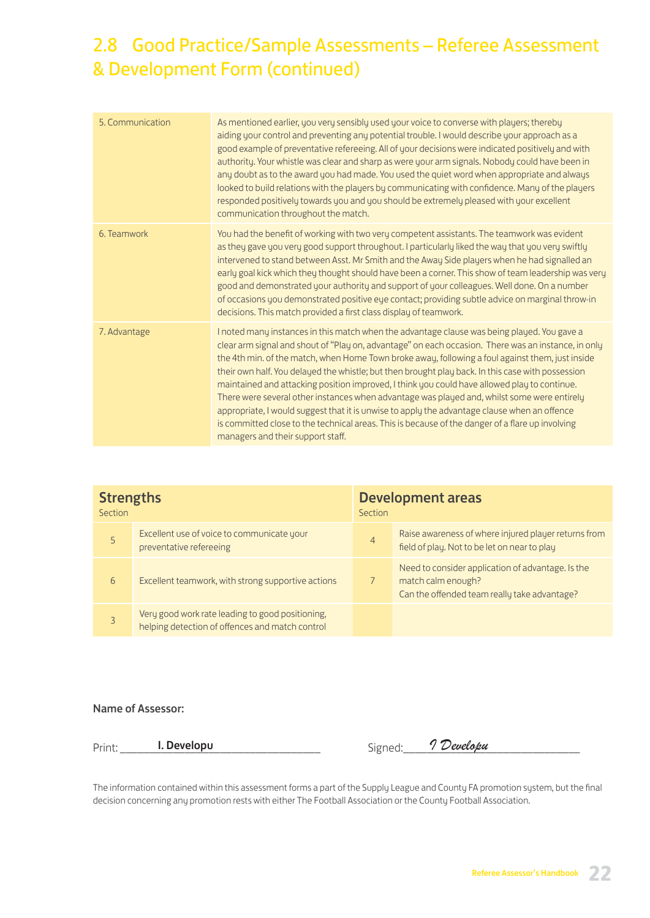# 2.8 Good Practice/Sample Assessments – Referee Assessment & Development Form (continued)

| 5. Communication | As mentioned earlier, you very sensibly used your voice to converse with players; thereby<br>aiding your control and preventing any potential trouble. I would describe your approach as a<br>good example of preventative refereeing. All of your decisions were indicated positively and with<br>authority. Your whistle was clear and sharp as were your arm signals. Nobody could have been in<br>any doubt as to the award you had made. You used the quiet word when appropriate and always<br>looked to build relations with the players by communicating with confidence. Many of the players<br>responded positively towards you and you should be extremely pleased with your excellent<br>communication throughout the match.                                                                                                            |
|------------------|-----------------------------------------------------------------------------------------------------------------------------------------------------------------------------------------------------------------------------------------------------------------------------------------------------------------------------------------------------------------------------------------------------------------------------------------------------------------------------------------------------------------------------------------------------------------------------------------------------------------------------------------------------------------------------------------------------------------------------------------------------------------------------------------------------------------------------------------------------|
| 6. Teamwork      | You had the benefit of working with two very competent assistants. The teamwork was evident<br>as they gave you very good support throughout. I particularly liked the way that you very swiftly<br>intervened to stand between Asst. Mr Smith and the Away Side players when he had signalled an<br>early goal kick which they thought should have been a corner. This show of team leadership was very<br>good and demonstrated your authority and support of your colleagues. Well done. On a number<br>of occasions you demonstrated positive eye contact; providing subtle advice on marginal throw-in<br>decisions. This match provided a first class display of teamwork.                                                                                                                                                                    |
| 7. Advantage     | I noted many instances in this match when the advantage clause was being played. You gave a<br>clear arm signal and shout of "Play on, advantage" on each occasion. There was an instance, in only<br>the 4th min. of the match, when Home Town broke away, following a foul against them, just inside<br>their own half. You delayed the whistle; but then brought play back. In this case with possession<br>maintained and attacking position improved, I think you could have allowed play to continue.<br>There were several other instances when advantage was played and, whilst some were entirely<br>appropriate, I would suggest that it is unwise to apply the advantage clause when an offence<br>is committed close to the technical areas. This is because of the danger of a flare up involving<br>managers and their support staff. |

| <b>Strengths</b><br>Section |                                                                                                     | <b>Development areas</b><br>Section |                                                                                                                         |
|-----------------------------|-----------------------------------------------------------------------------------------------------|-------------------------------------|-------------------------------------------------------------------------------------------------------------------------|
| 5                           | Excellent use of voice to communicate your<br>preventative refereeing                               | 4                                   | Raise awareness of where injured player returns from<br>field of play. Not to be let on near to play                    |
| 6                           | Excellent teamwork, with strong supportive actions                                                  |                                     | Need to consider application of advantage. Is the<br>match calm enough?<br>Can the offended team really take advantage? |
| 3                           | Very good work rate leading to good positioning,<br>helping detection of offences and match control |                                     |                                                                                                                         |

### Name of Assessor:

| Dri<br>. | _____<br>_____<br>__<br>__<br>____ | .<br>$\overline{\phantom{a}}$ | ___ |
|----------|------------------------------------|-------------------------------|-----|
|          |                                    | ∼                             |     |

The information contained within this assessment forms a part of the Supply League and County FA promotion system, but the final decision concerning any promotion rests with either The Football Association or the County Football Association.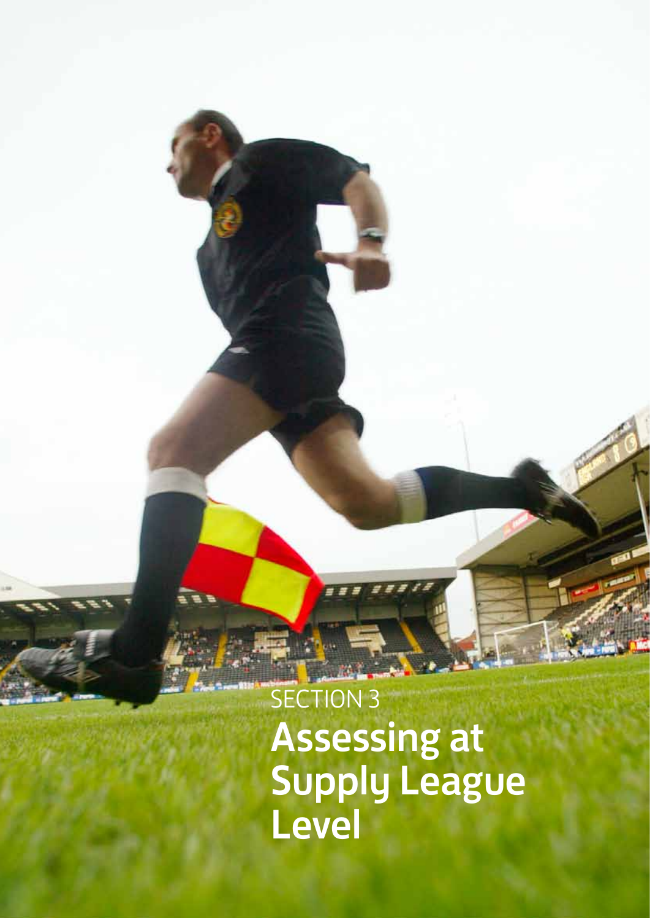SECTION 3 Assessing at Supply League Level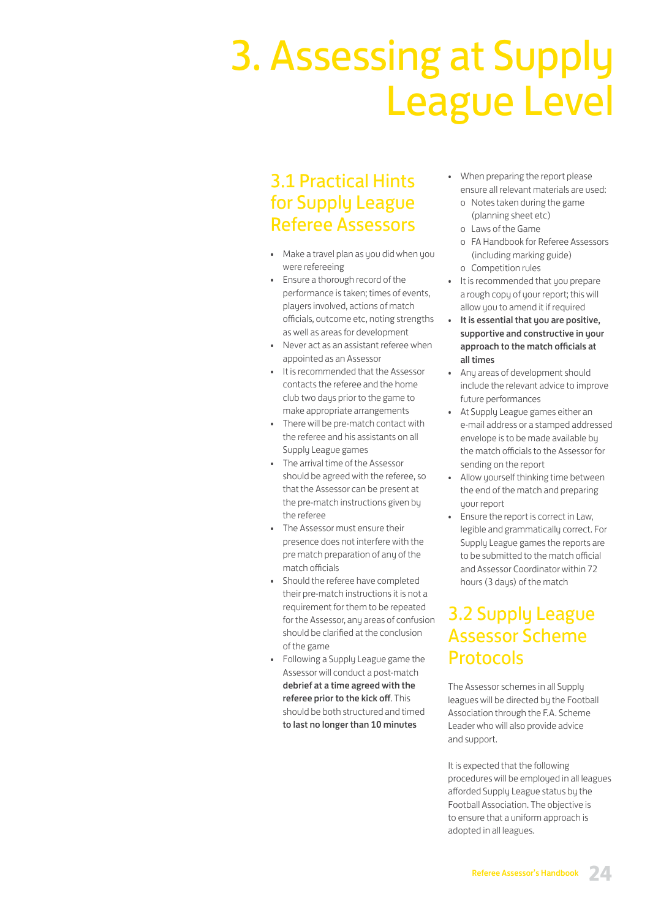# 3. Assessing at Supply League Level

## 3.1 Practical Hints for Supply League Referee Assessors

- Make a travel plan as you did when you were refereeing
- Ensure a thorough record of the performance is taken; times of events, players involved, actions of match officials, outcome etc, noting strengths as well as areas for development
- Never act as an assistant referee when appointed as an Assessor
- It is recommended that the Assessor contacts the referee and the home club two days prior to the game to make appropriate arrangements
- There will be pre-match contact with the referee and his assistants on all Supply League games
- The arrival time of the Assessor should be agreed with the referee, so that the Assessor can be present at the pre-match instructions given by the referee
- The Assessor must ensure their presence does not interfere with the pre match preparation of any of the match officials
- Should the referee have completed their pre-match instructions it is not a requirement for them to be repeated for the Assessor, any areas of confusion should be clarified at the conclusion of the game
- Following a Supply League game the Assessor will conduct a post-match debrief at a time agreed with the referee prior to the kick off. This should be both structured and timed to last no longer than 10 minutes
- When preparing the report please ensure all relevant materials are used:
	- o Notes taken during the game (planning sheet etc)
	- o Laws of the Game
	- o FA Handbook for Referee Assessors (including marking guide)
	- o Competition rules
- It is recommended that you prepare a rough copy of your report; this will allow you to amend it if required
- It is essential that you are positive, supportive and constructive in your approach to the match officials at all times
- Any areas of development should include the relevant advice to improve future performances
- At Supply League games either an e-mail address or a stamped addressed envelope is to be made available by the match officials to the Assessor for sending on the report
- Allow yourself thinking time between the end of the match and preparing your report
- Ensure the report is correct in Law, legible and grammatically correct. For Supply League games the reports are to be submitted to the match official and Assessor Coordinator within 72 hours (3 days) of the match

# 3.2 Supply League Assessor Scheme **Protocols**

The Assessor schemes in all Supply leagues will be directed by the Football Association through the F.A. Scheme Leader who will also provide advice and support.

It is expected that the following procedures will be employed in all leagues afforded Supply League status by the Football Association. The objective is to ensure that a uniform approach is adopted in all leagues.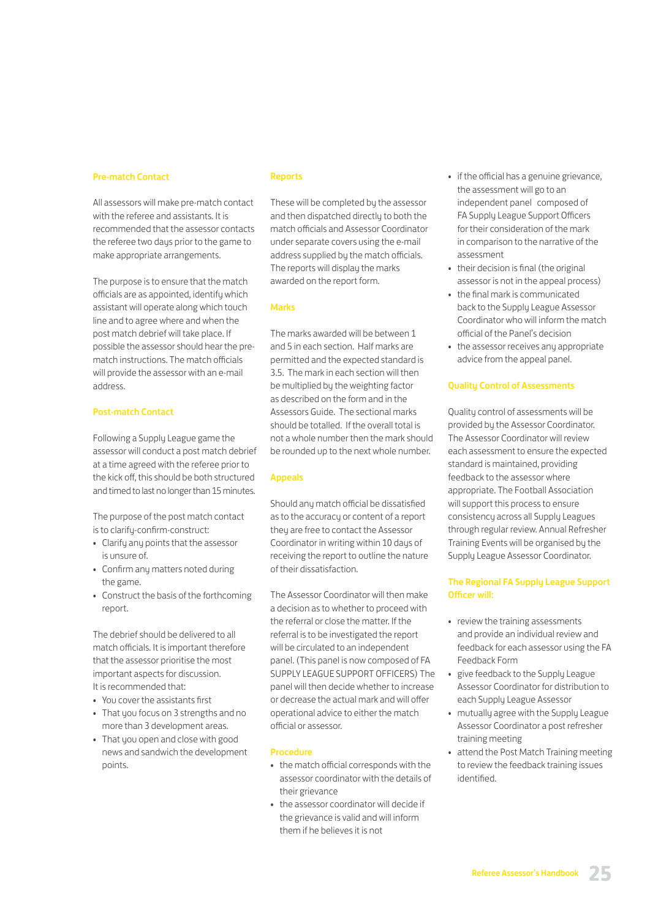#### Pre-match Contact

All assessors will make pre-match contact with the referee and assistants. It is recommended that the assessor contacts the referee two days prior to the game to make appropriate arrangements.

The purpose is to ensure that the match officials are as appointed, identify which assistant will operate along which touch line and to agree where and when the post match debrief will take place. If possible the assessor should hear the prematch instructions. The match officials will provide the assessor with an e-mail address.

#### Post-match Contact

Following a Supply League game the assessor will conduct a post match debrief at a time agreed with the referee prior to the kick off, this should be both structured and timed to last no longer than 15 minutes.

The purpose of the post match contact is to clarify-confirm-construct:

- Clarify any points that the assessor is unsure of.
- Confirm any matters noted during the game.
- Construct the basis of the forthcoming report.

The debrief should be delivered to all match officials. It is important therefore that the assessor prioritise the most important aspects for discussion. It is recommended that:

- You cover the assistants first
- That you focus on 3 strengths and no more than 3 development areas.
- That you open and close with good news and sandwich the development points.

#### Reports

These will be completed by the assessor and then dispatched directly to both the match officials and Assessor Coordinator under separate covers using the e-mail address supplied by the match officials. The reports will display the marks awarded on the report form.

#### Marks

The marks awarded will be between 1 and 5 in each section. Half marks are permitted and the expected standard is 3.5. The mark in each section will then be multiplied by the weighting factor as described on the form and in the Assessors Guide. The sectional marks should be totalled. If the overall total is not a whole number then the mark should be rounded up to the next whole number.

#### Appeals

Should any match official be dissatisfied as to the accuracy or content of a report they are free to contact the Assessor Coordinator in writing within 10 days of receiving the report to outline the nature of their dissatisfaction.

The Assessor Coordinator will then make a decision as to whether to proceed with the referral or close the matter. If the referral is to be investigated the report will be circulated to an independent panel. (This panel is now composed of FA SUPPLY LEAGUE SUPPORT OFFICERS) The panel will then decide whether to increase or decrease the actual mark and will offer operational advice to either the match official or assessor.

#### Procedure

- the match official corresponds with the assessor coordinator with the details of their grievance
- the assessor coordinator will decide if the grievance is valid and will inform them if he believes it is not
- if the official has a genuine grievance, the assessment will go to an independent panel composed of FA Supply League Support Officers for their consideration of the mark in comparison to the narrative of the assessment
- their decision is final (the original assessor is not in the appeal process)
- the final mark is communicated back to the Supply League Assessor Coordinator who will inform the match official of the Panel's decision
- the assessor receives any appropriate advice from the appeal panel.

#### Quality Control of Assessments

Quality control of assessments will be provided by the Assessor Coordinator. The Assessor Coordinator will review each assessment to ensure the expected standard is maintained, providing feedback to the assessor where appropriate. The Football Association will support this process to ensure consistency across all Supply Leagues through regular review. Annual Refresher Training Events will be organised by the Supply League Assessor Coordinator.

#### The Regional FA Supply League Support Officer will:

- review the training assessments and provide an individual review and feedback for each assessor using the FA Feedback Form
- give feedback to the Supply League Assessor Coordinator for distribution to each Supply League Assessor
- mutually agree with the Supply League Assessor Coordinator a post refresher training meeting
- attend the Post Match Training meeting to review the feedback training issues identified.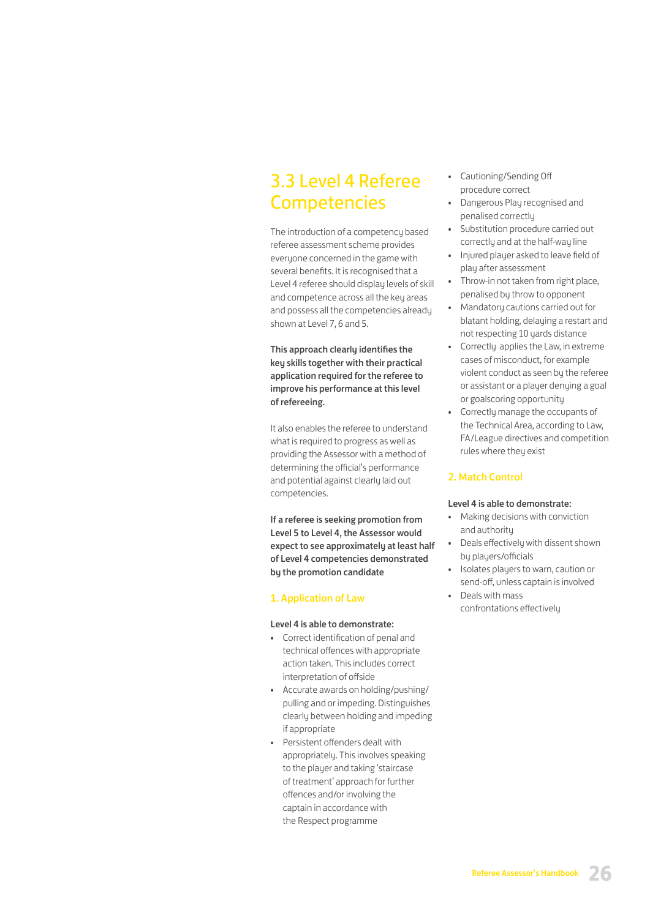# 3.3 Level 4 Referee **Competencies**

The introduction of a competency based referee assessment scheme provides everyone concerned in the game with several benefits. It is recognised that a Level 4 referee should display levels of skill and competence across all the key areas and possess all the competencies already shown at Level 7, 6 and 5.

This approach clearly identifies the key skills together with their practical application required for the referee to improve his performance at this level of refereeing.

It also enables the referee to understand what is required to progress as well as providing the Assessor with a method of determining the official's performance and potential against clearly laid out competencies.

If a referee is seeking promotion from Level 5 to Level 4, the Assessor would expect to see approximately at least half of Level 4 competencies demonstrated by the promotion candidate

### 1. Application of Law

#### Level 4 is able to demonstrate:

- Correct identification of penal and technical offences with appropriate action taken. This includes correct interpretation of offside
- Accurate awards on holding/pushing/ pulling and or impeding. Distinguishes clearly between holding and impeding if appropriate
- Persistent offenders dealt with appropriately. This involves speaking to the player and taking 'staircase of treatment' approach for further offences and/or involving the captain in accordance with the Respect programme
- Cautioning/Sending Off procedure correct
- Dangerous Play recognised and penalised correctly
- Substitution procedure carried out correctly and at the half-way line
- Injured player asked to leave field of play after assessment
- Throw-in not taken from right place, penalised by throw to opponent
- Mandatory cautions carried out for blatant holding, delaying a restart and not respecting 10 yards distance
- Correctly applies the Law, in extreme cases of misconduct, for example violent conduct as seen by the referee or assistant or a player denying a goal or goalscoring opportunity
- Correctly manage the occupants of the Technical Area, according to Law, FA/League directives and competition rules where they exist

#### 2. Match Control

#### Level 4 is able to demonstrate:

- Making decisions with conviction and authority
- Deals effectively with dissent shown by players/officials
- Isolates players to warn, caution or send-off, unless captain is involved
- Deals with mass confrontations effectively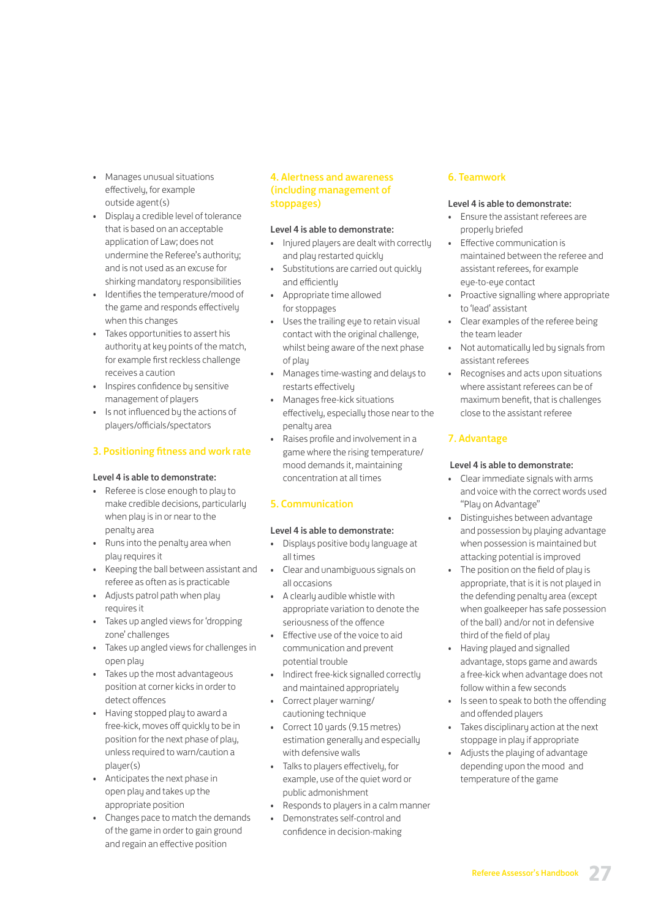- Manages unusual situations effectively, for example outside agent(s)
- Display a credible level of tolerance that is based on an acceptable application of Law; does not undermine the Referee's authority; and is not used as an excuse for shirking mandatory responsibilities
- Identifies the temperature/mood of the game and responds effectively when this changes
- Takes opportunities to assert his authority at key points of the match, for example first reckless challenge receives a caution
- Inspires confidence by sensitive management of players
- Is not influenced by the actions of players/officials/spectators

### 3. Positioning fitness and work rate

### Level 4 is able to demonstrate:

- Referee is close enough to play to make credible decisions, particularly when play is in or near to the penalty area
- Runs into the penalty area when play requires it
- Keeping the ball between assistant and referee as often as is practicable
- Adjusts patrol path when play requires it
- Takes up angled views for 'dropping zone' challenges
- Takes up angled views for challenges in open play
- Takes up the most advantageous position at corner kicks in order to detect offences
- Having stopped play to award a free-kick, moves off quickly to be in position for the next phase of play, unless required to warn/caution a plauer(s)
- Anticipates the next phase in open play and takes up the appropriate position
- Changes pace to match the demands of the game in order to gain ground and regain an effective position

### 4. Alertness and awareness (including management of stoppages)

### Level 4 is able to demonstrate:

- Injured players are dealt with correctly and play restarted quickly
- Substitutions are carried out quickly and efficiently
- Appropriate time allowed for stoppages
- Uses the trailing eye to retain visual contact with the original challenge, whilst being aware of the next phase of play
- Manages time-wasting and delays to restarts effectively
- Manages free-kick situations effectively, especially those near to the penalty area
- Raises profile and involvement in a game where the rising temperature/ mood demands it, maintaining concentration at all times

### 5. Communication

### Level 4 is able to demonstrate:

- Displays positive body language at all times
- Clear and unambiguous signals on all occasions
- A clearly audible whistle with appropriate variation to denote the seriousness of the offence
- Effective use of the voice to aid communication and prevent potential trouble
- Indirect free-kick signalled correctly and maintained appropriately
- Correct player warning/ cautioning technique
- Correct 10 yards (9.15 metres) estimation generally and especially with defensive walls
- Talks to players effectively, for example, use of the quiet word or public admonishment
- Responds to players in a calm manner

#### • Demonstrates self-control and confidence in decision-making

### 6. Teamwork

#### Level 4 is able to demonstrate:

- Ensure the assistant referees are properly briefed
- Effective communication is maintained between the referee and assistant referees, for example eye-to-eye contact
- Proactive signalling where appropriate to 'lead' assistant
- Clear examples of the referee being the team leader
- Not automatically led by signals from assistant referees
- Recognises and acts upon situations where assistant referees can be of maximum benefit, that is challenges close to the assistant referee

### 7. Advantage

### Level 4 is able to demonstrate:

- Clear immediate signals with arms and voice with the correct words used "Play on Advantage"
- Distinguishes between advantage and possession by playing advantage when possession is maintained but attacking potential is improved
- The position on the field of play is appropriate, that is it is not played in the defending penalty area (except when goalkeeper has safe possession of the ball) and/or not in defensive third of the field of play
- Having played and signalled advantage, stops game and awards a free-kick when advantage does not follow within a few seconds
- Is seen to speak to both the offending and offended players
- Takes disciplinary action at the next stoppage in play if appropriate
- Adjusts the playing of advantage depending upon the mood and temperature of the game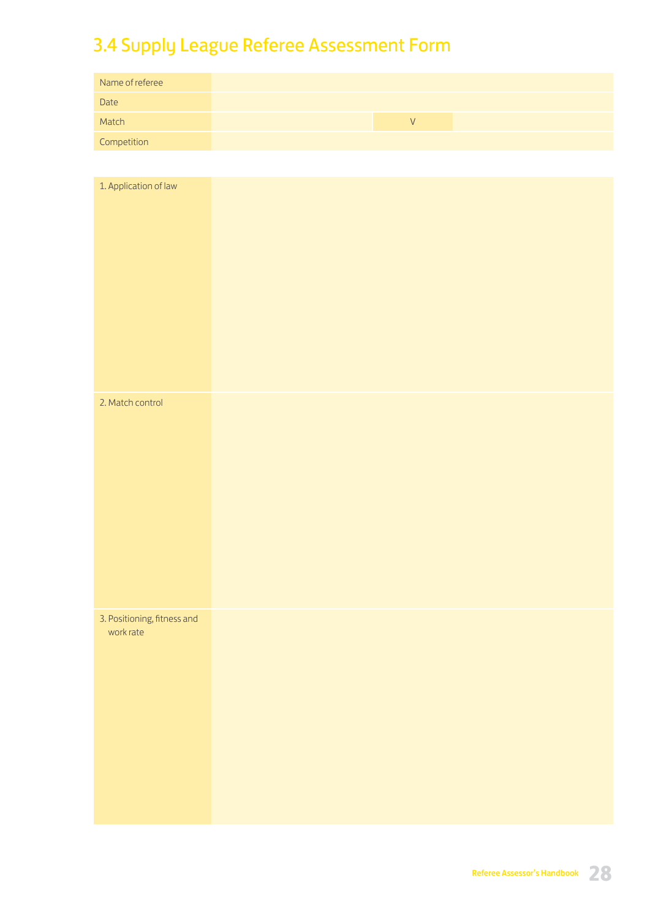# 3.4 Supply League Referee Assessment Form

| Name of referee |
|-----------------|
| Date            |
| Match           |
| Competition     |

| 1. Application of law                    |  |  |
|------------------------------------------|--|--|
| 2. Match control                         |  |  |
| 3. Positioning, fitness and<br>work rate |  |  |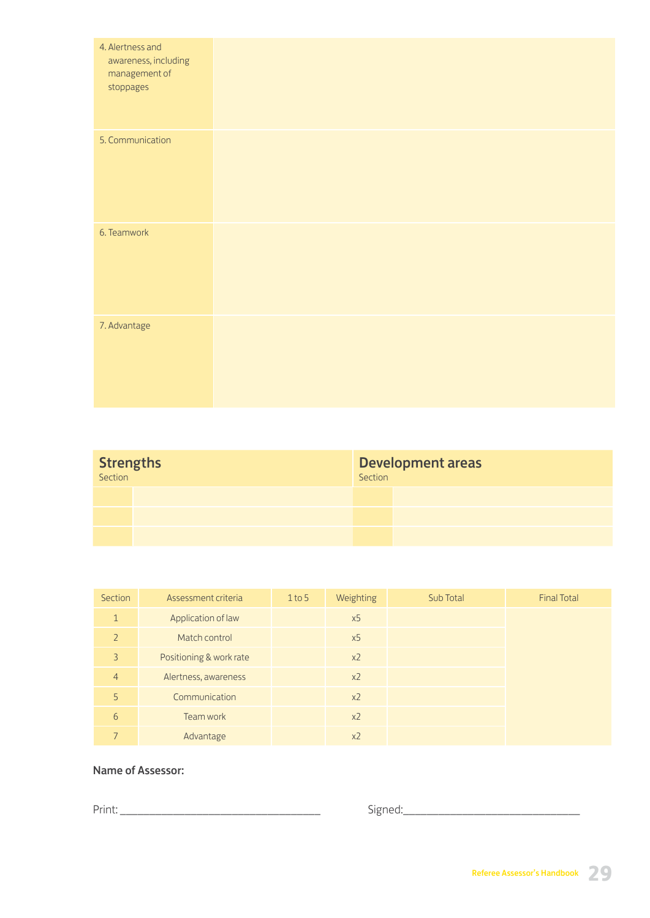| 4. Alertness and<br>awareness, including<br>management of<br>stoppages |  |  |  |
|------------------------------------------------------------------------|--|--|--|
| 5. Communication                                                       |  |  |  |
| 6. Teamwork                                                            |  |  |  |
| 7. Advantage                                                           |  |  |  |

| <b>Strengths</b> |  | Development areas<br>Section |  |
|------------------|--|------------------------------|--|
|                  |  |                              |  |
|                  |  |                              |  |
|                  |  |                              |  |

| Section        | Assessment criteria     | $1$ to 5 | Weighting      | Sub Total | <b>Final Total</b> |
|----------------|-------------------------|----------|----------------|-----------|--------------------|
| $\mathbf{1}$   | Application of law      |          | x5             |           |                    |
| $\overline{2}$ | Match control           |          | x5             |           |                    |
| 3              | Positioning & work rate |          | $x^2$          |           |                    |
| $\overline{4}$ | Alertness, awareness    |          | $x^2$          |           |                    |
| 5              | Communication           |          | x <sub>2</sub> |           |                    |
| 6              | Team work               |          | x <sub>2</sub> |           |                    |
|                | Advantage               |          | x <sub>2</sub> |           |                    |

## Name of Assessor:

Print: \_\_\_\_\_\_\_\_\_\_\_\_\_\_\_\_\_\_\_\_\_\_\_\_\_\_\_\_\_\_\_\_\_\_ Signed:\_\_\_\_\_\_\_\_\_\_\_\_\_\_\_\_\_\_\_\_\_\_\_\_\_\_\_\_\_\_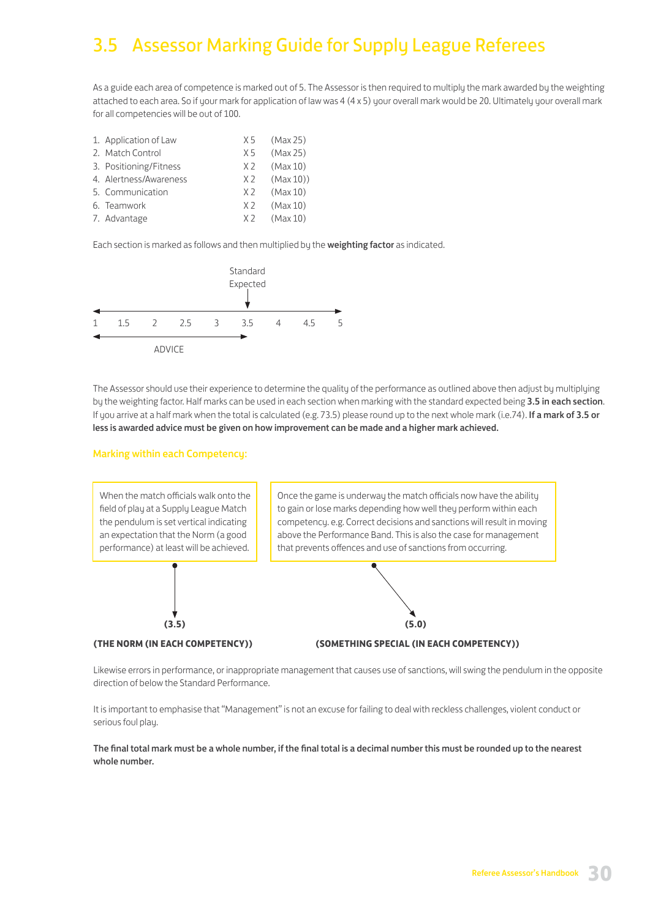# 3.5 Assessor Marking Guide for Supply League Referees

As a guide each area of competence is marked out of 5. The Assessor is then required to multiply the mark awarded by the weighting attached to each area. So if your mark for application of law was 4 (4 x 5) your overall mark would be 20. Ultimately your overall mark for all competencies will be out of 100.

| 1. Application of Law  | X 5            | (Max 25) |
|------------------------|----------------|----------|
| 2. Match Control       | X 5            | (Max 25) |
| 3. Positioning/Fitness | X <sub>2</sub> | (Max 10) |
| 4. Alertness/Awareness | X <sub>2</sub> | (Max 10) |
| 5. Communication       | X 2            | (Max 10) |
| 6. Teamwork            | X <sub>2</sub> | (Max 10) |
| 7. Advantage           | X 2            | (Max 10) |

Each section is marked as follows and then multiplied by the weighting factor as indicated.



The Assessor should use their experience to determine the quality of the performance as outlined above then adjust by multiplying by the weighting factor. Half marks can be used in each section when marking with the standard expected being 3.5 in each section. If you arrive at a half mark when the total is calculated (e.g. 73.5) please round up to the next whole mark (i.e.74). If a mark of 3.5 or less is awarded advice must be given on how improvement can be made and a higher mark achieved.

#### Marking within each Competency:



Likewise errors in performance, or inappropriate management that causes use of sanctions, will swing the pendulum in the opposite direction of below the Standard Performance.

It is important to emphasise that "Management" is not an excuse for failing to deal with reckless challenges, violent conduct or serious foul play.

The final total mark must be a whole number, if the final total is a decimal number this must be rounded up to the nearest whole number.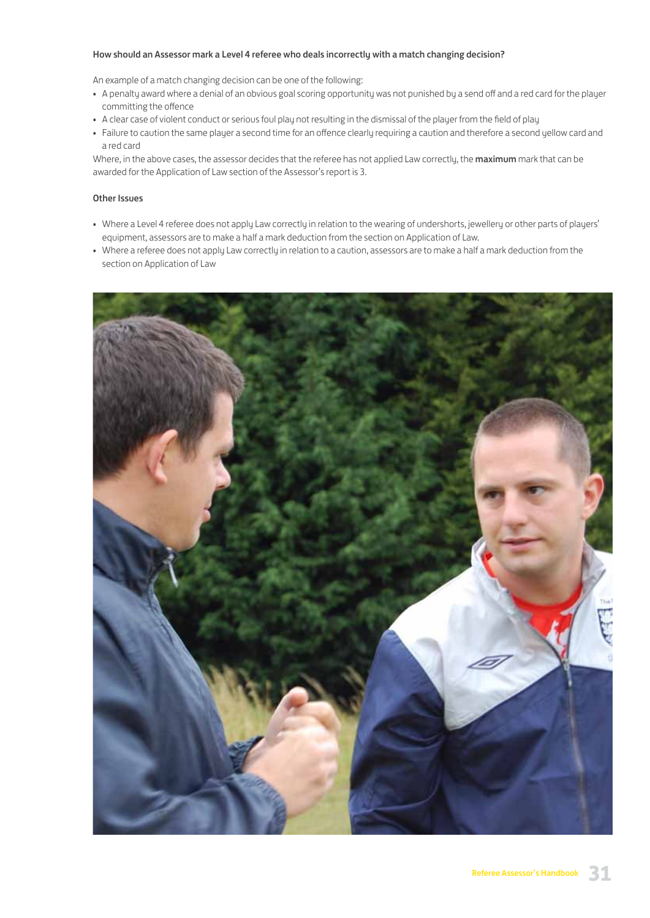#### How should an Assessor mark a Level 4 referee who deals incorrectly with a match changing decision?

An example of a match changing decision can be one of the following:

- A penalty award where a denial of an obvious goal scoring opportunity was not punished by a send off and a red card for the player committing the offence
- A clear case of violent conduct or serious foul play not resulting in the dismissal of the player from the field of play
- Failure to caution the same player a second time for an offence clearly requiring a caution and therefore a second yellow card and a red card

Where, in the above cases, the assessor decides that the referee has not applied Law correctly, the maximum mark that can be awarded for the Application of Law section of the Assessor's report is 3.

#### Other Issues

- Where a Level 4 referee does not apply Law correctly in relation to the wearing of undershorts, jewellery or other parts of players' equipment, assessors are to make a half a mark deduction from the section on Application of Law.
- Where a referee does not apply Law correctly in relation to a caution, assessors are to make a half a mark deduction from the section on Application of Law

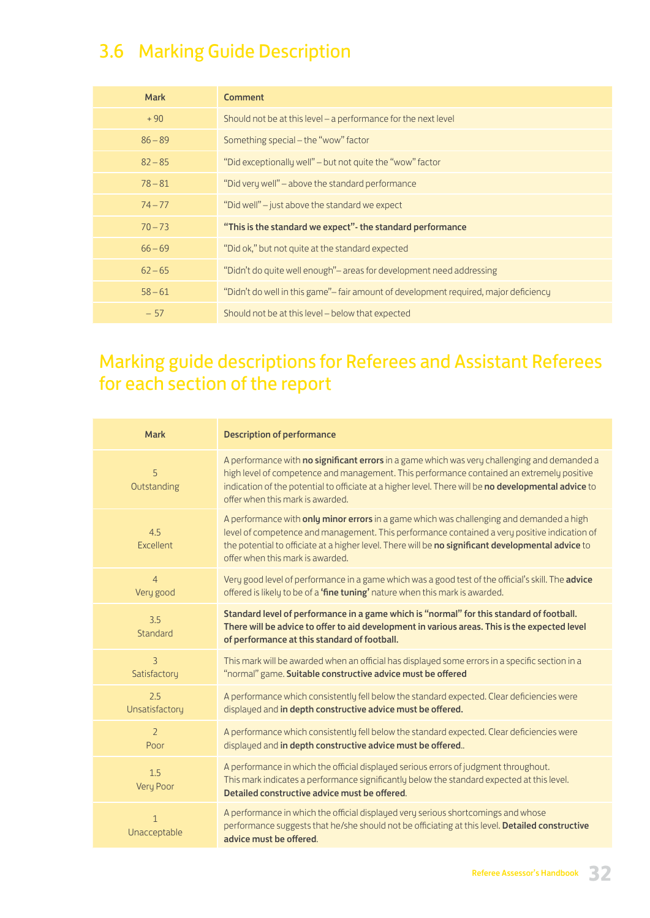# 3.6 Marking Guide Description

| <b>Mark</b> | Comment                                                                              |
|-------------|--------------------------------------------------------------------------------------|
| $+90$       | Should not be at this level – a performance for the next level                       |
| $86 - 89$   | Something special - the "wow" factor                                                 |
| $82 - 85$   | "Did exceptionally well" – but not quite the "wow" factor                            |
| $78 - 81$   | "Did very well" – above the standard performance                                     |
| $74 - 77$   | "Did well" – just above the standard we expect                                       |
| $70 - 73$   | "This is the standard we expect"- the standard performance                           |
| $66 - 69$   | "Did ok," but not quite at the standard expected                                     |
| $62 - 65$   | "Didn't do quite well enough"- areas for development need addressing                 |
| $58 - 61$   | "Didn't do well in this game"— fair amount of development required, major deficiency |
| $-57$       | Should not be at this level - below that expected                                    |

# Marking guide descriptions for Referees and Assistant Referees for each section of the report

| <b>Mark</b>                  | <b>Description of performance</b>                                                                                                                                                                                                                                                                                                     |
|------------------------------|---------------------------------------------------------------------------------------------------------------------------------------------------------------------------------------------------------------------------------------------------------------------------------------------------------------------------------------|
| 5<br>Outstanding             | A performance with no significant errors in a game which was very challenging and demanded a<br>high level of competence and management. This performance contained an extremely positive<br>indication of the potential to officiate at a higher level. There will be no developmental advice to<br>offer when this mark is awarded. |
| 4.5<br>Excellent             | A performance with only minor errors in a game which was challenging and demanded a high<br>level of competence and management. This performance contained a very positive indication of<br>the potential to officiate at a higher level. There will be no significant developmental advice to<br>offer when this mark is awarded.    |
| $\overline{4}$<br>Very good  | Very good level of performance in a game which was a good test of the official's skill. The advice<br>offered is likely to be of a 'fine tuning' nature when this mark is awarded.                                                                                                                                                    |
| 3.5<br>Standard              | Standard level of performance in a game which is "normal" for this standard of football.<br>There will be advice to offer to aid development in various areas. This is the expected level<br>of performance at this standard of football.                                                                                             |
| 3<br>Satisfactory            | This mark will be awarded when an official has displayed some errors in a specific section in a<br>"normal" game. Suitable constructive advice must be offered                                                                                                                                                                        |
| 2.5<br>Unsatisfactory        | A performance which consistently fell below the standard expected. Clear deficiencies were<br>displayed and in depth constructive advice must be offered.                                                                                                                                                                             |
| $\overline{2}$<br>Poor       | A performance which consistently fell below the standard expected. Clear deficiencies were<br>displayed and in depth constructive advice must be offered                                                                                                                                                                              |
| 1.5<br>Very Poor             | A performance in which the official displayed serious errors of judgment throughout.<br>This mark indicates a performance significantly below the standard expected at this level.<br>Detailed constructive advice must be offered.                                                                                                   |
| $\mathbf{1}$<br>Unacceptable | A performance in which the official displayed very serious shortcomings and whose<br>performance suggests that he/she should not be officiating at this level. Detailed constructive<br>advice must be offered.                                                                                                                       |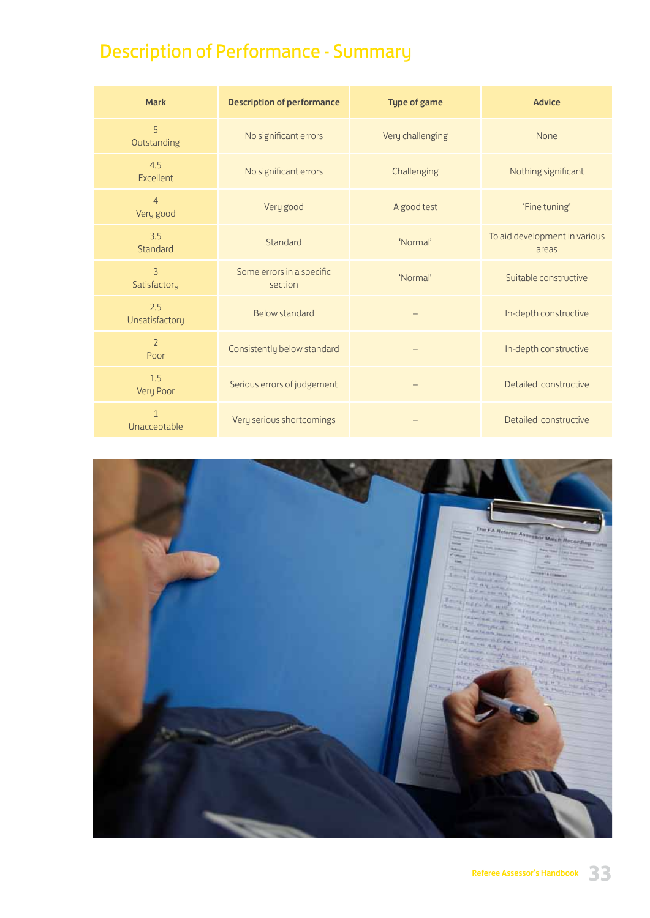# Description of Performance - Summary

| <b>Mark</b>                    | <b>Description of performance</b>    | <b>Type of game</b> | <b>Advice</b>                          |
|--------------------------------|--------------------------------------|---------------------|----------------------------------------|
| 5<br>Outstanding               | No significant errors                | Very challenging    | None                                   |
| 4.5<br>Excellent               | No significant errors                | Challenging         | Nothing significant                    |
| $\overline{4}$<br>Very good    | Very good                            | A good test         | 'Fine tuning'                          |
| 3.5<br>Standard                | Standard                             | 'Normal'            | To aid development in various<br>areas |
| $\overline{3}$<br>Satisfactory | Some errors in a specific<br>section | 'Normal'            | Suitable constructive                  |
| 2.5<br>Unsatisfactory          | <b>Below standard</b>                |                     | In-depth constructive                  |
| $\overline{2}$<br>Poor         | Consistently below standard          |                     | In-depth constructive                  |
| 1.5<br>Very Poor               | Serious errors of judgement          |                     | Detailed constructive                  |
| $\mathbf{1}$<br>Unacceptable   | Very serious shortcomings            |                     | Detailed constructive                  |

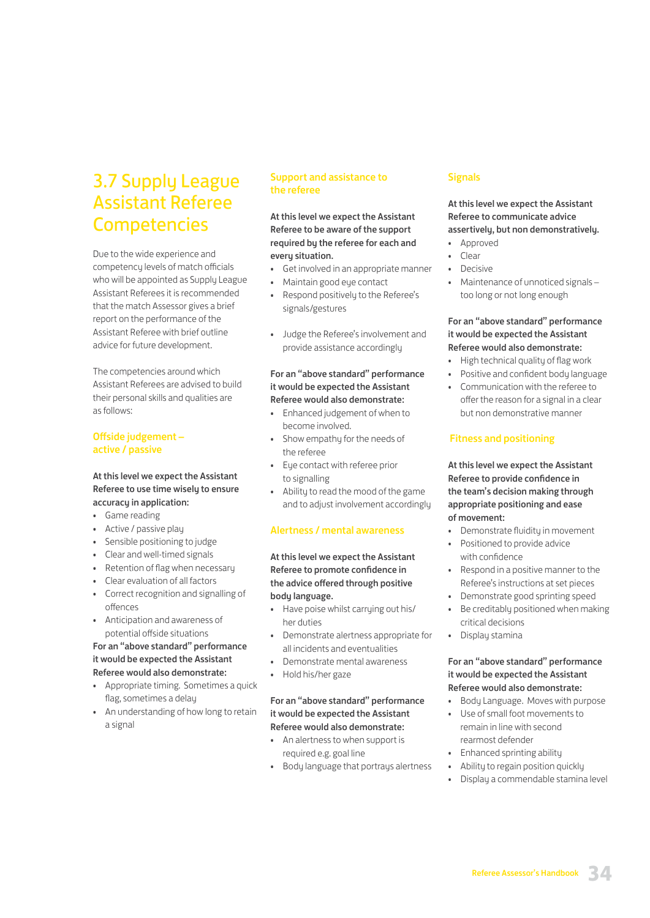# 3.7 Supply League Assistant Referee **Competencies**

Due to the wide experience and competency levels of match officials who will be appointed as Supply League Assistant Referees it is recommended that the match Assessor gives a brief report on the performance of the Assistant Referee with brief outline advice for future development.

The competencies around which Assistant Referees are advised to build their personal skills and qualities are as follows:

### Offside judgement – active / passive

#### At this level we expect the Assistant Referee to use time wisely to ensure accuracy in application:

- Game reading
- Active / passive play
- Sensible positioning to judge
- Clear and well-timed signals
- Retention of flag when necessary
- Clear evaluation of all factors
- Correct recognition and signalling of offences
- Anticipation and awareness of potential offside situations

#### For an "above standard" performance it would be expected the Assistant Referee would also demonstrate:

- Appropriate timing. Sometimes a quick flag, sometimes a delay
- An understanding of how long to retain a signal

### Support and assistance to the referee

At this level we expect the Assistant Referee to be aware of the support required by the referee for each and every situation.

- Get involved in an appropriate manner
- Maintain good eye contact
- Respond positively to the Referee's signals/gestures
- Judge the Referee's involvement and provide assistance accordingly

### For an "above standard" performance it would be expected the Assistant Referee would also demonstrate:

- Enhanced judgement of when to become involved.
- Show empathy for the needs of the referee
- Eye contact with referee prior to signalling
- Ability to read the mood of the game and to adjust involvement accordingly

### Alertness / mental awareness

At this level we expect the Assistant Referee to promote confidence in the advice offered through positive body language.

- Have poise whilst carruing out his/ her duties
- Demonstrate alertness appropriate for all incidents and eventualities
- Demonstrate mental awareness
- Hold his/her gaze

### For an "above standard" performance it would be expected the Assistant Referee would also demonstrate:

- An alertness to when support is required e.g. goal line
- Body language that portrays alertness

#### **Signals**

At this level we expect the Assistant Referee to communicate advice assertively, but non demonstratively. • Approved

- 
- Clear
- Decisive
- Maintenance of unnoticed signals too long or not long enough

#### For an "above standard" performance it would be expected the Assistant Referee would also demonstrate:

- High technical quality of flag work
- Positive and confident body language
- Communication with the referee to offer the reason for a signal in a clear but non demonstrative manner

#### Fitness and positioning

At this level we expect the Assistant Referee to provide confidence in the team's decision making through appropriate positioning and ease of movement:

- Demonstrate fluidity in movement
- Positioned to provide advice with confidence
- Respond in a positive manner to the Referee's instructions at set pieces
- Demonstrate good sprinting speed
- Be creditably positioned when making critical decisions
- Display stamina

### For an "above standard" performance it would be expected the Assistant Referee would also demonstrate:

- Body Language. Moves with purpose
- Use of small foot movements to remain in line with second rearmost defender
- Enhanced sprinting ability
- Ability to regain position quickly
- Display a commendable stamina level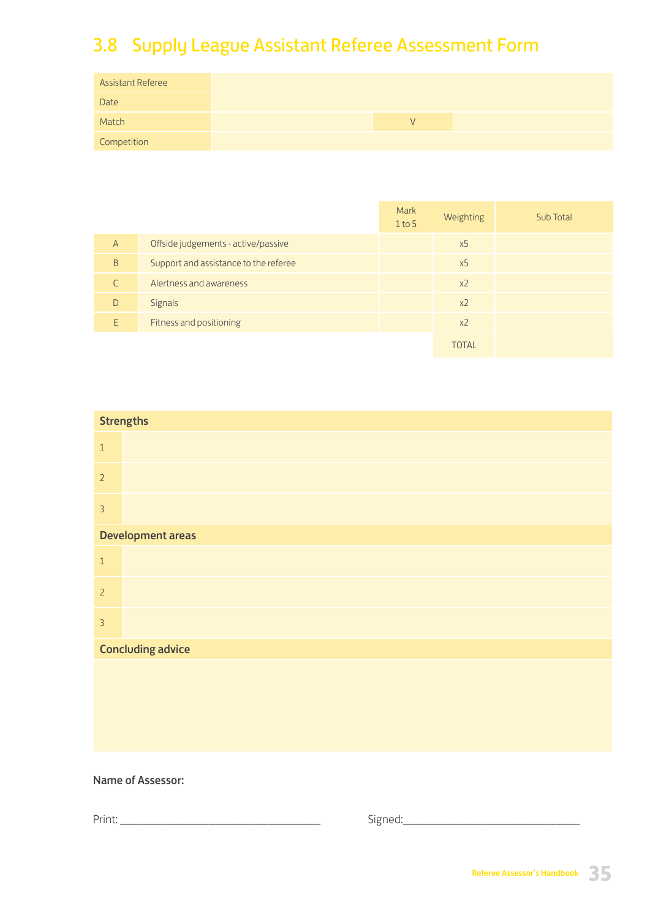# 3.8 Supply League Assistant Referee Assessment Form

| <b>Assistant Referee</b> |  |  |  |
|--------------------------|--|--|--|
| Date                     |  |  |  |
| Match                    |  |  |  |
| Competition              |  |  |  |

|                |                                       | Mark<br>$1$ to 5 | Weighting      | Sub Total |
|----------------|---------------------------------------|------------------|----------------|-----------|
| $\overline{A}$ | Offside judgements - active/passive   |                  | x <sub>5</sub> |           |
| B              | Support and assistance to the referee |                  | x <sub>5</sub> |           |
|                | Alertness and awareness               |                  | $x^2$          |           |
| D              | Signals                               |                  | x <sub>2</sub> |           |
| F              | Fitness and positioning               |                  | x <sub>2</sub> |           |
|                |                                       |                  | TOTAL          |           |

| <b>Strengths</b> |                          |
|------------------|--------------------------|
| $\,1\,$          |                          |
| $\overline{2}$   |                          |
| $\overline{3}$   |                          |
|                  | <b>Development areas</b> |
| $\,1\,$          |                          |
| $\overline{2}$   |                          |
| $\overline{3}$   |                          |
|                  | <b>Concluding advice</b> |
|                  |                          |
|                  |                          |
|                  |                          |
|                  |                          |

### Name of Assessor:

Print: \_\_\_\_\_\_\_\_\_\_\_\_\_\_\_\_\_\_\_\_\_\_\_\_\_\_\_\_\_\_\_\_\_\_ Signed:\_\_\_\_\_\_\_\_\_\_\_\_\_\_\_\_\_\_\_\_\_\_\_\_\_\_\_\_\_\_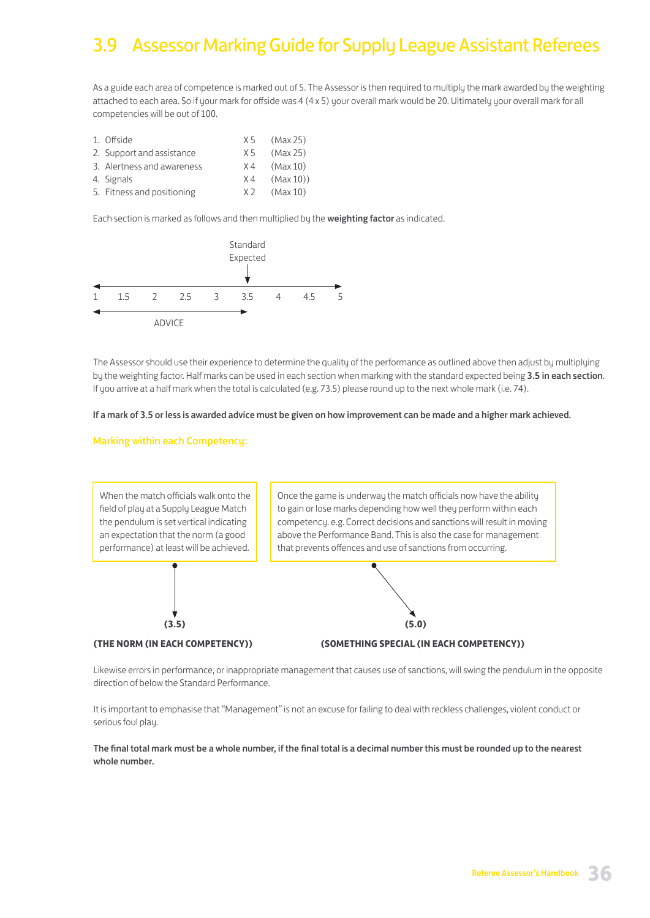# 3.9 Assessor Marking Guide for Supply League Assistant Referees

As a guide each area of competence is marked out of 5. The Assessor is then required to multiply the mark awarded by the weighting attached to each area. So if your mark for offside was 4 (4 x 5) your overall mark would be 20. Ultimately your overall mark for all competencies will be out of 100.

| 1. Offside                 | X 5   | (Max 25) |
|----------------------------|-------|----------|
| 2. Support and assistance  | X 5   | (Max 25) |
| 3. Alertness and awareness | X4    | (Max 10) |
| 4. Signals                 | $X_4$ | (Max 10) |
| 5. Fitness and positioning | X 2   | (Max 10) |

Each section is marked as follows and then multiplied by the weighting factor as indicated.



The Assessor should use their experience to determine the quality of the performance as outlined above then adjust by multiplying by the weighting factor. Half marks can be used in each section when marking with the standard expected being 3.5 in each section. If you arrive at a half mark when the total is calculated (e.g. 73.5) please round up to the next whole mark (i.e. 74).

#### If a mark of 3.5 or less is awarded advice must be given on how improvement can be made and a higher mark achieved.

#### Marking within each Competency:



Likewise errors in performance, or inappropriate management that causes use of sanctions, will swing the pendulum in the opposite direction of below the Standard Performance.

It is important to emphasise that "Management" is not an excuse for failing to deal with reckless challenges, violent conduct or serious foul play.

The final total mark must be a whole number, if the final total is a decimal number this must be rounded up to the nearest whole number.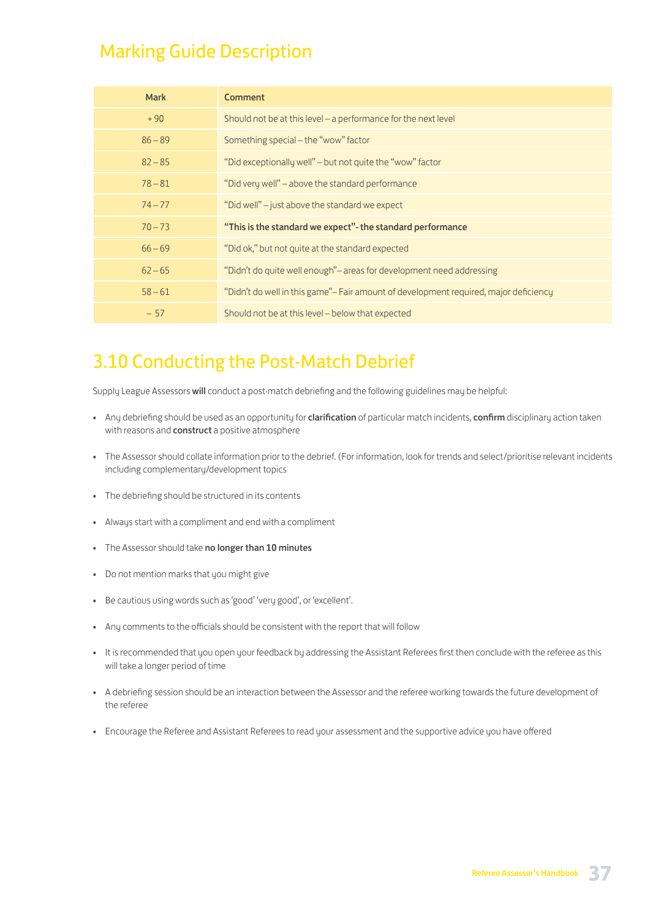# Marking Guide Description

| <b>Mark</b> | <b>Comment</b>                                                                       |
|-------------|--------------------------------------------------------------------------------------|
| $+90$       | Should not be at this level – a performance for the next level                       |
| $86 - 89$   | Something special - the "wow" factor                                                 |
| $82 - 85$   | "Did exceptionally well" – but not quite the "wow" factor                            |
| $78 - 81$   | "Did very well" – above the standard performance                                     |
| $74 - 77$   | "Did well" – just above the standard we expect                                       |
| $70 - 73$   | "This is the standard we expect" - the standard performance                          |
| $66 - 69$   | "Did ok," but not quite at the standard expected                                     |
| $62 - 65$   | "Didn't do quite well enough"- areas for development need addressing                 |
| $58 - 61$   | "Didn't do well in this game"- Fair amount of development required, major deficiency |
| $-57$       | Should not be at this level – below that expected                                    |

# 3.10 Conducting the Post-Match Debrief

Supply League Assessors will conduct a post-match debriefing and the following guidelines may be helpful:

- Any debriefing should be used as an opportunity for clarification of particular match incidents, confirm disciplinary action taken with reasons and **construct** a positive atmosphere
- The Assessor should collate information prior to the debrief. (For information, look for trends and select/prioritise relevant incidents including complementary/development topics
- The debriefing should be structured in its contents
- Always start with a compliment and end with a compliment
- The Assessor should take no longer than 10 minutes
- Do not mention marks that you might give
- Be cautious using words such as 'good' 'very good', or 'excellent'.
- Any comments to the officials should be consistent with the report that will follow
- It is recommended that you open your feedback by addressing the Assistant Referees first then conclude with the referee as this will take a longer period of time
- A debriefing session should be an interaction between the Assessor and the referee working towards the future development of the referee
- Encourage the Referee and Assistant Referees to read your assessment and the supportive advice you have offered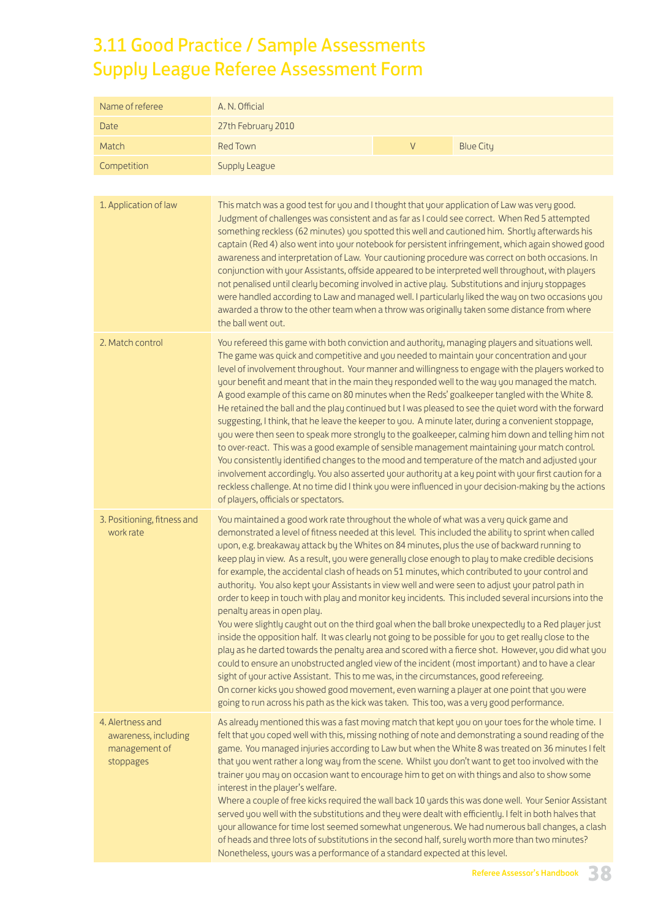# 3.11 Good Practice / Sample Assessments Supply League Referee Assessment Form

| Name of referee                                                        | A. N. Official                                                                                                                                                                                                                                                                                                                                                                                                                                                                                                                                                                                                                                                                                                                                                                                                                                                                                                                                                                                                                                                                                                                                                                                                                                                                                                                                                                                                                                                           |                                                                                                                                                                                                                                                                                                                                                                                                                                                                                                                                                                                                                                                                                                                                                                                                                                                                                                                          |                  |  |  |  |  |
|------------------------------------------------------------------------|--------------------------------------------------------------------------------------------------------------------------------------------------------------------------------------------------------------------------------------------------------------------------------------------------------------------------------------------------------------------------------------------------------------------------------------------------------------------------------------------------------------------------------------------------------------------------------------------------------------------------------------------------------------------------------------------------------------------------------------------------------------------------------------------------------------------------------------------------------------------------------------------------------------------------------------------------------------------------------------------------------------------------------------------------------------------------------------------------------------------------------------------------------------------------------------------------------------------------------------------------------------------------------------------------------------------------------------------------------------------------------------------------------------------------------------------------------------------------|--------------------------------------------------------------------------------------------------------------------------------------------------------------------------------------------------------------------------------------------------------------------------------------------------------------------------------------------------------------------------------------------------------------------------------------------------------------------------------------------------------------------------------------------------------------------------------------------------------------------------------------------------------------------------------------------------------------------------------------------------------------------------------------------------------------------------------------------------------------------------------------------------------------------------|------------------|--|--|--|--|
| Date                                                                   | 27th February 2010                                                                                                                                                                                                                                                                                                                                                                                                                                                                                                                                                                                                                                                                                                                                                                                                                                                                                                                                                                                                                                                                                                                                                                                                                                                                                                                                                                                                                                                       |                                                                                                                                                                                                                                                                                                                                                                                                                                                                                                                                                                                                                                                                                                                                                                                                                                                                                                                          |                  |  |  |  |  |
| Match                                                                  | <b>Red Town</b>                                                                                                                                                                                                                                                                                                                                                                                                                                                                                                                                                                                                                                                                                                                                                                                                                                                                                                                                                                                                                                                                                                                                                                                                                                                                                                                                                                                                                                                          | $\vee$                                                                                                                                                                                                                                                                                                                                                                                                                                                                                                                                                                                                                                                                                                                                                                                                                                                                                                                   | <b>Blue City</b> |  |  |  |  |
| Competition                                                            | Supply League                                                                                                                                                                                                                                                                                                                                                                                                                                                                                                                                                                                                                                                                                                                                                                                                                                                                                                                                                                                                                                                                                                                                                                                                                                                                                                                                                                                                                                                            |                                                                                                                                                                                                                                                                                                                                                                                                                                                                                                                                                                                                                                                                                                                                                                                                                                                                                                                          |                  |  |  |  |  |
|                                                                        |                                                                                                                                                                                                                                                                                                                                                                                                                                                                                                                                                                                                                                                                                                                                                                                                                                                                                                                                                                                                                                                                                                                                                                                                                                                                                                                                                                                                                                                                          |                                                                                                                                                                                                                                                                                                                                                                                                                                                                                                                                                                                                                                                                                                                                                                                                                                                                                                                          |                  |  |  |  |  |
| 1. Application of law                                                  | the ball went out.                                                                                                                                                                                                                                                                                                                                                                                                                                                                                                                                                                                                                                                                                                                                                                                                                                                                                                                                                                                                                                                                                                                                                                                                                                                                                                                                                                                                                                                       | This match was a good test for you and I thought that your application of Law was very good.<br>Judgment of challenges was consistent and as far as I could see correct. When Red 5 attempted<br>something reckless (62 minutes) you spotted this well and cautioned him. Shortly afterwards his<br>captain (Red 4) also went into your notebook for persistent infringement, which again showed good<br>awareness and interpretation of Law. Your cautioning procedure was correct on both occasions. In<br>conjunction with your Assistants, offside appeared to be interpreted well throughout, with players<br>not penalised until clearly becoming involved in active play. Substitutions and injury stoppages<br>were handled according to Law and managed well. I particularly liked the way on two occasions you<br>awarded a throw to the other team when a throw was originally taken some distance from where |                  |  |  |  |  |
| 2. Match control                                                       | You refereed this game with both conviction and authority, managing players and situations well.<br>The game was quick and competitive and you needed to maintain your concentration and your<br>level of involvement throughout. Your manner and willingness to engage with the players worked to<br>your benefit and meant that in the main they responded well to the way you managed the match.<br>A good example of this came on 80 minutes when the Reds' goalkeeper tangled with the White 8.<br>He retained the ball and the play continued but I was pleased to see the quiet word with the forward<br>suggesting, I think, that he leave the keeper to you. A minute later, during a convenient stoppage,<br>you were then seen to speak more strongly to the goalkeeper, calming him down and telling him not<br>to over-react. This was a good example of sensible management maintaining your match control.<br>You consistently identified changes to the mood and temperature of the match and adjusted your<br>involvement accordingly. You also asserted your authority at a key point with your first caution for a<br>reckless challenge. At no time did I think you were influenced in your decision-making by the actions<br>of players, officials or spectators.                                                                                                                                                                                   |                                                                                                                                                                                                                                                                                                                                                                                                                                                                                                                                                                                                                                                                                                                                                                                                                                                                                                                          |                  |  |  |  |  |
| 3. Positioning, fitness and<br>work rate                               | You maintained a good work rate throughout the whole of what was a very quick game and<br>demonstrated a level of fitness needed at this level. This included the ability to sprint when called<br>upon, e.g. breakaway attack by the Whites on 84 minutes, plus the use of backward running to<br>keep play in view. As a result, you were generally close enough to play to make credible decisions<br>for example, the accidental clash of heads on 51 minutes, which contributed to your control and<br>authority. You also kept your Assistants in view well and were seen to adjust your patrol path in<br>order to keep in touch with play and monitor key incidents. This included several incursions into the<br>penalty areas in open play.<br>You were slightly caught out on the third goal when the ball broke unexpectedly to a Red player just<br>inside the opposition half. It was clearly not going to be possible for you to get really close to the<br>play as he darted towards the penalty area and scored with a fierce shot. However, you did what you<br>could to ensure an unobstructed angled view of the incident (most important) and to have a clear<br>sight of your active Assistant. This to me was, in the circumstances, good refereeing.<br>On corner kicks you showed good movement, even warning a player at one point that you were<br>going to run across his path as the kick was taken. This too, was a very good performance. |                                                                                                                                                                                                                                                                                                                                                                                                                                                                                                                                                                                                                                                                                                                                                                                                                                                                                                                          |                  |  |  |  |  |
| 4. Alertness and<br>awareness, including<br>management of<br>stoppages | As already mentioned this was a fast moving match that kept you on your toes for the whole time. I<br>felt that you coped well with this, missing nothing of note and demonstrating a sound reading of the<br>game. You managed injuries according to Law but when the White 8 was treated on 36 minutes I felt<br>that you went rather a long way from the scene. Whilst you don't want to get too involved with the<br>trainer you may on occasion want to encourage him to get on with things and also to show some<br>interest in the player's welfare.<br>Where a couple of free kicks required the wall back 10 yards this was done well. Your Senior Assistant<br>served you well with the substitutions and they were dealt with efficiently. I felt in both halves that<br>your allowance for time lost seemed somewhat ungenerous. We had numerous ball changes, a clash<br>of heads and three lots of substitutions in the second half, surely worth more than two minutes?<br>Nonetheless, yours was a performance of a standard expected at this level.                                                                                                                                                                                                                                                                                                                                                                                                     |                                                                                                                                                                                                                                                                                                                                                                                                                                                                                                                                                                                                                                                                                                                                                                                                                                                                                                                          |                  |  |  |  |  |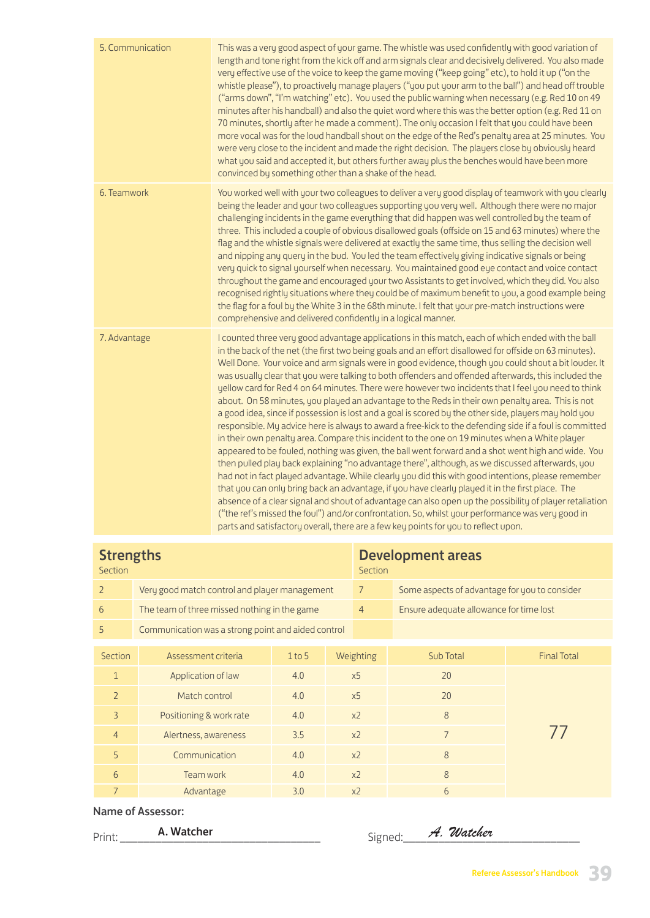| 5. Communication | This was a very good aspect of your game. The whistle was used confidently with good variation of<br>length and tone right from the kick off and arm signals clear and decisively delivered. You also made<br>very effective use of the voice to keep the game moving ("keep going" etc), to hold it up ("on the<br>whistle please"), to proactively manage players ("you put your arm to the ball") and head off trouble<br>("arms down", "I'm watching" etc). You used the public warning when necessary (e.g. Red 10 on 49<br>minutes after his handball) and also the quiet word where this was the better option (e.g. Red 11 on<br>70 minutes, shortly after he made a comment). The only occasion I felt that you could have been<br>more vocal was for the loud handball shout on the edge of the Red's penalty area at 25 minutes. You<br>were very close to the incident and made the right decision. The players close by obviously heard<br>what you said and accepted it, but others further away plus the benches would have been more<br>convinced by something other than a shake of the head.                                                                                                                                                                                                                                                                                                                                                                                                                                                                                                                                                                        |
|------------------|---------------------------------------------------------------------------------------------------------------------------------------------------------------------------------------------------------------------------------------------------------------------------------------------------------------------------------------------------------------------------------------------------------------------------------------------------------------------------------------------------------------------------------------------------------------------------------------------------------------------------------------------------------------------------------------------------------------------------------------------------------------------------------------------------------------------------------------------------------------------------------------------------------------------------------------------------------------------------------------------------------------------------------------------------------------------------------------------------------------------------------------------------------------------------------------------------------------------------------------------------------------------------------------------------------------------------------------------------------------------------------------------------------------------------------------------------------------------------------------------------------------------------------------------------------------------------------------------------------------------------------------------------------------------------------------|
| 6. Teamwork      | You worked well with your two colleagues to deliver a very good display of teamwork with you clearly<br>being the leader and your two colleagues supporting you very well. Although there were no major<br>challenging incidents in the game everything that did happen was well controlled by the team of<br>three. This included a couple of obvious disallowed goals (offside on 15 and 63 minutes) where the<br>flag and the whistle signals were delivered at exactly the same time, thus selling the decision well<br>and nipping any query in the bud. You led the team effectively giving indicative signals or being<br>very quick to signal yourself when necessary. You maintained good eye contact and voice contact<br>throughout the game and encouraged your two Assistants to get involved, which they did. You also<br>recognised rightly situations where they could be of maximum benefit to you, a good example being<br>the flag for a foul by the White 3 in the 68th minute. I felt that your pre-match instructions were<br>comprehensive and delivered confidently in a logical manner.                                                                                                                                                                                                                                                                                                                                                                                                                                                                                                                                                                      |
| 7. Advantage     | I counted three very good advantage applications in this match, each of which ended with the ball<br>in the back of the net (the first two being goals and an effort disallowed for offside on 63 minutes).<br>Well Done. Your voice and arm signals were in good evidence, though you could shout a bit louder. It<br>was usually clear that you were talking to both offenders and offended afterwards, this included the<br>yellow card for Red 4 on 64 minutes. There were however two incidents that I feel you need to think<br>about. On 58 minutes, you played an advantage to the Reds in their own penalty area. This is not<br>a good idea, since if possession is lost and a goal is scored by the other side, players may hold you<br>responsible. My advice here is always to award a free-kick to the defending side if a foul is committed<br>in their own penalty area. Compare this incident to the one on 19 minutes when a White player<br>appeared to be fouled, nothing was given, the ball went forward and a shot went high and wide. You<br>then pulled play back explaining "no advantage there", although, as we discussed afterwards, you<br>had not in fact played advantage. While clearly you did this with good intentions, please remember<br>that you can only bring back an advantage, if you have clearly played it in the first place. The<br>absence of a clear signal and shout of advantage can also open up the possibility of player retaliation<br>("the ref's missed the foul") and/or confrontation. So, whilst your performance was very good in<br>parts and satisfactory overall, there are a few key points for you to reflect upon. |

| <b>Strengths</b><br>Section |                                                    |          | <b>Section</b> | <b>Development areas</b> |                                               |                    |  |
|-----------------------------|----------------------------------------------------|----------|----------------|--------------------------|-----------------------------------------------|--------------------|--|
| $\overline{2}$              | Very good match control and player management      |          |                | $7\overline{ }$          | Some aspects of advantage for you to consider |                    |  |
| 6                           | The team of three missed nothing in the game       |          |                | $\overline{4}$           | Ensure adequate allowance for time lost       |                    |  |
| 5                           | Communication was a strong point and aided control |          |                |                          |                                               |                    |  |
|                             |                                                    |          |                |                          |                                               |                    |  |
| Section                     | Assessment criteria                                | $1$ to 5 | Weighting      |                          | Sub Total                                     | <b>Final Total</b> |  |
| $\mathbf{1}$                | Application of law                                 | 4.0      |                | x <sub>5</sub>           | 20                                            |                    |  |
| $\overline{2}$              | Match control                                      | 4.0      | x <sub>5</sub> |                          | 20                                            |                    |  |
| 3                           | Positioning & work rate                            | 4.0      | x <sub>2</sub> |                          | 8                                             |                    |  |
| $\overline{4}$              | Alertness, awareness                               | 3.5      | x <sub>2</sub> |                          | $\overline{7}$                                |                    |  |
| 5                           | Communication                                      | 4.0      | x <sub>2</sub> |                          | 8                                             |                    |  |
| 6                           | Team work                                          | 4.0      | x <sub>2</sub> |                          | 8                                             |                    |  |
| $\overline{7}$              | Advantage                                          | 3.0      |                | x <sub>2</sub>           | 6                                             |                    |  |

### Name of Assessor:

| . .<br>$\overline{\phantom{0}}$<br>$L^{\text{min}}$<br>. | W.<br>----<br>⊤ne. | $\overline{\phantom{0}}$<br>⋯ | - -<br>، • ۰ | Watcher |
|----------------------------------------------------------|--------------------|-------------------------------|--------------|---------|
|                                                          | ______             |                               |              |         |

| anod. | A. Wat |
|-------|--------|
|       |        |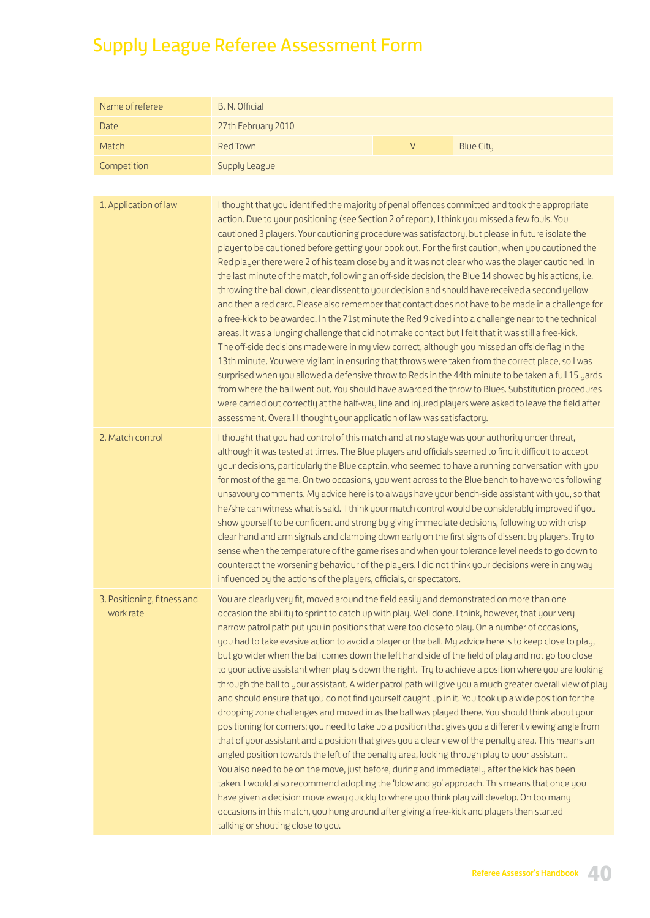# Supply League Referee Assessment Form

| Name of referee                          | B. N. Official                                                                                                                                                                                                                                                                                                                                                                                                                                                                                                                                                                                                                                                                                                                                                                                                                                                                                                                                                                                                                                                                                                                                                                                                                                                                                                                                                                                                                                                                                                                                                                                                                                                   |        |                                                                                                           |
|------------------------------------------|------------------------------------------------------------------------------------------------------------------------------------------------------------------------------------------------------------------------------------------------------------------------------------------------------------------------------------------------------------------------------------------------------------------------------------------------------------------------------------------------------------------------------------------------------------------------------------------------------------------------------------------------------------------------------------------------------------------------------------------------------------------------------------------------------------------------------------------------------------------------------------------------------------------------------------------------------------------------------------------------------------------------------------------------------------------------------------------------------------------------------------------------------------------------------------------------------------------------------------------------------------------------------------------------------------------------------------------------------------------------------------------------------------------------------------------------------------------------------------------------------------------------------------------------------------------------------------------------------------------------------------------------------------------|--------|-----------------------------------------------------------------------------------------------------------|
| <b>Date</b>                              | 27th February 2010                                                                                                                                                                                                                                                                                                                                                                                                                                                                                                                                                                                                                                                                                                                                                                                                                                                                                                                                                                                                                                                                                                                                                                                                                                                                                                                                                                                                                                                                                                                                                                                                                                               |        |                                                                                                           |
| Match                                    | <b>Red Town</b>                                                                                                                                                                                                                                                                                                                                                                                                                                                                                                                                                                                                                                                                                                                                                                                                                                                                                                                                                                                                                                                                                                                                                                                                                                                                                                                                                                                                                                                                                                                                                                                                                                                  | $\vee$ | <b>Blue City</b>                                                                                          |
| Competition                              | Supply League                                                                                                                                                                                                                                                                                                                                                                                                                                                                                                                                                                                                                                                                                                                                                                                                                                                                                                                                                                                                                                                                                                                                                                                                                                                                                                                                                                                                                                                                                                                                                                                                                                                    |        |                                                                                                           |
|                                          |                                                                                                                                                                                                                                                                                                                                                                                                                                                                                                                                                                                                                                                                                                                                                                                                                                                                                                                                                                                                                                                                                                                                                                                                                                                                                                                                                                                                                                                                                                                                                                                                                                                                  |        |                                                                                                           |
| 1. Application of law                    | I thought that you identified the majority of penal offences committed and took the appropriate<br>action. Due to your positioning (see Section 2 of report), I think you missed a few fouls. You<br>cautioned 3 players. Your cautioning procedure was satisfactory, but please in future isolate the<br>player to be cautioned before getting your book out. For the first caution, when you cautioned the<br>Red player there were 2 of his team close by and it was not clear who was the player cautioned. In<br>the last minute of the match, following an off-side decision, the Blue 14 showed by his actions, i.e.<br>throwing the ball down, clear dissent to your decision and should have received a second yellow<br>and then a red card. Please also remember that contact does not have to be made in a challenge for<br>a free-kick to be awarded. In the 71st minute the Red 9 dived into a challenge near to the technical<br>areas. It was a lunging challenge that did not make contact but I felt that it was still a free-kick.<br>The off-side decisions made were in my view correct, although you missed an offside flag in the<br>13th minute. You were vigilant in ensuring that throws were taken from the correct place, so I was<br>surprised when you allowed a defensive throw to Reds in the 44th minute to be taken a full 15 yards<br>from where the ball went out. You should have awarded the throw to Blues. Substitution procedures<br>were carried out correctly at the half-way line and injured players were asked to leave the field after<br>assessment. Overall I thought your application of law was satisfactory. |        |                                                                                                           |
| 2. Match control                         | I thought that you had control of this match and at no stage was your authority under threat,<br>although it was tested at times. The Blue players and officials seemed to find it difficult to accept<br>your decisions, particularly the Blue captain, who seemed to have a running conversation with you<br>for most of the game. On two occasions, you went across to the Blue bench to have words following<br>unsavoury comments. My advice here is to always have your bench-side assistant with you, so that<br>he/she can witness what is said. I think your match control would be considerably improved if you<br>show yourself to be confident and strong by giving immediate decisions, following up with crisp<br>clear hand and arm signals and clamping down early on the first signs of dissent by players. Try to<br>sense when the temperature of the game rises and when your tolerance level needs to go down to<br>counteract the worsening behaviour of the players. I did not think your decisions were in any way<br>influenced by the actions of the players, officials, or spectators.                                                                                                                                                                                                                                                                                                                                                                                                                                                                                                                                                |        |                                                                                                           |
| 3. Positioning, fitness and<br>work rate | You are clearly very fit, moved around the field easily and demonstrated on more than one<br>occasion the ability to sprint to catch up with play. Well done. I think, however, that your very<br>narrow patrol path put you in positions that were too close to play. On a number of occasions,<br>you had to take evasive action to avoid a player or the ball. My advice here is to keep close to play,<br>but go wider when the ball comes down the left hand side of the field of play and not go too close<br>to your active assistant when play is down the right. Try to achieve a position where you are looking<br>and should ensure that you do not find yourself caught up in it. You took up a wide position for the<br>dropping zone challenges and moved in as the ball was played there. You should think about your<br>positioning for corners; you need to take up a position that gives you a different viewing angle from<br>that of your assistant and a position that gives you a clear view of the penalty area. This means an<br>angled position towards the left of the penalty area, looking through play to your assistant.<br>You also need to be on the move, just before, during and immediately after the kick has been<br>taken. I would also recommend adopting the 'blow and go' approach. This means that once you<br>have given a decision move away quickly to where you think play will develop. On too many<br>occasions in this match, you hung around after giving a free-kick and players then started<br>talking or shouting close to you.                                                                            |        | through the ball to your assistant. A wider patrol path will give you a much greater overall view of play |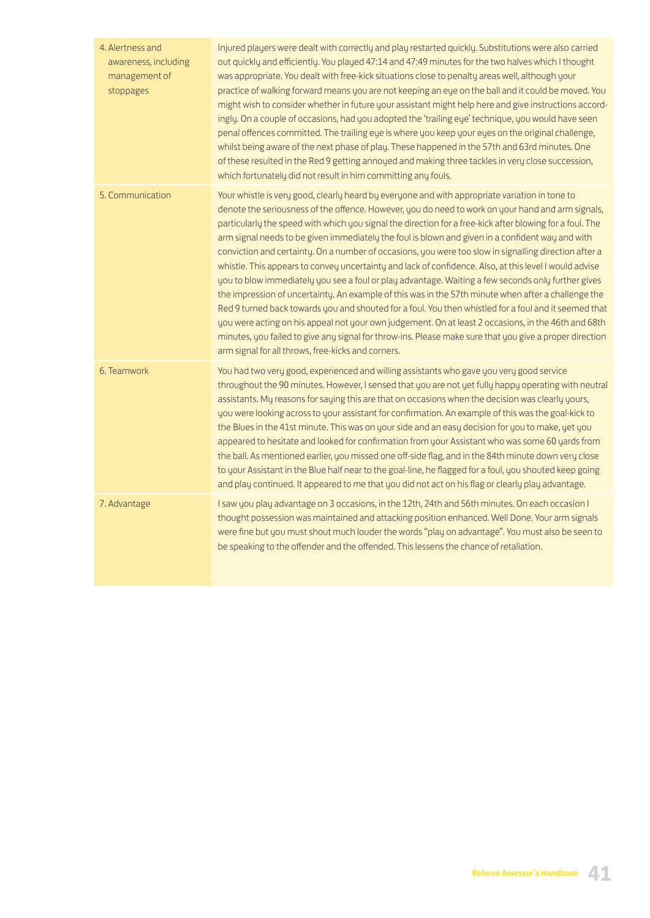| 4. Alertness and<br>awareness, including<br>management of<br>stoppages | Injured players were dealt with correctly and play restarted quickly. Substitutions were also carried<br>out quickly and efficiently. You played 47:14 and 47:49 minutes for the two halves which I thought<br>was appropriate. You dealt with free-kick situations close to penalty areas well, although your<br>practice of walking forward means you are not keeping an eye on the ball and it could be moved. You<br>might wish to consider whether in future your assistant might help here and give instructions accord-<br>ingly. On a couple of occasions, had you adopted the 'trailing eye' technique, you would have seen<br>penal offences committed. The trailing eye is where you keep your eyes on the original challenge,<br>whilst being aware of the next phase of play. These happened in the 57th and 63rd minutes. One<br>of these resulted in the Red 9 getting annoyed and making three tackles in very close succession,<br>which fortunately did not result in him committing any fouls.                                                                                                                                                                                                                    |
|------------------------------------------------------------------------|--------------------------------------------------------------------------------------------------------------------------------------------------------------------------------------------------------------------------------------------------------------------------------------------------------------------------------------------------------------------------------------------------------------------------------------------------------------------------------------------------------------------------------------------------------------------------------------------------------------------------------------------------------------------------------------------------------------------------------------------------------------------------------------------------------------------------------------------------------------------------------------------------------------------------------------------------------------------------------------------------------------------------------------------------------------------------------------------------------------------------------------------------------------------------------------------------------------------------------------|
| 5. Communication                                                       | Your whistle is very good, clearly heard by everyone and with appropriate variation in tone to<br>denote the seriousness of the offence. However, you do need to work on your hand and arm signals,<br>particularly the speed with which you signal the direction for a free-kick after blowing for a foul. The<br>arm signal needs to be given immediately the foul is blown and given in a confident way and with<br>conviction and certainty. On a number of occasions, you were too slow in signalling direction after a<br>whistle. This appears to convey uncertainty and lack of confidence. Also, at this level I would advise<br>you to blow immediately you see a foul or play advantage. Waiting a few seconds only further gives<br>the impression of uncertainty. An example of this was in the 57th minute when after a challenge the<br>Red 9 turned back towards you and shouted for a foul. You then whistled for a foul and it seemed that<br>you were acting on his appeal not your own judgement. On at least 2 occasions, in the 46th and 68th<br>minutes, you failed to give any signal for throw-ins. Please make sure that you give a proper direction<br>arm signal for all throws, free-kicks and corners. |
| 6. Teamwork                                                            | You had two very good, experienced and willing assistants who gave you very good service<br>throughout the 90 minutes. However, I sensed that you are not yet fully happy operating with neutral<br>assistants. My reasons for saying this are that on occasions when the decision was clearly yours,<br>you were looking across to your assistant for confirmation. An example of this was the goal-kick to<br>the Blues in the 41st minute. This was on your side and an easy decision for you to make, yet you<br>appeared to hesitate and looked for confirmation from your Assistant who was some 60 yards from<br>the ball. As mentioned earlier, you missed one off-side flag, and in the 84th minute down very close<br>to your Assistant in the Blue half near to the goal-line, he flagged for a foul, you shouted keep going<br>and play continued. It appeared to me that you did not act on his flag or clearly play advantage.                                                                                                                                                                                                                                                                                         |
| 7. Advantage                                                           | I saw you play advantage on 3 occasions, in the 12th, 24th and 56th minutes. On each occasion I<br>thought possession was maintained and attacking position enhanced. Well Done. Your arm signals<br>were fine but you must shout much louder the words "play on advantage". You must also be seen to<br>be speaking to the offender and the offended. This lessens the chance of retaliation.                                                                                                                                                                                                                                                                                                                                                                                                                                                                                                                                                                                                                                                                                                                                                                                                                                       |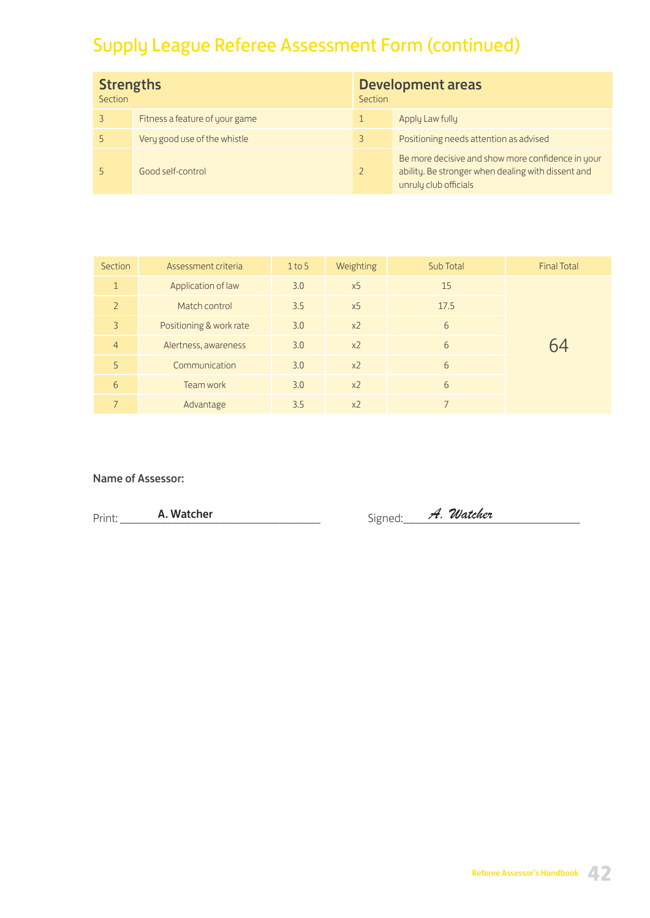# Supply League Referee Assessment Form (continued)

| <b>Strengths</b><br>Section |                                | Section | <b>Development areas</b>                                                                                                         |  |
|-----------------------------|--------------------------------|---------|----------------------------------------------------------------------------------------------------------------------------------|--|
|                             | Fitness a feature of your game |         | Apply Law fully                                                                                                                  |  |
|                             | Very good use of the whistle   | 3       | Positioning needs attention as advised                                                                                           |  |
|                             | Good self-control              |         | Be more decisive and show more confidence in your<br>ability. Be stronger when dealing with dissent and<br>unruly club officials |  |

| Section        | Assessment criteria     | $1$ to 5              | Weighting      | Sub Total | <b>Final Total</b> |
|----------------|-------------------------|-----------------------|----------------|-----------|--------------------|
| $\mathbf{1}$   | Application of law      | 3.0                   | x <sub>5</sub> | 15        |                    |
| $\overline{2}$ | Match control           | 3.5                   | x <sub>5</sub> | 17.5      |                    |
| 3              | Positioning & work rate | 3.0                   | x <sub>2</sub> | 6         |                    |
| $\overline{4}$ | Alertness, awareness    | 3.0                   | x <sub>2</sub> | 6         |                    |
| 5              | Communication           | 3.0<br>x <sub>2</sub> |                | 6         |                    |
| 6              | Team work               | 3.0<br>x <sub>2</sub> |                | 6         |                    |
| $\overline{7}$ | Advantage               | 3.5                   | x <sub>2</sub> |           |                    |

### Name of Assessor:

Print: \_\_\_\_\_\_\_\_\_\_\_\_\_\_\_\_\_\_\_\_\_\_\_\_\_\_\_\_\_\_\_\_\_\_ Signed:\_\_\_\_\_\_\_\_\_\_\_\_\_\_\_\_\_\_\_\_\_\_\_\_\_\_\_\_\_\_ A. Watcher *A. Watcher*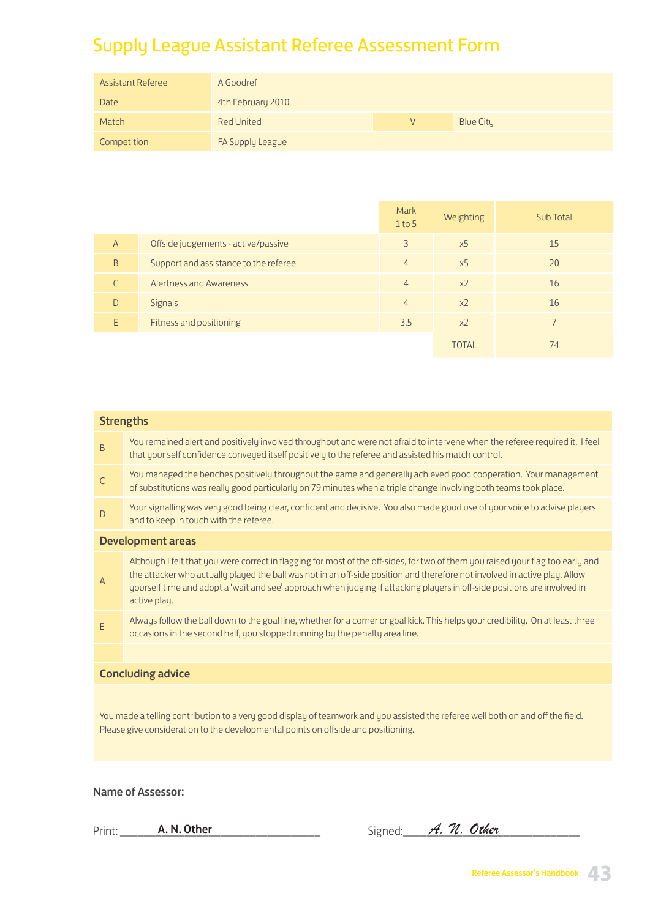# Supply League Assistant Referee Assessment Form

| <b>Assistant Referee</b> | A Goodref         |   |                  |
|--------------------------|-------------------|---|------------------|
| Date                     | 4th February 2010 |   |                  |
| Match                    | <b>Red United</b> | V | <b>Blue City</b> |
| Competition              | FA Supply League  |   |                  |

|                |                                       | Mark<br>$1$ to 5 | Weighting      | Sub Total |
|----------------|---------------------------------------|------------------|----------------|-----------|
| $\overline{A}$ | Offside judgements - active/passive   | $\overline{3}$   | x <sub>5</sub> | 15        |
| B              | Support and assistance to the referee | $\overline{4}$   | x <sub>5</sub> | 20        |
|                | Alertness and Awareness               | $\overline{4}$   | x <sub>2</sub> | 16        |
| D              | <b>Signals</b>                        | $\overline{4}$   | x <sub>2</sub> | 16        |
| E              | Fitness and positioning               | 3.5              | x <sub>2</sub> |           |
|                |                                       |                  | <b>TOTAL</b>   | 74        |

|              | <b>Strengths</b>                                                                                                                                                                                                                                                                                                                                                                                           |
|--------------|------------------------------------------------------------------------------------------------------------------------------------------------------------------------------------------------------------------------------------------------------------------------------------------------------------------------------------------------------------------------------------------------------------|
| $\sf B$      | You remained alert and positively involved throughout and were not afraid to intervene when the referee required it. I feel<br>that your self confidence conveyed itself positively to the referee and assisted his match control.                                                                                                                                                                         |
| $\mathsf{C}$ | You managed the benches positively throughout the game and generally achieved good cooperation. Your management<br>of substitutions was really good particularly on 79 minutes when a triple change involving both teams took place.                                                                                                                                                                       |
| D            | Your signalling was very good being clear, confident and decisive. You also made good use of your voice to advise players<br>and to keep in touch with the referee.                                                                                                                                                                                                                                        |
|              | <b>Development areas</b>                                                                                                                                                                                                                                                                                                                                                                                   |
| Α            | Although I felt that you were correct in flagging for most of the off-sides, for two of them you raised your flag too early and<br>the attacker who actually played the ball was not in an off-side position and therefore not involved in active play. Allow<br>yourself time and adopt a 'wait and see' approach when judging if attacking players in off-side positions are involved in<br>active play. |
| E            | Always follow the ball down to the goal line, whether for a corner or goal kick. This helps your credibility. On at least three<br>occasions in the second half, you stopped running by the penalty area line.                                                                                                                                                                                             |
|              |                                                                                                                                                                                                                                                                                                                                                                                                            |
|              | <b>Concluding advice</b>                                                                                                                                                                                                                                                                                                                                                                                   |
|              | You made a telling contribution to a very good display of teamwork and you assisted the referee well both on and off the field.<br>Please give consideration to the developmental points on offside and positioning.                                                                                                                                                                                       |

Name of Assessor:

| Prir<br>. | N.<br>. .<br>∸ | $\sim$<br>, , | מר | 'ther |  |
|-----------|----------------|---------------|----|-------|--|
|           |                |               |    |       |  |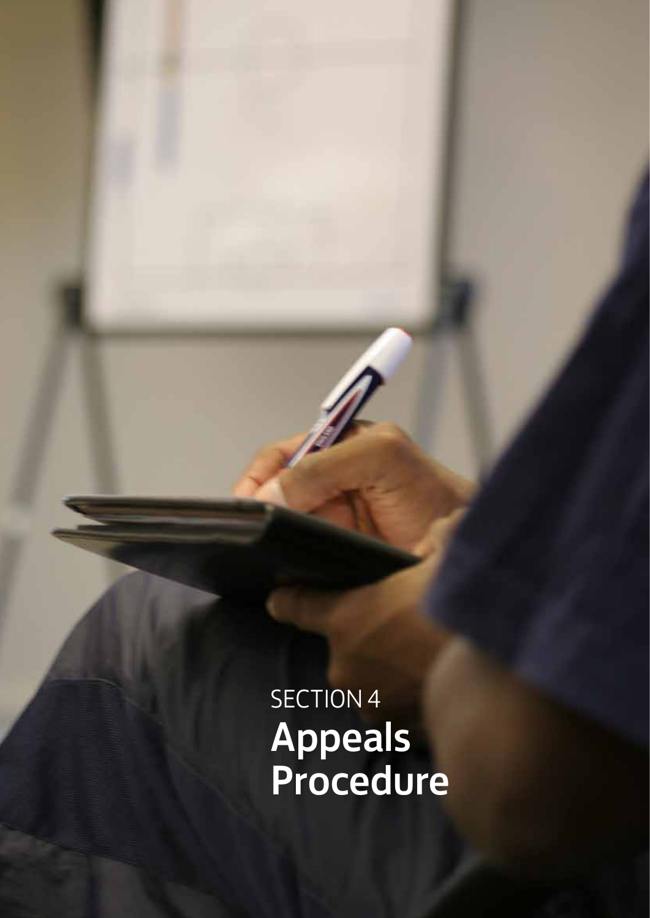SECTION 4 Appeals Procedure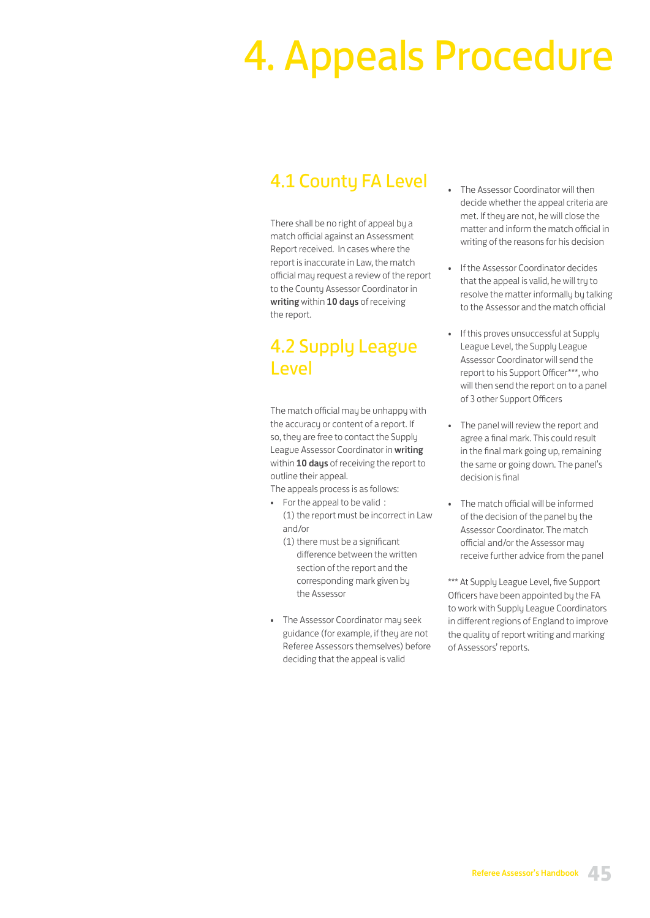# 4. Appeals Procedure

# 4.1 County FA Level

There shall be no right of appeal by a match official against an Assessment Report received. In cases where the report is inaccurate in Law, the match official may request a review of the report to the County Assessor Coordinator in writing within 10 days of receiving the report.

# 4.2 Supply League Level

The match official may be unhappy with the accuracy or content of a report. If so, they are free to contact the Supply League Assessor Coordinator in writing within 10 days of receiving the report to outline their appeal.

The appeals process is as follows:

- For the appeal to be valid : (1) the report must be incorrect in Law and/or
	- (1) there must be a significant difference between the written section of the report and the corresponding mark given by the Assessor
- The Assessor Coordinator may seek guidance (for example, if they are not Referee Assessors themselves) before deciding that the appeal is valid
- The Assessor Coordinator will then decide whether the appeal criteria are met. If they are not, he will close the matter and inform the match official in writing of the reasons for his decision
- If the Assessor Coordinator decides that the appeal is valid, he will try to resolve the matter informally by talking to the Assessor and the match official
- If this proves unsuccessful at Supply League Level, the Supply League Assessor Coordinator will send the report to his Support Officer\*\*\*, who will then send the report on to a panel of 3 other Support Officers
- The panel will review the report and agree a final mark. This could result in the final mark going up, remaining the same or going down. The panel's decision is final
- The match official will be informed of the decision of the panel by the Assessor Coordinator. The match official and/or the Assessor may receive further advice from the panel

\*\*\* At Supply League Level, five Support Officers have been appointed by the FA to work with Supply League Coordinators in different regions of England to improve the quality of report writing and marking of Assessors' reports.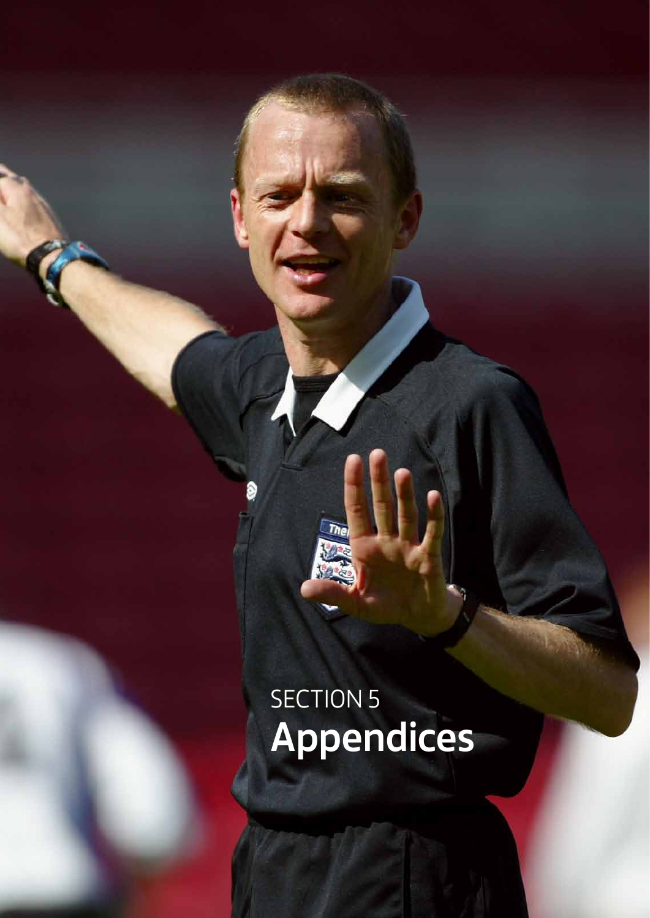# SECTION 5 Appendices

The

Referee Assessor's Handbook **46**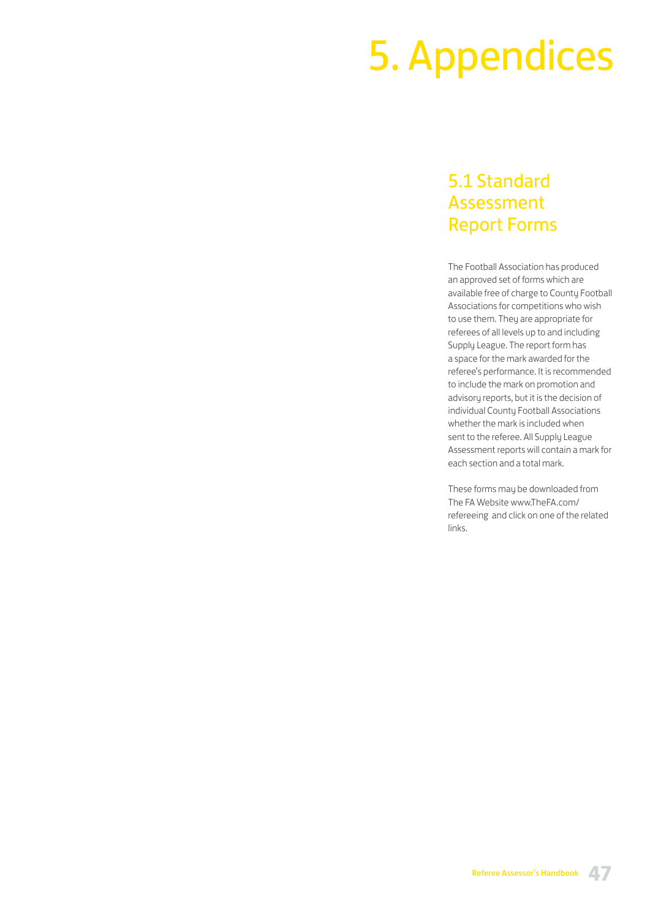# 5. Appendices

## 5.1 Standard Assessment Report Forms

The Football Association has produced an approved set of forms which are available free of charge to County Football Associations for competitions who wish to use them. They are appropriate for referees of all levels up to and including Supply League. The report form has a space for the mark awarded for the referee's performance. It is recommended to include the mark on promotion and advisory reports, but it is the decision of individual County Football Associations whether the mark is included when sent to the referee. All Supply League Assessment reports will contain a mark for each section and a total mark.

These forms may be downloaded from The FA Website www.TheFA.com/ refereeing and click on one of the related links.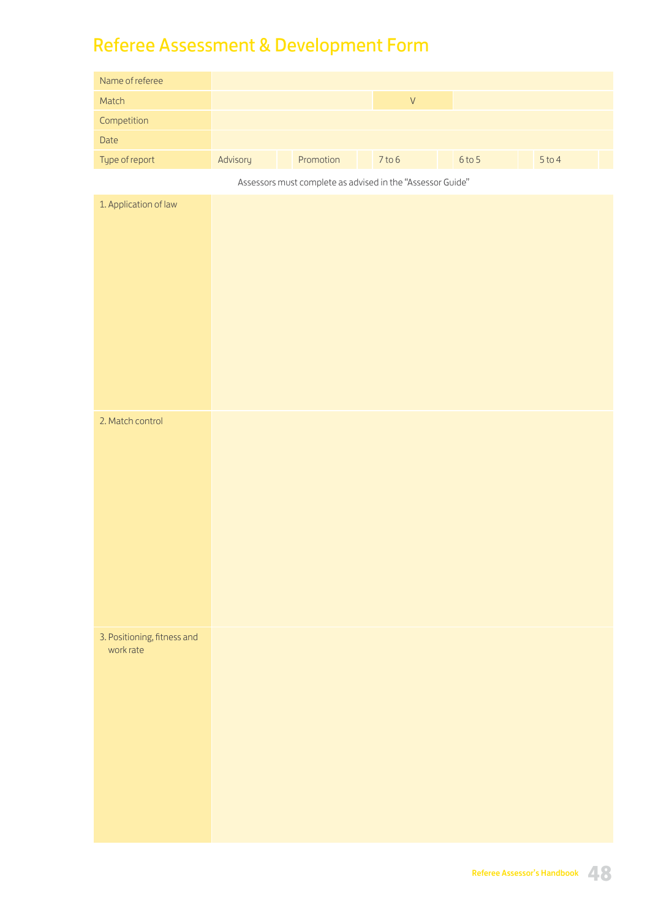# Referee Assessment & Development Form

| Name of referee                          |          |                                                            |                    |          |        |
|------------------------------------------|----------|------------------------------------------------------------|--------------------|----------|--------|
| Match                                    |          |                                                            | $\bar{\mathsf{V}}$ |          |        |
| Competition                              |          |                                                            |                    |          |        |
| Date                                     |          |                                                            |                    |          |        |
| Type of report                           | Advisory | Promotion                                                  | $7$ to 6           | $6$ to 5 | 5 to 4 |
|                                          |          | Assessors must complete as advised in the "Assessor Guide" |                    |          |        |
| 1. Application of law                    |          |                                                            |                    |          |        |
|                                          |          |                                                            |                    |          |        |
|                                          |          |                                                            |                    |          |        |
|                                          |          |                                                            |                    |          |        |
|                                          |          |                                                            |                    |          |        |
|                                          |          |                                                            |                    |          |        |
|                                          |          |                                                            |                    |          |        |
|                                          |          |                                                            |                    |          |        |
|                                          |          |                                                            |                    |          |        |
|                                          |          |                                                            |                    |          |        |
| 2. Match control                         |          |                                                            |                    |          |        |
|                                          |          |                                                            |                    |          |        |
|                                          |          |                                                            |                    |          |        |
|                                          |          |                                                            |                    |          |        |
|                                          |          |                                                            |                    |          |        |
|                                          |          |                                                            |                    |          |        |
|                                          |          |                                                            |                    |          |        |
|                                          |          |                                                            |                    |          |        |
|                                          |          |                                                            |                    |          |        |
|                                          |          |                                                            |                    |          |        |
|                                          |          |                                                            |                    |          |        |
| 3. Positioning, fitness and<br>work rate |          |                                                            |                    |          |        |
|                                          |          |                                                            |                    |          |        |
|                                          |          |                                                            |                    |          |        |
|                                          |          |                                                            |                    |          |        |
|                                          |          |                                                            |                    |          |        |
|                                          |          |                                                            |                    |          |        |
|                                          |          |                                                            |                    |          |        |
|                                          |          |                                                            |                    |          |        |
|                                          |          |                                                            |                    |          |        |
|                                          |          |                                                            |                    |          |        |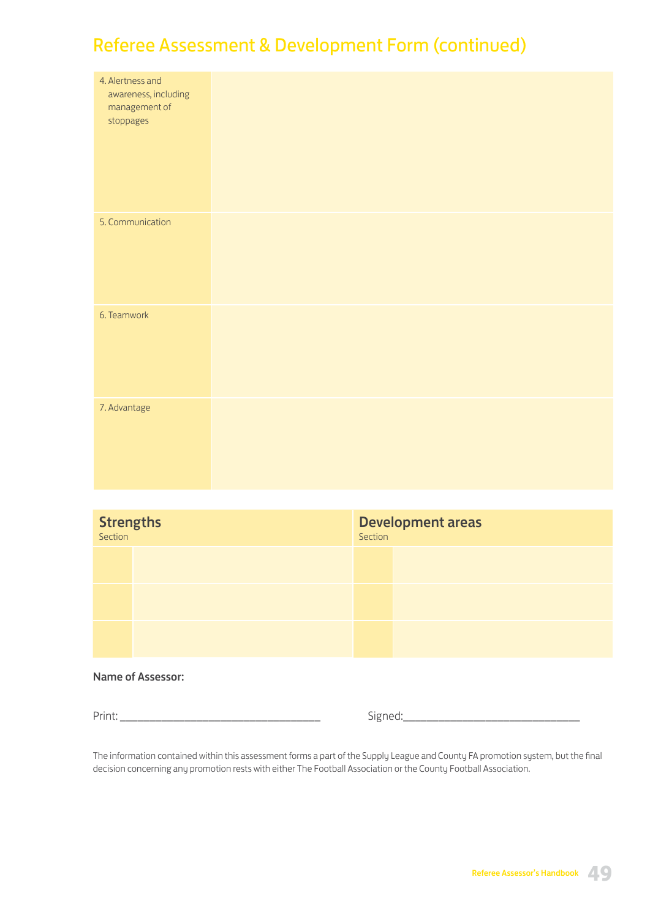# Referee Assessment & Development Form (continued)

| 4. Alertness and<br>awareness, including<br>management of<br>stoppages |  |
|------------------------------------------------------------------------|--|
| 5. Communication                                                       |  |
| 6. Teamwork                                                            |  |
| 7. Advantage                                                           |  |

| <b>Strengths</b> | <b>Development areas</b><br>Section |
|------------------|-------------------------------------|
|                  |                                     |
|                  |                                     |
|                  |                                     |

### Name of Assessor:

Print: \_\_\_\_\_\_\_\_\_\_\_\_\_\_\_\_\_\_\_\_\_\_\_\_\_\_\_\_\_\_\_\_\_\_ Signed:\_\_\_\_\_\_\_\_\_\_\_\_\_\_\_\_\_\_\_\_\_\_\_\_\_\_\_\_\_\_

The information contained within this assessment forms a part of the Supply League and County FA promotion system, but the final decision concerning any promotion rests with either The Football Association or the County Football Association.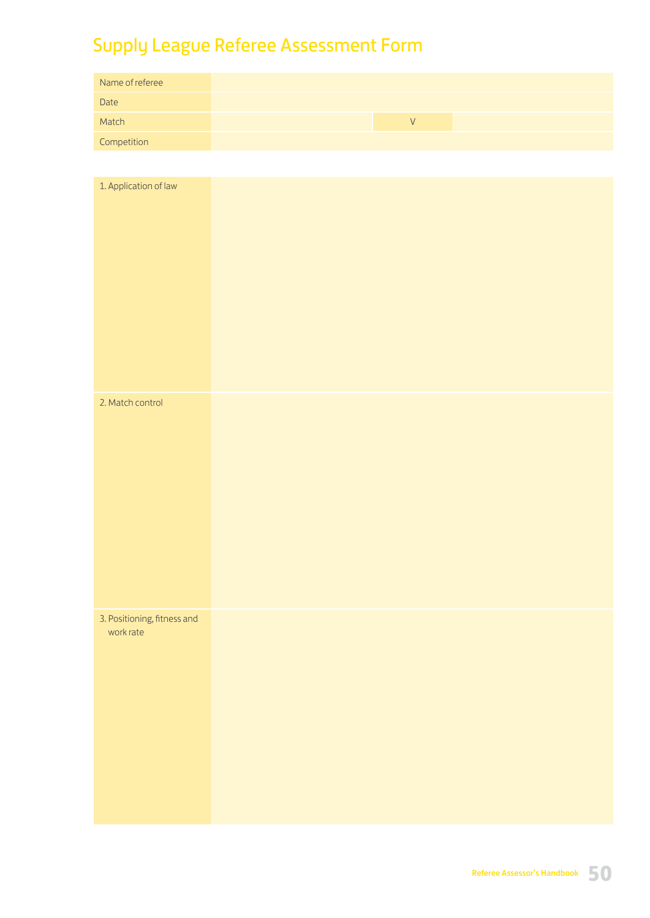# Supply League Referee Assessment Form

| Name of referee |  |  |
|-----------------|--|--|
| Date            |  |  |
| Match           |  |  |
| Competition     |  |  |

| 1. Application of law       |  |  |
|-----------------------------|--|--|
| 2. Match control            |  |  |
|                             |  |  |
| 3. Positioning, fitness and |  |  |
| work rate                   |  |  |
|                             |  |  |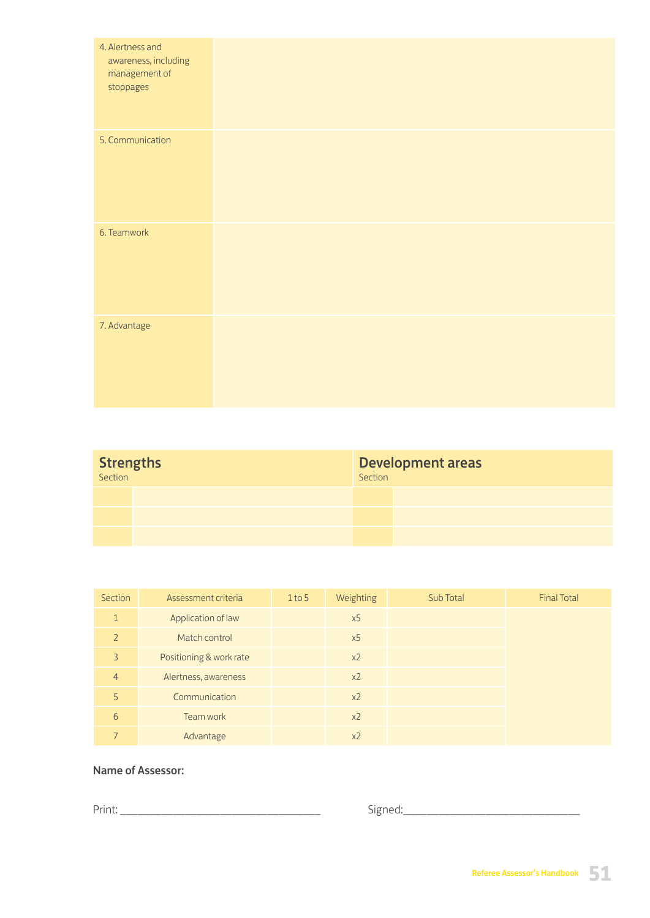| 4. Alertness and<br>awareness, including<br>management of<br>stoppages |  |  |  |
|------------------------------------------------------------------------|--|--|--|
| 5. Communication                                                       |  |  |  |
| 6. Teamwork                                                            |  |  |  |
| 7. Advantage                                                           |  |  |  |

| <b>Strengths</b> | Section | Development areas |
|------------------|---------|-------------------|
|                  |         |                   |
|                  |         |                   |
|                  |         |                   |

| Section        | Assessment criteria     | $1$ to 5 | Weighting      | Sub Total | <b>Final Total</b> |
|----------------|-------------------------|----------|----------------|-----------|--------------------|
| $\mathbf{1}$   | Application of law      |          | x5             |           |                    |
| $\overline{2}$ | Match control           |          | x5             |           |                    |
| 3              | Positioning & work rate |          | $x^2$          |           |                    |
| $\overline{4}$ | Alertness, awareness    |          | $x^2$          |           |                    |
| 5              | Communication           |          | x <sub>2</sub> |           |                    |
| 6              | Team work               |          | x <sub>2</sub> |           |                    |
|                | Advantage               |          | x <sub>2</sub> |           |                    |

## Name of Assessor:

Print: \_\_\_\_\_\_\_\_\_\_\_\_\_\_\_\_\_\_\_\_\_\_\_\_\_\_\_\_\_\_\_\_\_\_ Signed:\_\_\_\_\_\_\_\_\_\_\_\_\_\_\_\_\_\_\_\_\_\_\_\_\_\_\_\_\_\_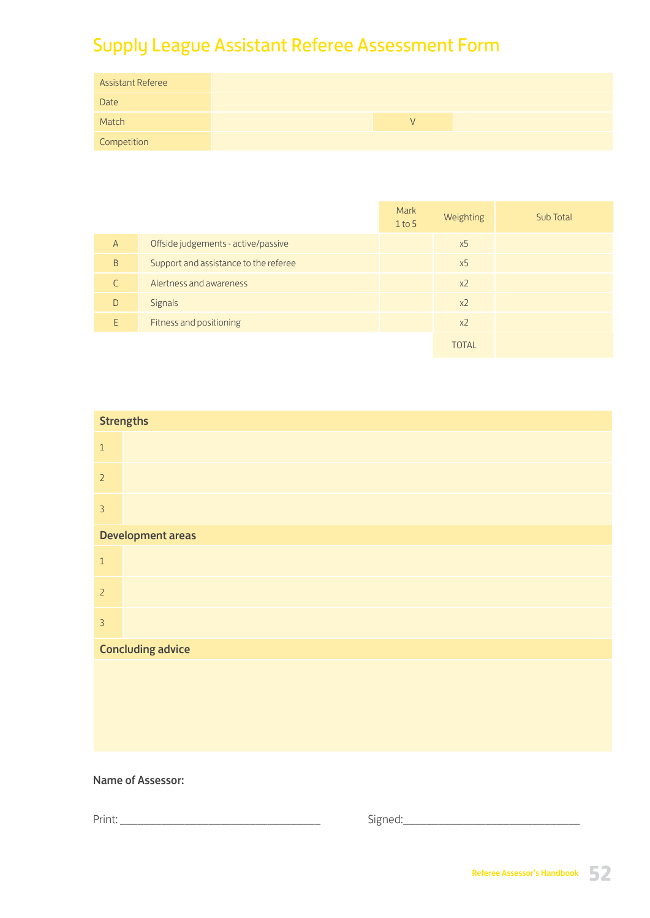# Supply League Assistant Referee Assessment Form

| <b>Assistant Referee</b> |  |  |  |
|--------------------------|--|--|--|
| Date                     |  |  |  |
| Match                    |  |  |  |
| Competition              |  |  |  |

|                |                                       | Mark<br>$1$ to 5 | Weighting      | Sub Total |
|----------------|---------------------------------------|------------------|----------------|-----------|
| $\overline{A}$ | Offside judgements - active/passive   |                  | x <sub>5</sub> |           |
| B              | Support and assistance to the referee |                  | x <sub>5</sub> |           |
|                | Alertness and awareness               |                  | x <sub>2</sub> |           |
| D              | Signals                               |                  | x <sub>2</sub> |           |
| F              | Fitness and positioning               |                  | x <sub>2</sub> |           |
|                |                                       |                  | <b>TOTAL</b>   |           |

|                | <b>Strengths</b>         |
|----------------|--------------------------|
| $\,1\,$        |                          |
| $\overline{2}$ |                          |
| $\overline{3}$ |                          |
|                | <b>Development areas</b> |
| $\mathbf{1}$   |                          |
| $\overline{2}$ |                          |
| $\overline{3}$ |                          |
|                | <b>Concluding advice</b> |
|                |                          |
|                |                          |
|                |                          |
|                |                          |

### Name of Assessor:

Print: \_\_\_\_\_\_\_\_\_\_\_\_\_\_\_\_\_\_\_\_\_\_\_\_\_\_\_\_\_\_\_\_\_\_ Signed:\_\_\_\_\_\_\_\_\_\_\_\_\_\_\_\_\_\_\_\_\_\_\_\_\_\_\_\_\_\_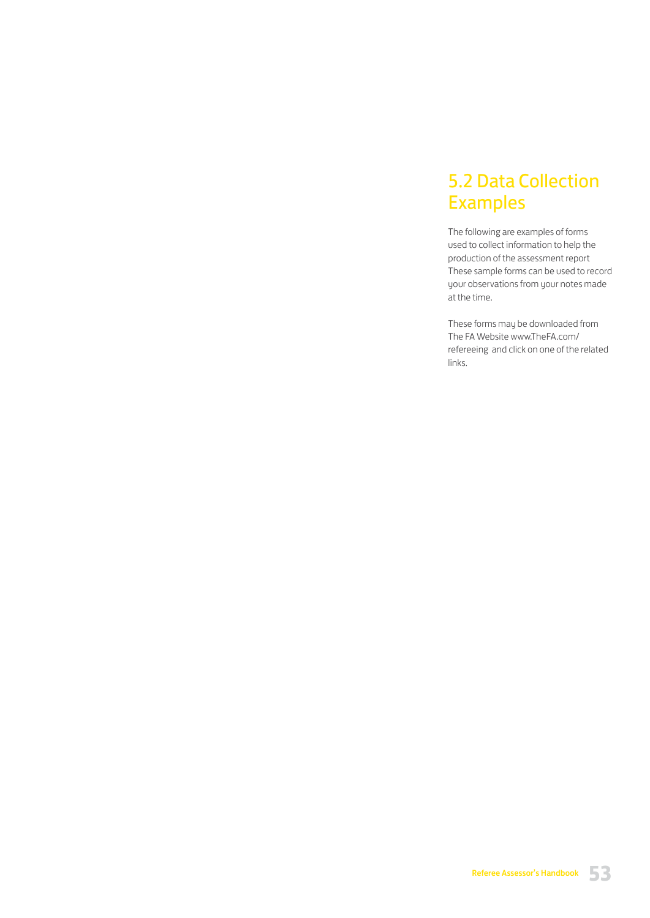# 5.2 Data Collection Examples

The following are examples of forms used to collect information to help the production of the assessment report These sample forms can be used to record your observations from your notes made at the time.

These forms may be downloaded from The FA Website www.TheFA.com/ refereeing and click on one of the related links.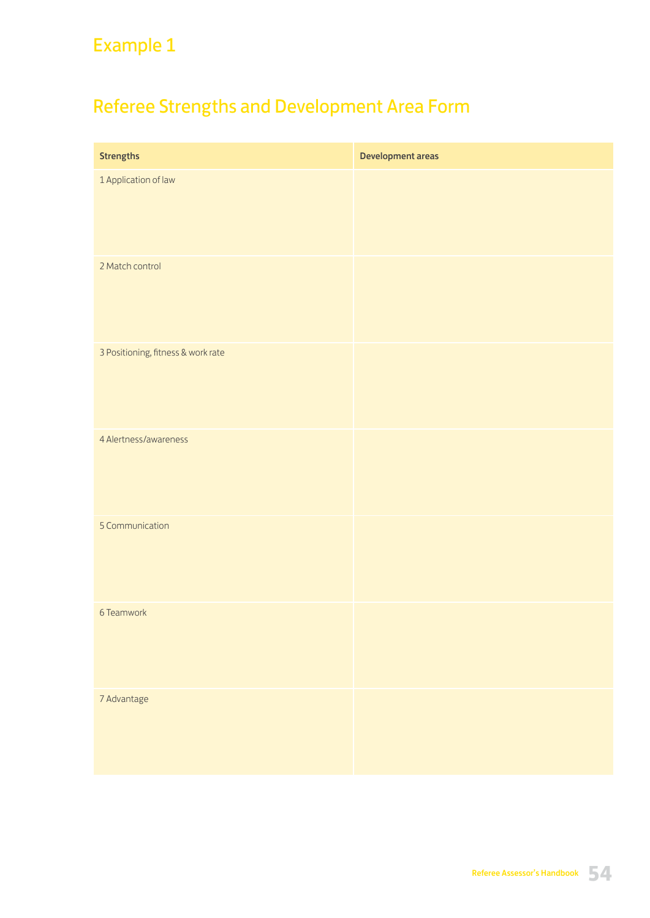# Referee Strengths and Development Area Form

| <b>Strengths</b>                   | Development areas |
|------------------------------------|-------------------|
| 1 Application of law               |                   |
| 2 Match control                    |                   |
| 3 Positioning, fitness & work rate |                   |
| 4 Alertness/awareness              |                   |
| 5 Communication                    |                   |
| 6 Teamwork                         |                   |
| 7 Advantage                        |                   |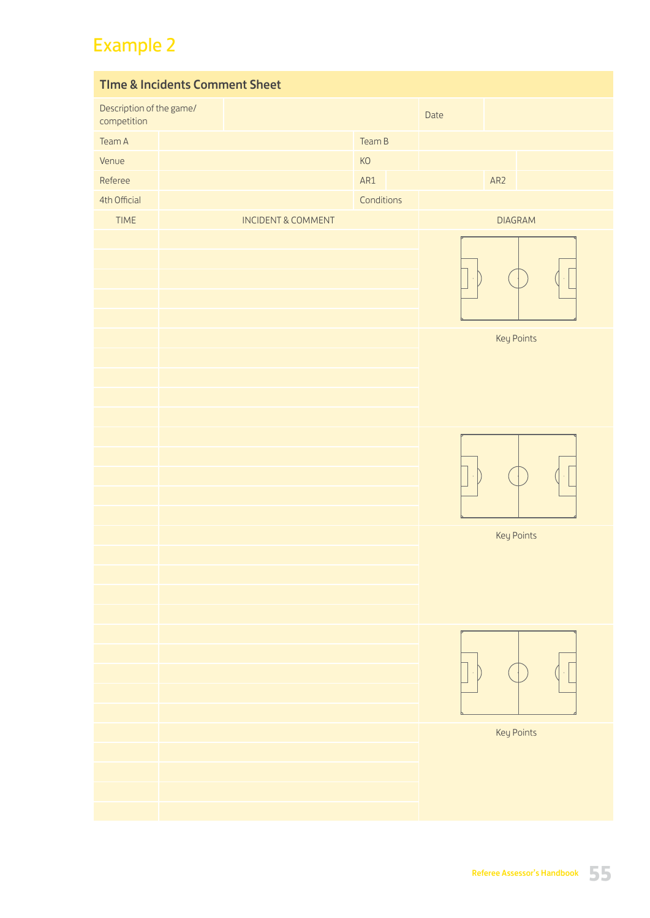| <b>Time &amp; Incidents Comment Sheet</b> |  |  |                               |            |  |      |     |                |  |
|-------------------------------------------|--|--|-------------------------------|------------|--|------|-----|----------------|--|
| Description of the game/<br>competition   |  |  |                               |            |  | Date |     |                |  |
| Team A                                    |  |  |                               | Team B     |  |      |     |                |  |
| Venue                                     |  |  |                               | KO         |  |      |     |                |  |
| Referee                                   |  |  |                               | AR1        |  |      | AR2 |                |  |
| 4th Official                              |  |  |                               | Conditions |  |      |     |                |  |
| TIME                                      |  |  | <b>INCIDENT &amp; COMMENT</b> |            |  |      |     | <b>DIAGRAM</b> |  |
|                                           |  |  |                               |            |  | ÷,   |     |                |  |
|                                           |  |  |                               |            |  |      |     | Key Points     |  |
|                                           |  |  |                               |            |  | ò,   |     |                |  |
|                                           |  |  |                               |            |  |      |     | Key Points     |  |
|                                           |  |  |                               |            |  |      |     |                |  |
|                                           |  |  |                               |            |  |      |     |                |  |
|                                           |  |  |                               |            |  |      |     | Key Points     |  |
|                                           |  |  |                               |            |  |      |     |                |  |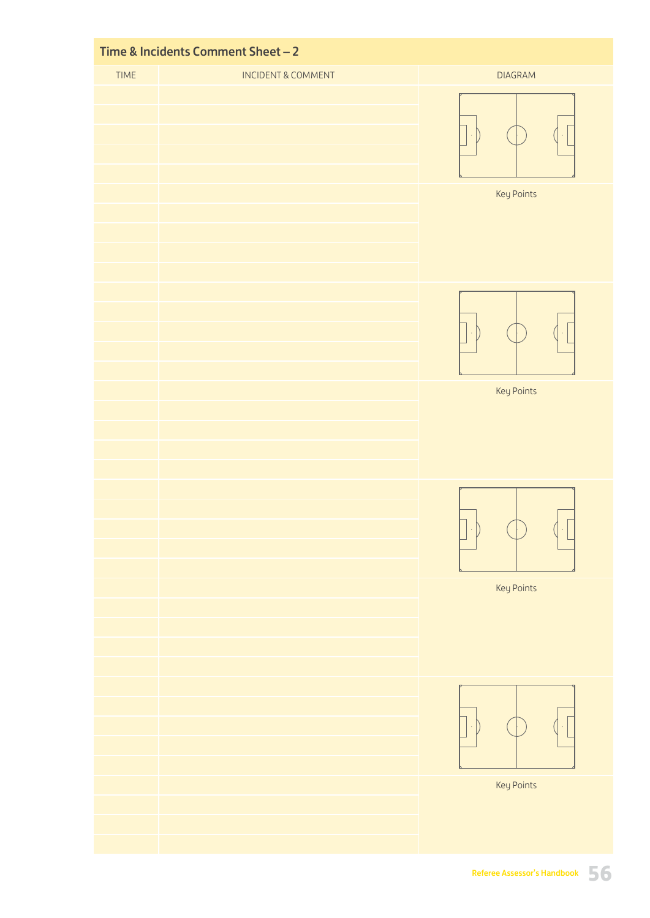|      | Time & Incidents Comment Sheet - 2 |                |
|------|------------------------------------|----------------|
| TIME | <b>INCIDENT &amp; COMMENT</b>      | <b>DIAGRAM</b> |
|      |                                    |                |
|      |                                    | Key Points     |
|      |                                    | Key Points     |
|      |                                    |                |
|      |                                    | Key Points     |
|      |                                    |                |
|      |                                    |                |
|      |                                    | Key Points     |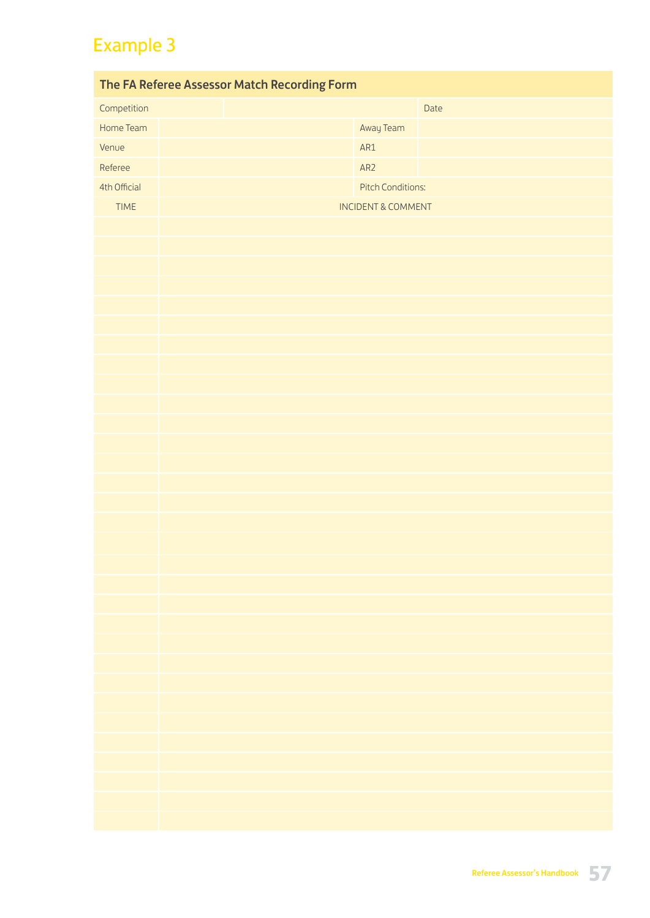| The FA Referee Assessor Match Recording Form |  |                               |      |  |  |  |
|----------------------------------------------|--|-------------------------------|------|--|--|--|
| Competition                                  |  |                               | Date |  |  |  |
| Home Team                                    |  | Away Team                     |      |  |  |  |
| Venue                                        |  | AR1                           |      |  |  |  |
| Referee                                      |  | AR2                           |      |  |  |  |
| 4th Official                                 |  | <b>Pitch Conditions:</b>      |      |  |  |  |
| <b>TIME</b>                                  |  | <b>INCIDENT &amp; COMMENT</b> |      |  |  |  |
|                                              |  |                               |      |  |  |  |
|                                              |  |                               |      |  |  |  |
|                                              |  |                               |      |  |  |  |
|                                              |  |                               |      |  |  |  |
|                                              |  |                               |      |  |  |  |
|                                              |  |                               |      |  |  |  |
|                                              |  |                               |      |  |  |  |
|                                              |  |                               |      |  |  |  |
|                                              |  |                               |      |  |  |  |
|                                              |  |                               |      |  |  |  |
|                                              |  |                               |      |  |  |  |
|                                              |  |                               |      |  |  |  |
|                                              |  |                               |      |  |  |  |
|                                              |  |                               |      |  |  |  |
|                                              |  |                               |      |  |  |  |
|                                              |  |                               |      |  |  |  |
|                                              |  |                               |      |  |  |  |
|                                              |  |                               |      |  |  |  |
|                                              |  |                               |      |  |  |  |
|                                              |  |                               |      |  |  |  |
|                                              |  |                               |      |  |  |  |
|                                              |  |                               |      |  |  |  |
|                                              |  |                               |      |  |  |  |
|                                              |  |                               |      |  |  |  |
|                                              |  |                               |      |  |  |  |
|                                              |  |                               |      |  |  |  |
|                                              |  |                               |      |  |  |  |
|                                              |  |                               |      |  |  |  |
|                                              |  |                               |      |  |  |  |
|                                              |  |                               |      |  |  |  |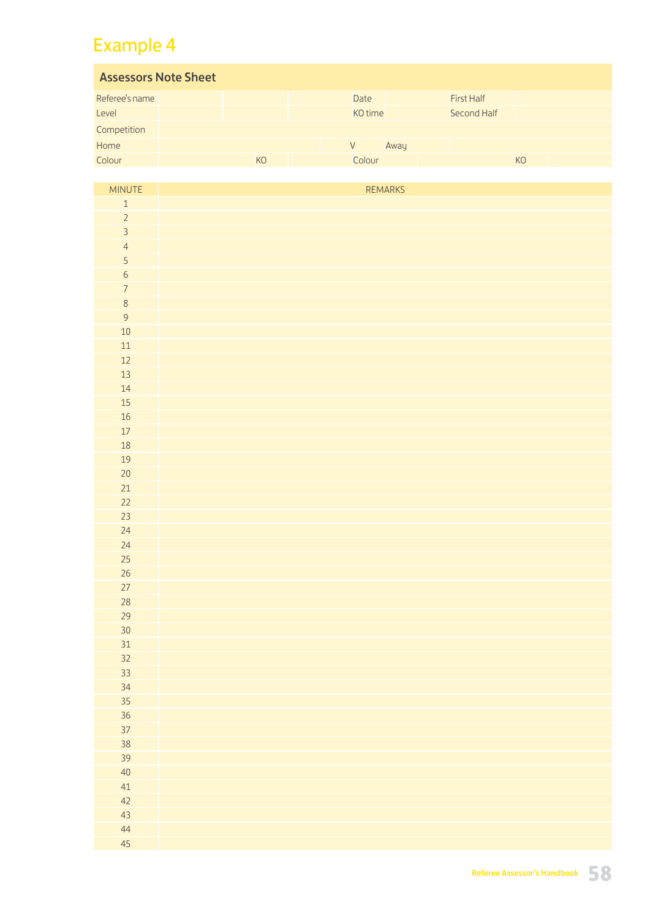| <b>Assessors Note Sheet</b> |  |           |  |         |      |  |                   |                |  |
|-----------------------------|--|-----------|--|---------|------|--|-------------------|----------------|--|
| Referee's name              |  |           |  | Date    |      |  | <b>First Half</b> |                |  |
| Level                       |  |           |  | KO time |      |  | Second Half       |                |  |
| Competition                 |  |           |  |         |      |  |                   |                |  |
| Home                        |  |           |  | V       | Away |  |                   |                |  |
| Colour                      |  | <b>KO</b> |  | Colour  |      |  |                   | K <sub>O</sub> |  |

| MINUTE              | REMARKS |
|---------------------|---------|
| $\mathbf 1$         |         |
| $\overline{c}$      |         |
| $\overline{3}$      |         |
| $\overline{a}$      |         |
| $\overline{5}$      |         |
| $\overline{6}$      |         |
| $\overline{7}$      |         |
| 8<br>$\overline{9}$ |         |
| 10                  |         |
| $11\,$              |         |
| $12$                |         |
| 13                  |         |
| 14                  |         |
| 15                  |         |
| 16                  |         |
| $17\,$              |         |
| 18                  |         |
| 19                  |         |
| $20\,$              |         |
| 21                  |         |
| 22                  |         |
| 23                  |         |
| 24                  |         |
| 24                  |         |
| 25                  |         |
| 26                  |         |
| 27<br>28            |         |
| 29                  |         |
| 30 <sup>°</sup>     |         |
| 31                  |         |
| 32                  |         |
| 33                  |         |
| 34                  |         |
| 35                  |         |
| 36                  |         |
| 37                  |         |
| 38                  |         |
| 39                  |         |
| 40                  |         |
| 41                  |         |
| 42                  |         |
| 43                  |         |
| 44<br>45            |         |
|                     |         |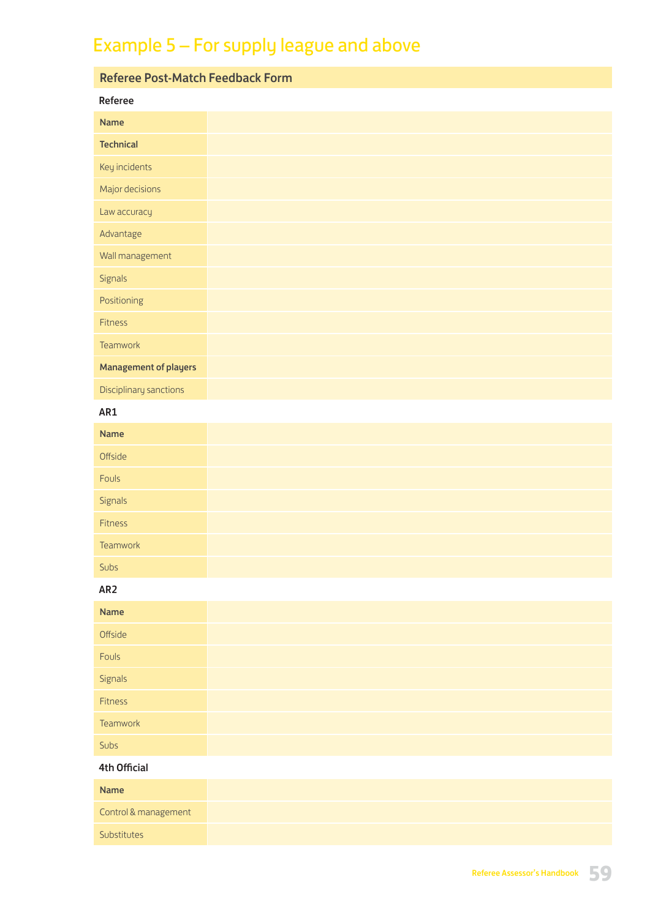# Example 5 – For supply league and above

| <b>Referee Post-Match Feedback Form</b> |  |
|-----------------------------------------|--|
| Referee                                 |  |
| <b>Name</b>                             |  |
| <b>Technical</b>                        |  |
| Key incidents                           |  |
| Major decisions                         |  |
| Law accuracy                            |  |
| Advantage                               |  |
| Wall management                         |  |
| Signals                                 |  |
| Positioning                             |  |
| Fitness                                 |  |
| Teamwork                                |  |
| <b>Management of players</b>            |  |
| Disciplinary sanctions                  |  |

## AR1

| Name                  |  |
|-----------------------|--|
| Offside               |  |
| Fouls                 |  |
| <b>Signals</b>        |  |
| <u>any</u><br>Fitness |  |
| Teamwork              |  |
| Subs                  |  |

### AR2

| Name           |
|----------------|
| Offside        |
| Fouls          |
| <b>Signals</b> |
| Fitness        |
| Teamwork       |
| Subs           |

### 4th Official

| Name                 |
|----------------------|
| Control & management |
| Substitutes          |